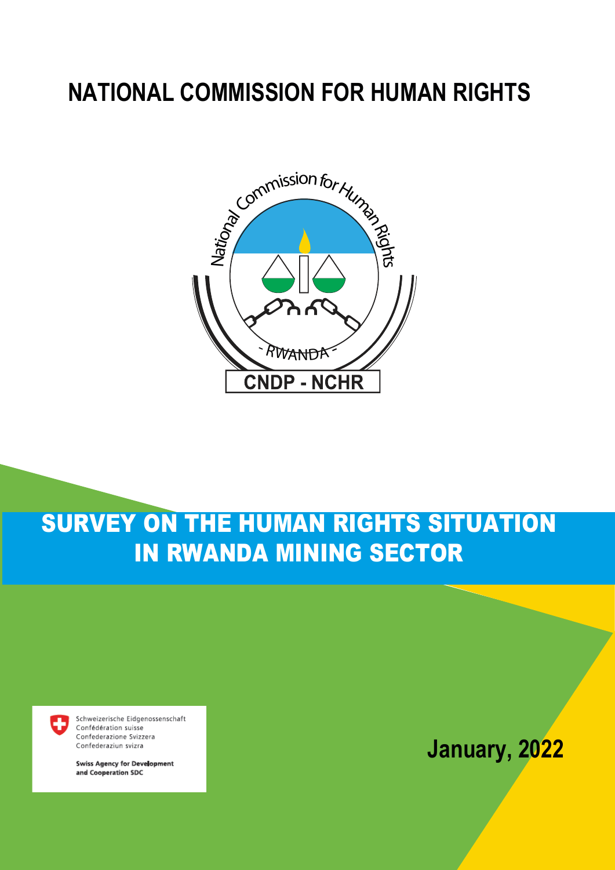# **NATIONAL COMMISSION FOR HUMAN RIGHTS**



# SURVEY ON THE HUMAN RIGHTS SITUATION IN RWANDA MINING SECTOR



Schweizerische Eidgenossenschaft Confédération suisse Confederazione Svizzera Confederaziun svizra

**Swiss Agency for Development** and Cooperation SDC

# **January, 2022**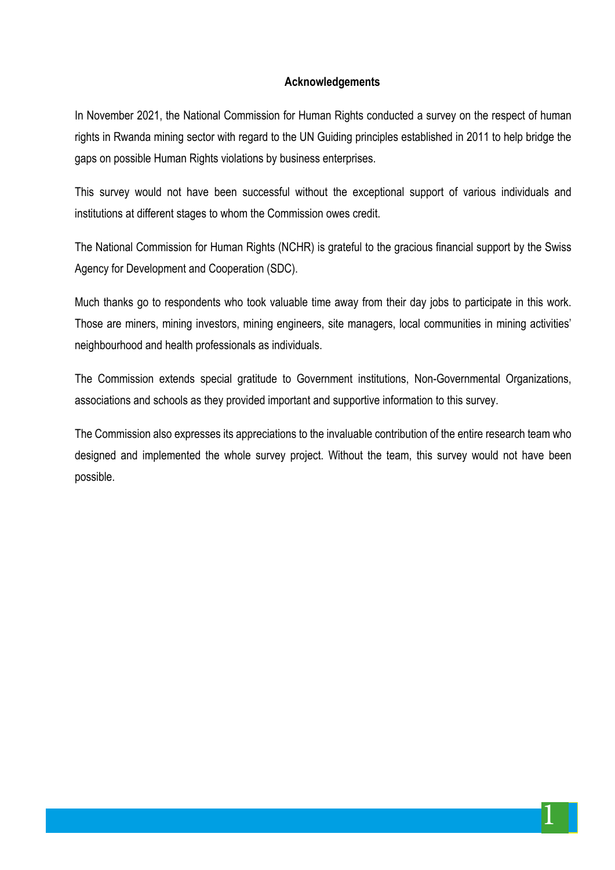#### **Acknowledgements**

In November 2021, the National Commission for Human Rights conducted a survey on the respect of human rights in Rwanda mining sector with regard to the UN Guiding principles established in 2011 to help bridge the gaps on possible Human Rights violations by business enterprises.

This survey would not have been successful without the exceptional support of various individuals and institutions at different stages to whom the Commission owes credit.

The National Commission for Human Rights (NCHR) is grateful to the gracious financial support by the Swiss Agency for Development and Cooperation (SDC).

Much thanks go to respondents who took valuable time away from their day jobs to participate in this work. Those are miners, mining investors, mining engineers, site managers, local communities in mining activities' neighbourhood and health professionals as individuals.

The Commission extends special gratitude to Government institutions, Non-Governmental Organizations, associations and schools as they provided important and supportive information to this survey.

The Commission also expresses its appreciations to the invaluable contribution of the entire research team who designed and implemented the whole survey project. Without the team, this survey would not have been possible.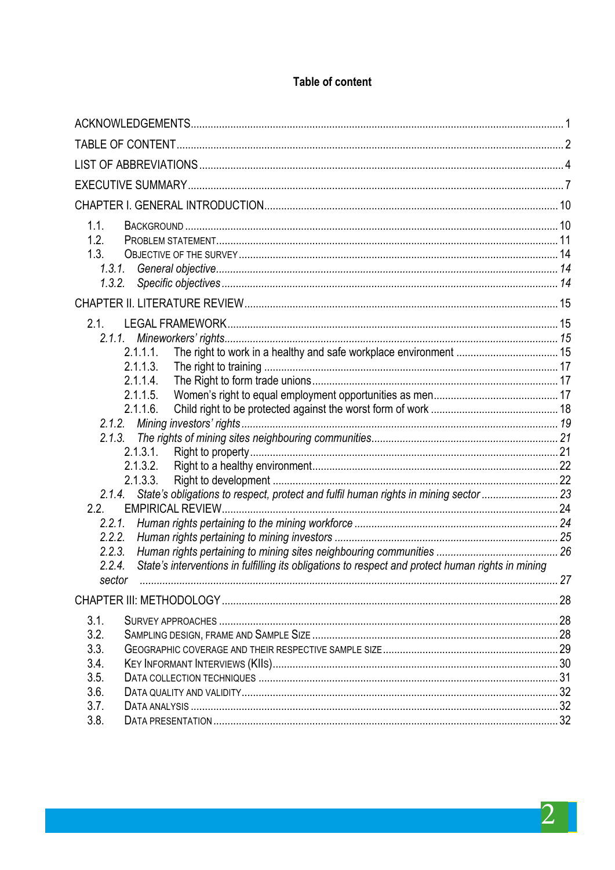# Table of content

| 1.1.                                                                                                        |  |
|-------------------------------------------------------------------------------------------------------------|--|
| 1.2.                                                                                                        |  |
| 1.3.                                                                                                        |  |
| 1.3.1.                                                                                                      |  |
|                                                                                                             |  |
|                                                                                                             |  |
| 2.1.                                                                                                        |  |
|                                                                                                             |  |
| 2.1.1.1.                                                                                                    |  |
| 2.1.1.3.                                                                                                    |  |
| 2.1.1.4                                                                                                     |  |
| 2.1.1.5.                                                                                                    |  |
| 2.1.1.6.                                                                                                    |  |
|                                                                                                             |  |
| 2.1.3.1.                                                                                                    |  |
| 2.1.3.2.                                                                                                    |  |
| 2.1.3.3.                                                                                                    |  |
| 2.1.4. State's obligations to respect, protect and fulfil human rights in mining sector  23                 |  |
| 2.2.                                                                                                        |  |
| 2.2.1.                                                                                                      |  |
|                                                                                                             |  |
| 2.2.3.                                                                                                      |  |
| State's interventions in fulfilling its obligations to respect and protect human rights in mining<br>2.2.4. |  |
| . 27<br>sector                                                                                              |  |
|                                                                                                             |  |
| 3.1.                                                                                                        |  |
| 3.2.                                                                                                        |  |
| 3.3.                                                                                                        |  |
| 3.4.                                                                                                        |  |
| 3.5.                                                                                                        |  |
| 3.6.                                                                                                        |  |
| 3.7.                                                                                                        |  |
| 3.8.                                                                                                        |  |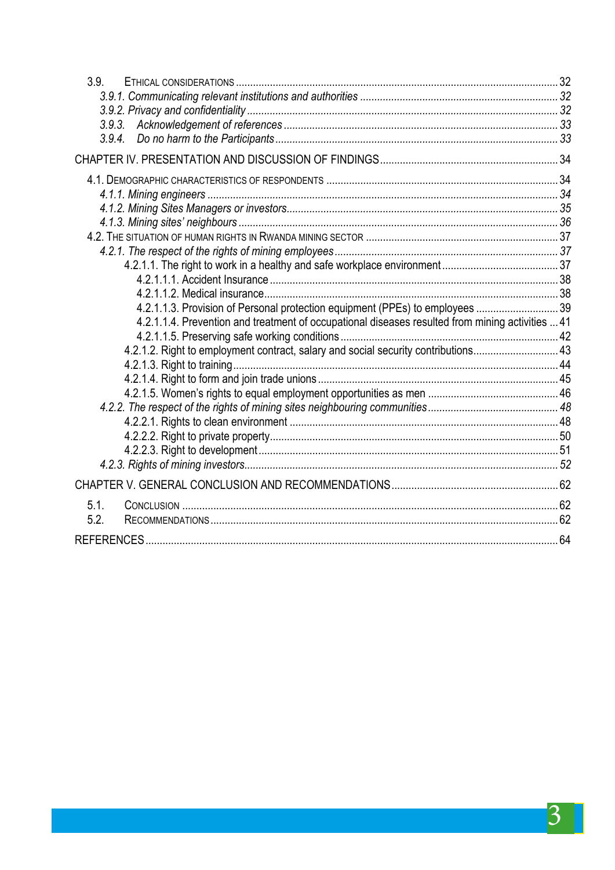| 3.9.                                                                                             |  |
|--------------------------------------------------------------------------------------------------|--|
|                                                                                                  |  |
|                                                                                                  |  |
|                                                                                                  |  |
|                                                                                                  |  |
|                                                                                                  |  |
|                                                                                                  |  |
|                                                                                                  |  |
|                                                                                                  |  |
|                                                                                                  |  |
|                                                                                                  |  |
|                                                                                                  |  |
|                                                                                                  |  |
|                                                                                                  |  |
|                                                                                                  |  |
| 4.2.1.1.3. Provision of Personal protection equipment (PPEs) to employees  39                    |  |
| 4.2.1.1.4. Prevention and treatment of occupational diseases resulted from mining activities  41 |  |
|                                                                                                  |  |
| 4.2.1.2. Right to employment contract, salary and social security contributions 43               |  |
|                                                                                                  |  |
|                                                                                                  |  |
|                                                                                                  |  |
|                                                                                                  |  |
|                                                                                                  |  |
|                                                                                                  |  |
|                                                                                                  |  |
|                                                                                                  |  |
|                                                                                                  |  |
| 5.1.                                                                                             |  |
| 5.2.                                                                                             |  |
|                                                                                                  |  |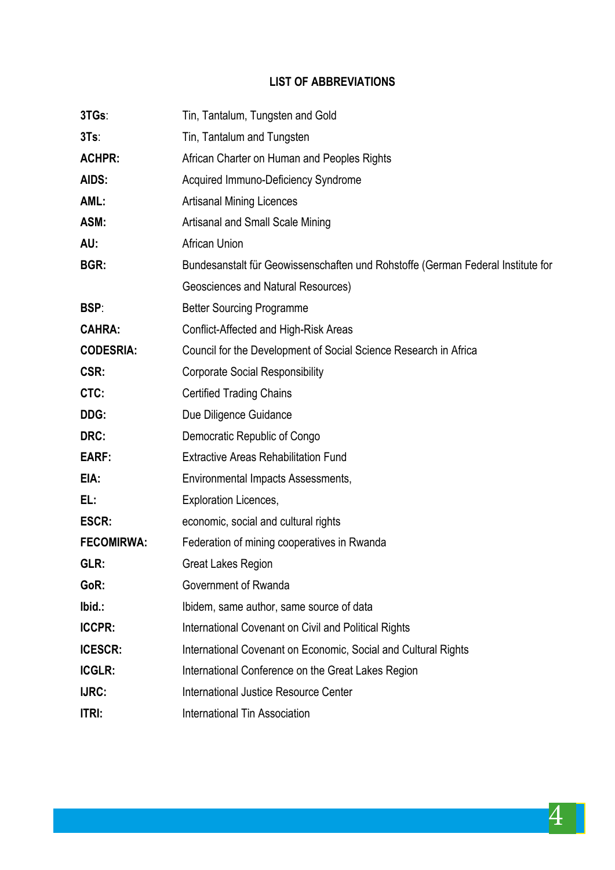# **LIST OF ABBREVIATIONS**

| 3TGs:             | Tin, Tantalum, Tungsten and Gold                                                |  |  |
|-------------------|---------------------------------------------------------------------------------|--|--|
| 3Ts               | Tin, Tantalum and Tungsten                                                      |  |  |
| <b>ACHPR:</b>     | African Charter on Human and Peoples Rights                                     |  |  |
| AIDS:             | Acquired Immuno-Deficiency Syndrome                                             |  |  |
| AML:              | <b>Artisanal Mining Licences</b>                                                |  |  |
| ASM:              | Artisanal and Small Scale Mining                                                |  |  |
| AU:               | African Union                                                                   |  |  |
| BGR:              | Bundesanstalt für Geowissenschaften und Rohstoffe (German Federal Institute for |  |  |
|                   | Geosciences and Natural Resources)                                              |  |  |
| BSP:              | <b>Better Sourcing Programme</b>                                                |  |  |
| <b>CAHRA:</b>     | Conflict-Affected and High-Risk Areas                                           |  |  |
| <b>CODESRIA:</b>  | Council for the Development of Social Science Research in Africa                |  |  |
| CSR:              | <b>Corporate Social Responsibility</b>                                          |  |  |
| CTC:              | <b>Certified Trading Chains</b>                                                 |  |  |
| DDG:              | Due Diligence Guidance                                                          |  |  |
| DRC:              | Democratic Republic of Congo                                                    |  |  |
| EARF:             | <b>Extractive Areas Rehabilitation Fund</b>                                     |  |  |
| EIA:              | Environmental Impacts Assessments,                                              |  |  |
| EL:               | <b>Exploration Licences,</b>                                                    |  |  |
| <b>ESCR:</b>      | economic, social and cultural rights                                            |  |  |
| <b>FECOMIRWA:</b> | Federation of mining cooperatives in Rwanda                                     |  |  |
| GLR:              | <b>Great Lakes Region</b>                                                       |  |  |
| GoR:              | Government of Rwanda                                                            |  |  |
| Ibid.:            | Ibidem, same author, same source of data                                        |  |  |
| <b>ICCPR:</b>     | International Covenant on Civil and Political Rights                            |  |  |
| <b>ICESCR:</b>    | International Covenant on Economic, Social and Cultural Rights                  |  |  |
| <b>ICGLR:</b>     | International Conference on the Great Lakes Region                              |  |  |
| IJRC:             | International Justice Resource Center                                           |  |  |
| <b>ITRI:</b>      | <b>International Tin Association</b>                                            |  |  |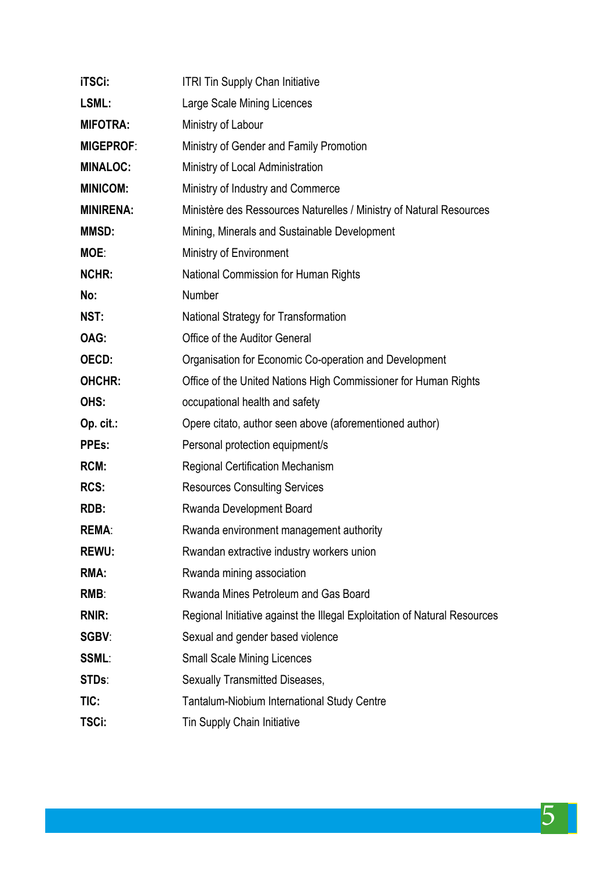| <b>iTSCi:</b>    | <b>ITRI Tin Supply Chan Initiative</b>                                    |
|------------------|---------------------------------------------------------------------------|
| LSML:            | Large Scale Mining Licences                                               |
| <b>MIFOTRA:</b>  | Ministry of Labour                                                        |
| <b>MIGEPROF:</b> | Ministry of Gender and Family Promotion                                   |
| <b>MINALOC:</b>  | Ministry of Local Administration                                          |
| <b>MINICOM:</b>  | Ministry of Industry and Commerce                                         |
| <b>MINIRENA:</b> | Ministère des Ressources Naturelles / Ministry of Natural Resources       |
| <b>MMSD:</b>     | Mining, Minerals and Sustainable Development                              |
| MOE:             | Ministry of Environment                                                   |
| <b>NCHR:</b>     | National Commission for Human Rights                                      |
| No:              | Number                                                                    |
| NST:             | National Strategy for Transformation                                      |
| OAG:             | Office of the Auditor General                                             |
| OECD:            | Organisation for Economic Co-operation and Development                    |
| OHCHR:           | Office of the United Nations High Commissioner for Human Rights           |
| OHS:             | occupational health and safety                                            |
| Op. cit.:        | Opere citato, author seen above (aforementioned author)                   |
| <b>PPEs:</b>     | Personal protection equipment/s                                           |
| RCM:             | <b>Regional Certification Mechanism</b>                                   |
| RCS:             | <b>Resources Consulting Services</b>                                      |
| RDB:             | Rwanda Development Board                                                  |
| <b>REMA:</b>     | Rwanda environment management authority                                   |
| <b>REWU:</b>     | Rwandan extractive industry workers union                                 |
| RMA:             | Rwanda mining association                                                 |
| RMB:             | Rwanda Mines Petroleum and Gas Board                                      |
| <b>RNIR:</b>     | Regional Initiative against the Illegal Exploitation of Natural Resources |
| SGBV:            | Sexual and gender based violence                                          |
| <b>SSML:</b>     | <b>Small Scale Mining Licences</b>                                        |
| STDs:            | Sexually Transmitted Diseases,                                            |
| TIC:             | Tantalum-Niobium International Study Centre                               |
| TSCi:            | Tin Supply Chain Initiative                                               |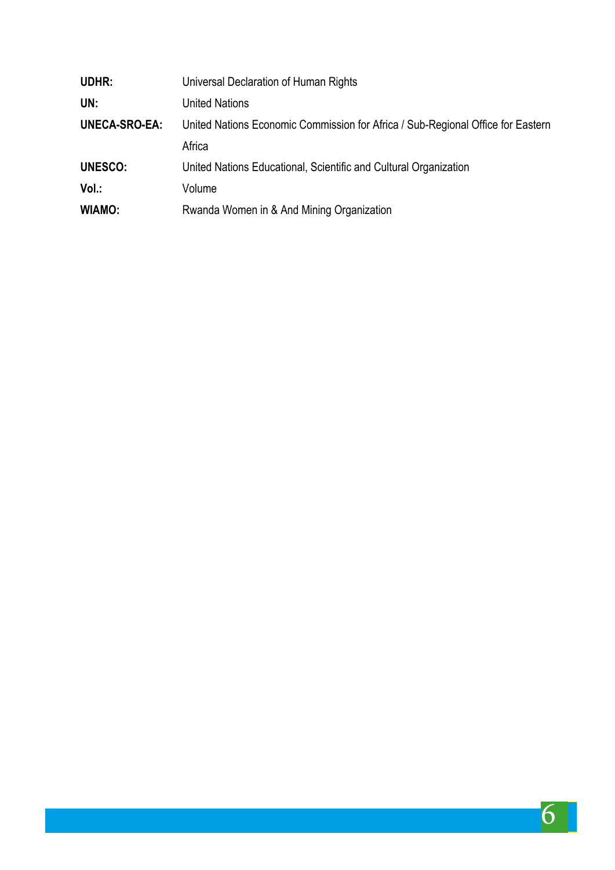| UDHR:                | Universal Declaration of Human Rights                                           |
|----------------------|---------------------------------------------------------------------------------|
| UN:                  | <b>United Nations</b>                                                           |
| <b>UNECA-SRO-EA:</b> | United Nations Economic Commission for Africa / Sub-Regional Office for Eastern |
|                      | Africa                                                                          |
| <b>UNESCO:</b>       | United Nations Educational, Scientific and Cultural Organization                |
| Vol.:                | Volume                                                                          |
| WIAMO:               | Rwanda Women in & And Mining Organization                                       |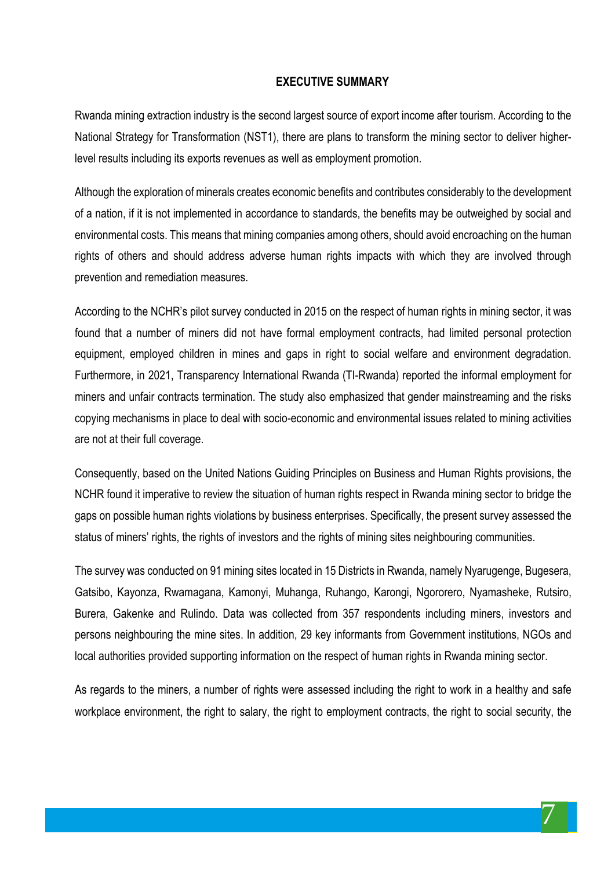#### **EXECUTIVE SUMMARY**

Rwanda mining extraction industry is the second largest source of export income after tourism. According to the National Strategy for Transformation (NST1), there are plans to transform the mining sector to deliver higherlevel results including its exports revenues as well as employment promotion.

Although the exploration of minerals creates economic benefits and contributes considerably to the development of a nation, if it is not implemented in accordance to standards, the benefits may be outweighed by social and environmental costs. This means that mining companies among others, should avoid encroaching on the human rights of others and should address adverse human rights impacts with which they are involved through prevention and remediation measures.

According to the NCHR's pilot survey conducted in 2015 on the respect of human rights in mining sector, it was found that a number of miners did not have formal employment contracts, had limited personal protection equipment, employed children in mines and gaps in right to social welfare and environment degradation. Furthermore, in 2021, Transparency International Rwanda (TI-Rwanda) reported the informal employment for miners and unfair contracts termination. The study also emphasized that gender mainstreaming and the risks copying mechanisms in place to deal with socio-economic and environmental issues related to mining activities are not at their full coverage.

Consequently, based on the United Nations Guiding Principles on Business and Human Rights provisions, the NCHR found it imperative to review the situation of human rights respect in Rwanda mining sector to bridge the gaps on possible human rights violations by business enterprises. Specifically, the present survey assessed the status of miners' rights, the rights of investors and the rights of mining sites neighbouring communities.

The survey was conducted on 91 mining sites located in 15 Districts in Rwanda, namely Nyarugenge, Bugesera, Gatsibo, Kayonza, Rwamagana, Kamonyi, Muhanga, Ruhango, Karongi, Ngororero, Nyamasheke, Rutsiro, Burera, Gakenke and Rulindo. Data was collected from 357 respondents including miners, investors and persons neighbouring the mine sites. In addition, 29 key informants from Government institutions, NGOs and local authorities provided supporting information on the respect of human rights in Rwanda mining sector.

As regards to the miners, a number of rights were assessed including the right to work in a healthy and safe workplace environment, the right to salary, the right to employment contracts, the right to social security, the

7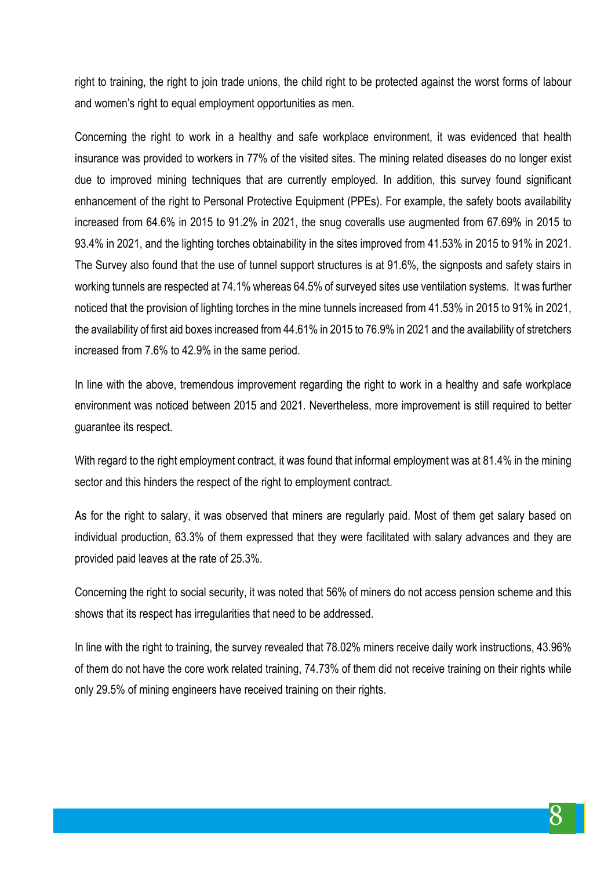right to training, the right to join trade unions, the child right to be protected against the worst forms of labour and women's right to equal employment opportunities as men.

Concerning the right to work in a healthy and safe workplace environment, it was evidenced that health insurance was provided to workers in 77% of the visited sites. The mining related diseases do no longer exist due to improved mining techniques that are currently employed. In addition, this survey found significant enhancement of the right to Personal Protective Equipment (PPEs). For example, the safety boots availability increased from 64.6% in 2015 to 91.2% in 2021, the snug coveralls use augmented from 67.69% in 2015 to 93.4% in 2021, and the lighting torches obtainability in the sites improved from 41.53% in 2015 to 91% in 2021. The Survey also found that the use of tunnel support structures is at 91.6%, the signposts and safety stairs in working tunnels are respected at 74.1% whereas 64.5% of surveyed sites use ventilation systems. It was further noticed that the provision of lighting torches in the mine tunnels increased from 41.53% in 2015 to 91% in 2021, the availability of first aid boxes increased from 44.61% in 2015 to 76.9% in 2021 and the availability of stretchers increased from 7.6% to 42.9% in the same period.

In line with the above, tremendous improvement regarding the right to work in a healthy and safe workplace environment was noticed between 2015 and 2021. Nevertheless, more improvement is still required to better guarantee its respect.

With regard to the right employment contract, it was found that informal employment was at 81.4% in the mining sector and this hinders the respect of the right to employment contract.

As for the right to salary, it was observed that miners are regularly paid. Most of them get salary based on individual production, 63.3% of them expressed that they were facilitated with salary advances and they are provided paid leaves at the rate of 25.3%.

Concerning the right to social security, it was noted that 56% of miners do not access pension scheme and this shows that its respect has irregularities that need to be addressed.

In line with the right to training, the survey revealed that 78.02% miners receive daily work instructions, 43.96% of them do not have the core work related training, 74.73% of them did not receive training on their rights while only 29.5% of mining engineers have received training on their rights.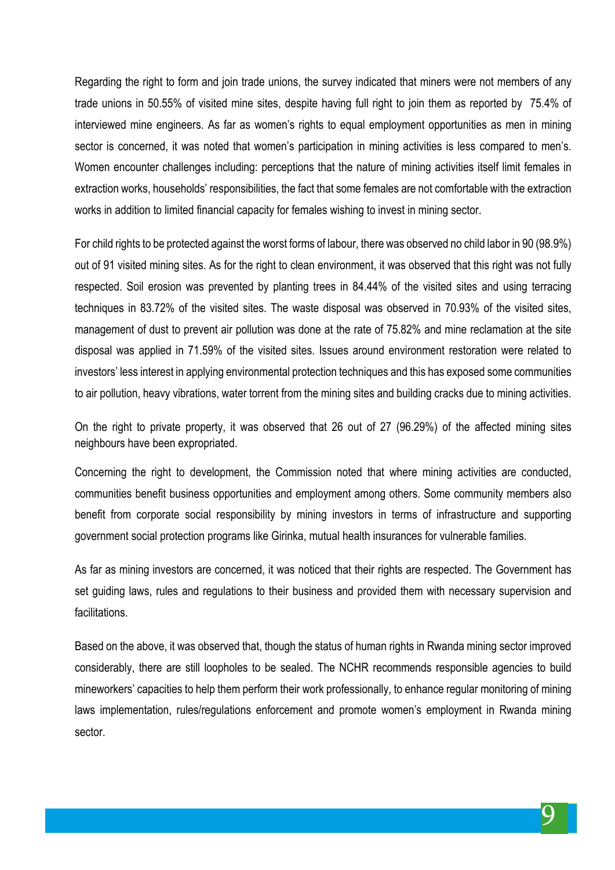Regarding the right to form and join trade unions, the survey indicated that miners were not members of any trade unions in 50.55% of visited mine sites, despite having full right to join them as reported by 75.4% of interviewed mine engineers. As far as women's rights to equal employment opportunities as men in mining sector is concerned, it was noted that women's participation in mining activities is less compared to men's. Women encounter challenges including: perceptions that the nature of mining activities itself limit females in extraction works, households' responsibilities, the fact that some females are not comfortable with the extraction works in addition to limited financial capacity for females wishing to invest in mining sector.

For child rights to be protected against the worst forms of labour, there was observed no child labor in 90 (98.9%) out of 91 visited mining sites. As for the right to clean environment, it was observed that this right was not fully respected. Soil erosion was prevented by planting trees in 84.44% of the visited sites and using terracing techniques in 83.72% of the visited sites. The waste disposal was observed in 70.93% of the visited sites, management of dust to prevent air pollution was done at the rate of 75.82% and mine reclamation at the site disposal was applied in 71.59% of the visited sites. Issues around environment restoration were related to investors' less interest in applying environmental protection techniques and this has exposed some communities to air pollution, heavy vibrations, water torrent from the mining sites and building cracks due to mining activities.

On the right to private property, it was observed that 26 out of 27 (96.29%) of the affected mining sites neighbours have been expropriated.

Concerning the right to development, the Commission noted that where mining activities are conducted, communities benefit business opportunities and employment among others. Some community members also benefit from corporate social responsibility by mining investors in terms of infrastructure and supporting government social protection programs like Girinka, mutual health insurances for vulnerable families.

As far as mining investors are concerned, it was noticed that their rights are respected. The Government has set guiding laws, rules and regulations to their business and provided them with necessary supervision and facilitations.

Based on the above, it was observed that, though the status of human rights in Rwanda mining sector improved considerably, there are still loopholes to be sealed. The NCHR recommends responsible agencies to build mineworkers' capacities to help them perform their work professionally, to enhance regular monitoring of mining laws implementation, rules/regulations enforcement and promote women's employment in Rwanda mining sector.

9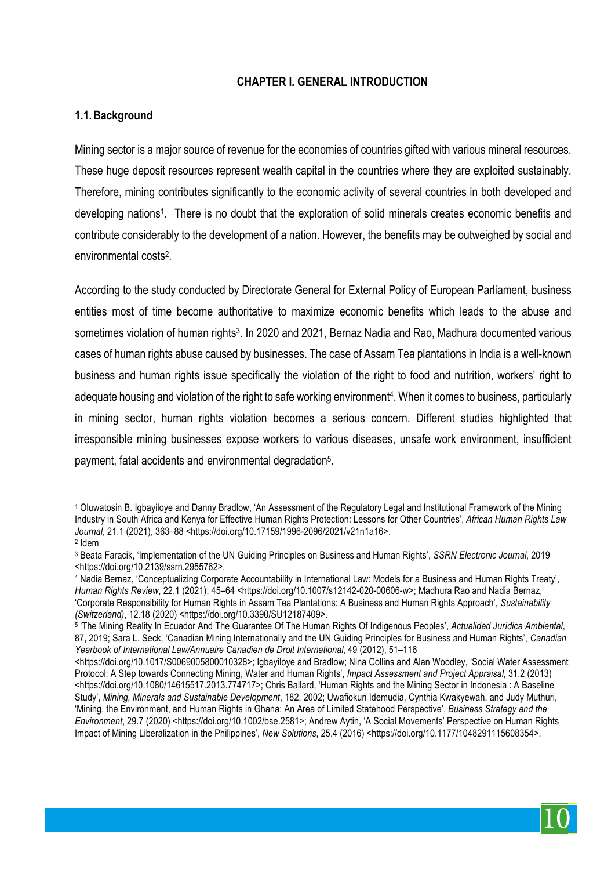#### **CHAPTER I. GENERAL INTRODUCTION**

#### **1.1.Background**

Mining sector is a major source of revenue for the economies of countries gifted with various mineral resources. These huge deposit resources represent wealth capital in the countries where they are exploited sustainably. Therefore, mining contributes significantly to the economic activity of several countries in both developed and developing nations1. There is no doubt that the exploration of solid minerals creates economic benefits and contribute considerably to the development of a nation. However, the benefits may be outweighed by social and environmental costs2.

According to the study conducted by Directorate General for External Policy of European Parliament, business entities most of time become authoritative to maximize economic benefits which leads to the abuse and sometimes violation of human rights<sup>3</sup>. In 2020 and 2021, Bernaz Nadia and Rao, Madhura documented various cases of human rights abuse caused by businesses. The case of Assam Tea plantations in India is a well-known business and human rights issue specifically the violation of the right to food and nutrition, workers' right to adequate housing and violation of the right to safe working environment<sup>4</sup>. When it comes to business, particularly in mining sector, human rights violation becomes a serious concern. Different studies highlighted that irresponsible mining businesses expose workers to various diseases, unsafe work environment, insufficient payment, fatal accidents and environmental degradation5.



 $\overline{a}$ <sup>1</sup> Oluwatosin B. Igbayiloye and Danny Bradlow, 'An Assessment of the Regulatory Legal and Institutional Framework of the Mining Industry in South Africa and Kenya for Effective Human Rights Protection: Lessons for Other Countries', *African Human Rights Law Journal*, 21.1 (2021), 363–88 <https://doi.org/10.17159/1996-2096/2021/v21n1a16>.

<sup>2</sup> Idem

<sup>3</sup> Beata Faracik, 'Implementation of the UN Guiding Principles on Business and Human Rights', *SSRN Electronic Journal*, 2019 <https://doi.org/10.2139/ssrn.2955762>.

<sup>4</sup> Nadia Bernaz, 'Conceptualizing Corporate Accountability in International Law: Models for a Business and Human Rights Treaty', *Human Rights Review*, 22.1 (2021), 45–64 <https://doi.org/10.1007/s12142-020-00606-w>; Madhura Rao and Nadia Bernaz, 'Corporate Responsibility for Human Rights in Assam Tea Plantations: A Business and Human Rights Approach', *Sustainability (Switzerland)*, 12.18 (2020) <https://doi.org/10.3390/SU12187409>.

<sup>5</sup> 'The Mining Reality In Ecuador And The Guarantee Of The Human Rights Of Indigenous Peoples', *Actualidad Jurídica Ambiental*, 87, 2019; Sara L. Seck, 'Canadian Mining Internationally and the UN Guiding Principles for Business and Human Rights', *Canadian Yearbook of International Law/Annuaire Canadien de Droit International*, 49 (2012), 51–116

<sup>&</sup>lt;https://doi.org/10.1017/S0069005800010328>; Igbayiloye and Bradlow; Nina Collins and Alan Woodley, 'Social Water Assessment Protocol: A Step towards Connecting Mining, Water and Human Rights', *Impact Assessment and Project Appraisal*, 31.2 (2013) <https://doi.org/10.1080/14615517.2013.774717>; Chris Ballard, 'Human Rights and the Mining Sector in Indonesia : A Baseline Study', *Mining, Minerals and Sustainable Development*, 182, 2002; Uwafiokun Idemudia, Cynthia Kwakyewah, and Judy Muthuri, 'Mining, the Environment, and Human Rights in Ghana: An Area of Limited Statehood Perspective', *Business Strategy and the Environment*, 29.7 (2020) <https://doi.org/10.1002/bse.2581>; Andrew Aytin, 'A Social Movements' Perspective on Human Rights Impact of Mining Liberalization in the Philippines', *New Solutions*, 25.4 (2016) <https://doi.org/10.1177/1048291115608354>.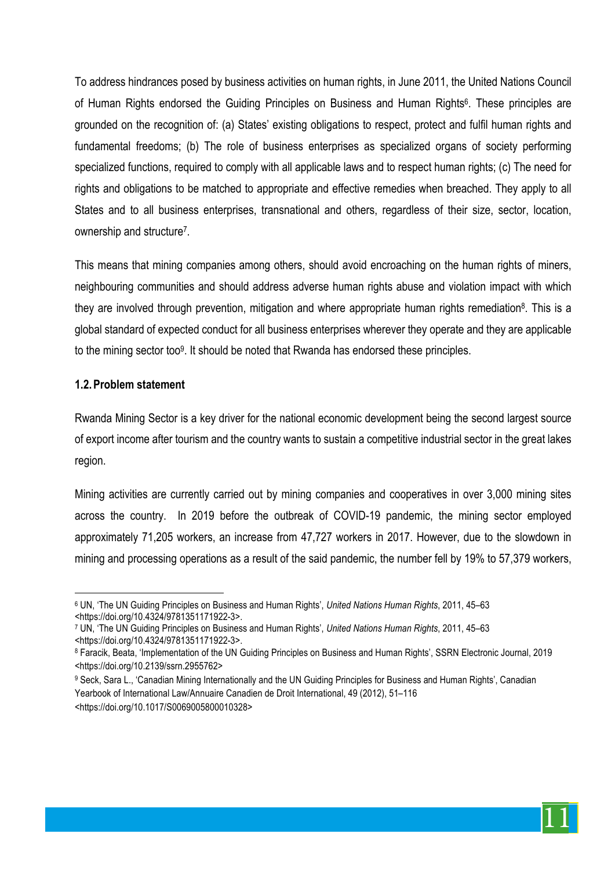To address hindrances posed by business activities on human rights, in June 2011, the United Nations Council of Human Rights endorsed the Guiding Principles on Business and Human Rights<sup>6</sup>. These principles are grounded on the recognition of: (a) States' existing obligations to respect, protect and fulfil human rights and fundamental freedoms; (b) The role of business enterprises as specialized organs of society performing specialized functions, required to comply with all applicable laws and to respect human rights; (c) The need for rights and obligations to be matched to appropriate and effective remedies when breached. They apply to all States and to all business enterprises, transnational and others, regardless of their size, sector, location, ownership and structure7.

This means that mining companies among others, should avoid encroaching on the human rights of miners, neighbouring communities and should address adverse human rights abuse and violation impact with which they are involved through prevention, mitigation and where appropriate human rights remediation<sup>8</sup>. This is a global standard of expected conduct for all business enterprises wherever they operate and they are applicable to the mining sector too9. It should be noted that Rwanda has endorsed these principles.

#### **1.2.Problem statement**

 $\overline{a}$ 

Rwanda Mining Sector is a key driver for the national economic development being the second largest source of export income after tourism and the country wants to sustain a competitive industrial sector in the great lakes region.

Mining activities are currently carried out by mining companies and cooperatives in over 3,000 mining sites across the country. In 2019 before the outbreak of COVID-19 pandemic, the mining sector employed approximately 71,205 workers, an increase from 47,727 workers in 2017. However, due to the slowdown in mining and processing operations as a result of the said pandemic, the number fell by 19% to 57,379 workers,



<sup>6</sup> UN, 'The UN Guiding Principles on Business and Human Rights', *United Nations Human Rights*, 2011, 45–63 <https://doi.org/10.4324/9781351171922-3>.

<sup>7</sup> UN, 'The UN Guiding Principles on Business and Human Rights', *United Nations Human Rights*, 2011, 45–63 <https://doi.org/10.4324/9781351171922-3>.

<sup>8</sup> Faracik, Beata, 'Implementation of the UN Guiding Principles on Business and Human Rights', SSRN Electronic Journal, 2019 <https://doi.org/10.2139/ssrn.2955762>

<sup>9</sup> Seck, Sara L., 'Canadian Mining Internationally and the UN Guiding Principles for Business and Human Rights', Canadian Yearbook of International Law/Annuaire Canadien de Droit International, 49 (2012), 51–116 <https://doi.org/10.1017/S0069005800010328>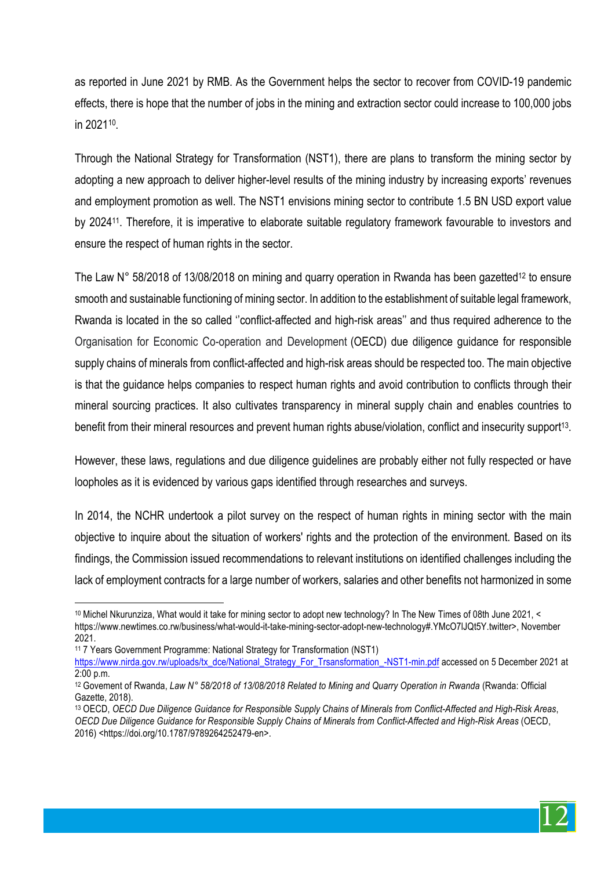as reported in June 2021 by RMB. As the Government helps the sector to recover from COVID-19 pandemic effects, there is hope that the number of jobs in the mining and extraction sector could increase to 100,000 jobs in 202110.

Through the National Strategy for Transformation (NST1), there are plans to transform the mining sector by adopting a new approach to deliver higher-level results of the mining industry by increasing exports' revenues and employment promotion as well. The NST1 envisions mining sector to contribute 1.5 BN USD export value by 202411. Therefore, it is imperative to elaborate suitable regulatory framework favourable to investors and ensure the respect of human rights in the sector.

The Law N° 58/2018 of 13/08/2018 on mining and quarry operation in Rwanda has been gazetted<sup>12</sup> to ensure smooth and sustainable functioning of mining sector. In addition to the establishment of suitable legal framework, Rwanda is located in the so called ''conflict-affected and high-risk areas'' and thus required adherence to the Organisation for Economic Co-operation and Development (OECD) due diligence guidance for responsible supply chains of minerals from conflict-affected and high-risk areas should be respected too. The main objective is that the guidance helps companies to respect human rights and avoid contribution to conflicts through their mineral sourcing practices. It also cultivates transparency in mineral supply chain and enables countries to benefit from their mineral resources and prevent human rights abuse/violation, conflict and insecurity support<sup>13</sup>.

However, these laws, regulations and due diligence guidelines are probably either not fully respected or have loopholes as it is evidenced by various gaps identified through researches and surveys.

In 2014, the NCHR undertook a pilot survey on the respect of human rights in mining sector with the main objective to inquire about the situation of workers' rights and the protection of the environment. Based on its findings, the Commission issued recommendations to relevant institutions on identified challenges including the lack of employment contracts for a large number of workers, salaries and other benefits not harmonized in some

 $\overline{a}$ 



<sup>10</sup> Michel Nkurunziza, What would it take for mining sector to adopt new technology? In The New Times of 08th June 2021, < https://www.newtimes.co.rw/business/what-would-it-take-mining-sector-adopt-new-technology#.YMcO7lJQt5Y.twitter>, November 2021.

<sup>11</sup> 7 Years Government Programme: National Strategy for Transformation (NST1) https://www.nirda.gov.rw/uploads/tx\_dce/National\_Strategy\_For\_Trsansformation\_-NST1-min.pdf accessed on 5 December 2021 at 2:00 p.m.

<sup>12</sup> Govement of Rwanda, *Law N° 58/2018 of 13/08/2018 Related to Mining and Quarry Operation in Rwanda* (Rwanda: Official Gazette, 2018).

<sup>13</sup> OECD, *OECD Due Diligence Guidance for Responsible Supply Chains of Minerals from Conflict-Affected and High-Risk Areas*, *OECD Due Diligence Guidance for Responsible Supply Chains of Minerals from Conflict-Affected and High-Risk Areas* (OECD, 2016) <https://doi.org/10.1787/9789264252479-en>.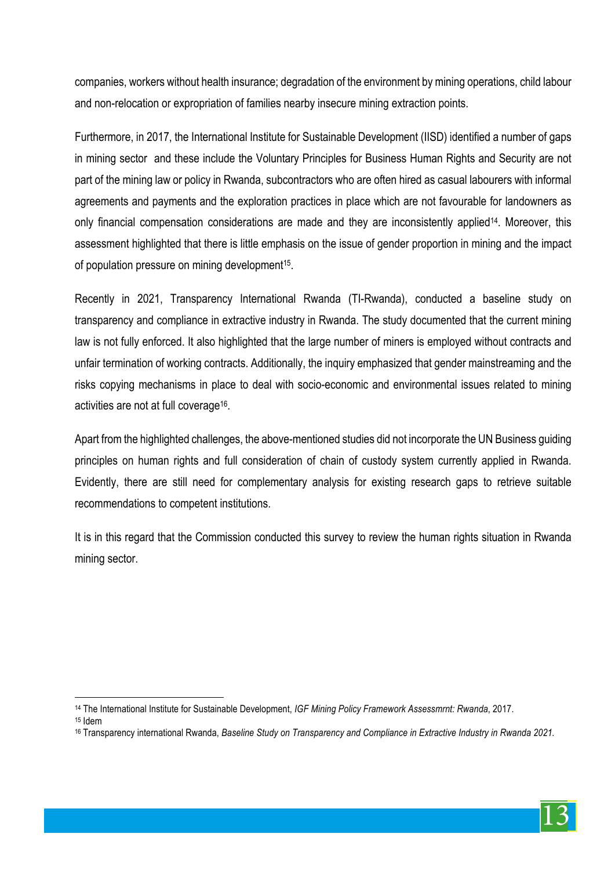companies, workers without health insurance; degradation of the environment by mining operations, child labour and non-relocation or expropriation of families nearby insecure mining extraction points.

Furthermore, in 2017, the International Institute for Sustainable Development (IISD) identified a number of gaps in mining sector and these include the Voluntary Principles for Business Human Rights and Security are not part of the mining law or policy in Rwanda, subcontractors who are often hired as casual labourers with informal agreements and payments and the exploration practices in place which are not favourable for landowners as only financial compensation considerations are made and they are inconsistently applied<sup>14</sup>. Moreover, this assessment highlighted that there is little emphasis on the issue of gender proportion in mining and the impact of population pressure on mining development<sup>15</sup>.

Recently in 2021, Transparency International Rwanda (TI-Rwanda), conducted a baseline study on transparency and compliance in extractive industry in Rwanda. The study documented that the current mining law is not fully enforced. It also highlighted that the large number of miners is employed without contracts and unfair termination of working contracts. Additionally, the inquiry emphasized that gender mainstreaming and the risks copying mechanisms in place to deal with socio-economic and environmental issues related to mining activities are not at full coverage16.

Apart from the highlighted challenges, the above-mentioned studies did not incorporate the UN Business guiding principles on human rights and full consideration of chain of custody system currently applied in Rwanda. Evidently, there are still need for complementary analysis for existing research gaps to retrieve suitable recommendations to competent institutions.

It is in this regard that the Commission conducted this survey to review the human rights situation in Rwanda mining sector.

 $\overline{a}$ 



<sup>14</sup> The International Institute for Sustainable Development, *IGF Mining Policy Framework Assessmrnt: Rwanda*, 2017.

<sup>15</sup> Idem

<sup>16</sup> Transparency international Rwanda, *Baseline Study on Transparency and Compliance in Extractive Industry in Rwanda 2021*.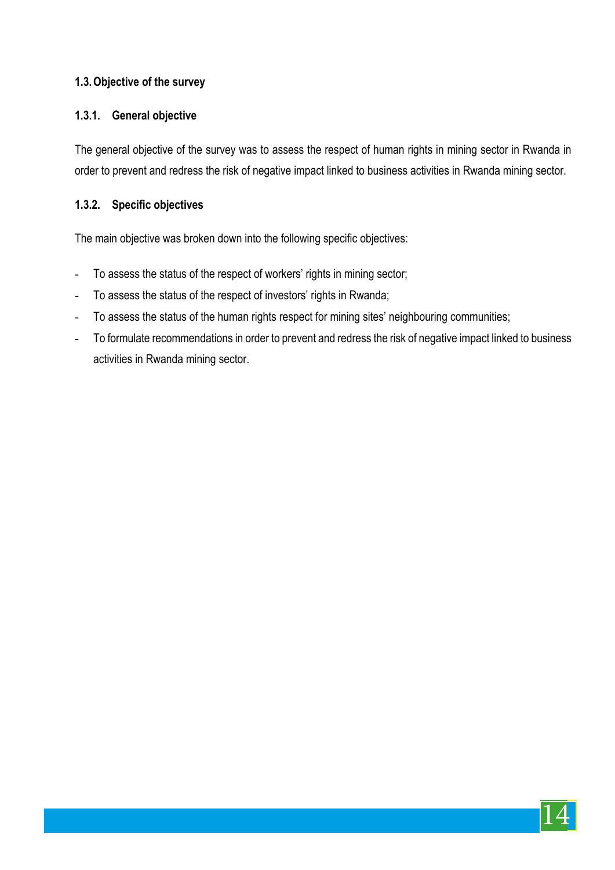# **1.3.Objective of the survey**

#### **1.3.1. General objective**

The general objective of the survey was to assess the respect of human rights in mining sector in Rwanda in order to prevent and redress the risk of negative impact linked to business activities in Rwanda mining sector.

#### **1.3.2. Specific objectives**

The main objective was broken down into the following specific objectives:

- To assess the status of the respect of workers' rights in mining sector;
- To assess the status of the respect of investors' rights in Rwanda;
- To assess the status of the human rights respect for mining sites' neighbouring communities;
- To formulate recommendations in order to prevent and redress the risk of negative impact linked to business activities in Rwanda mining sector.

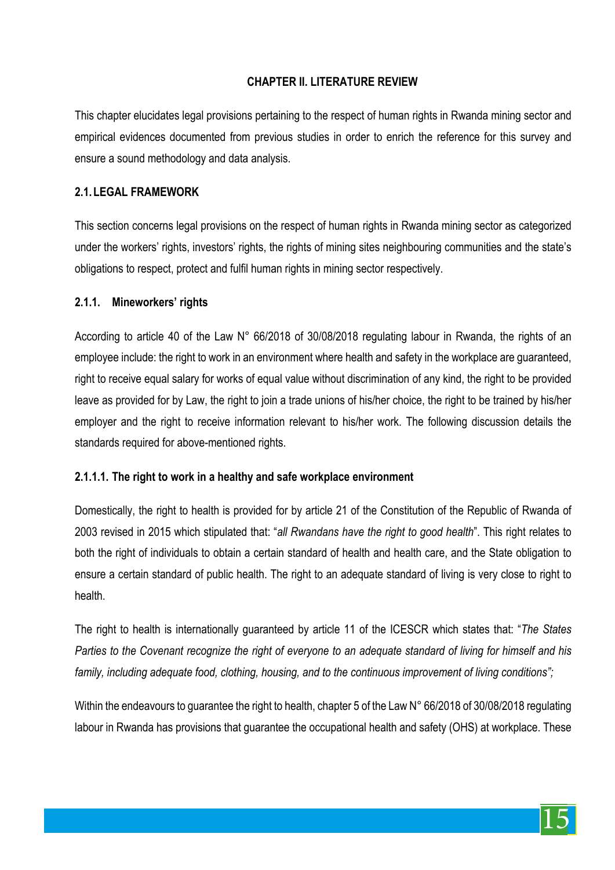# **CHAPTER II. LITERATURE REVIEW**

This chapter elucidates legal provisions pertaining to the respect of human rights in Rwanda mining sector and empirical evidences documented from previous studies in order to enrich the reference for this survey and ensure a sound methodology and data analysis.

## **2.1. LEGAL FRAMEWORK**

This section concerns legal provisions on the respect of human rights in Rwanda mining sector as categorized under the workers' rights, investors' rights, the rights of mining sites neighbouring communities and the state's obligations to respect, protect and fulfil human rights in mining sector respectively.

#### **2.1.1. Mineworkers' rights**

According to article 40 of the Law N° 66/2018 of 30/08/2018 regulating labour in Rwanda, the rights of an employee include: the right to work in an environment where health and safety in the workplace are guaranteed, right to receive equal salary for works of equal value without discrimination of any kind, the right to be provided leave as provided for by Law, the right to join a trade unions of his/her choice, the right to be trained by his/her employer and the right to receive information relevant to his/her work. The following discussion details the standards required for above-mentioned rights.

#### **2.1.1.1. The right to work in a healthy and safe workplace environment**

Domestically, the right to health is provided for by article 21 of the Constitution of the Republic of Rwanda of 2003 revised in 2015 which stipulated that: "*all Rwandans have the right to good health*". This right relates to both the right of individuals to obtain a certain standard of health and health care, and the State obligation to ensure a certain standard of public health. The right to an adequate standard of living is very close to right to health.

The right to health is internationally guaranteed by article 11 of the ICESCR which states that: "*The States Parties to the Covenant recognize the right of everyone to an adequate standard of living for himself and his family, including adequate food, clothing, housing, and to the continuous improvement of living conditions";*

Within the endeavours to guarantee the right to health, chapter 5 of the Law N° 66/2018 of 30/08/2018 regulating labour in Rwanda has provisions that guarantee the occupational health and safety (OHS) at workplace. These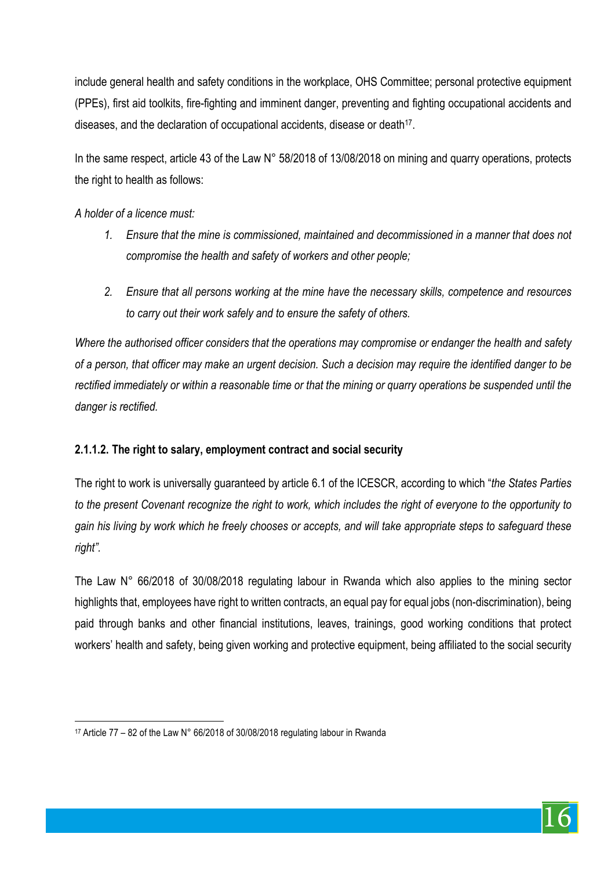include general health and safety conditions in the workplace, OHS Committee; personal protective equipment (PPEs), first aid toolkits, fire-fighting and imminent danger, preventing and fighting occupational accidents and diseases, and the declaration of occupational accidents, disease or death<sup>17</sup>.

In the same respect, article 43 of the Law N° 58/2018 of 13/08/2018 on mining and quarry operations, protects the right to health as follows:

*A holder of a licence must:* 

- *1. Ensure that the mine is commissioned, maintained and decommissioned in a manner that does not compromise the health and safety of workers and other people;*
- *2. Ensure that all persons working at the mine have the necessary skills, competence and resources to carry out their work safely and to ensure the safety of others.*

*Where the authorised officer considers that the operations may compromise or endanger the health and safety of a person, that officer may make an urgent decision. Such a decision may require the identified danger to be rectified immediately or within a reasonable time or that the mining or quarry operations be suspended until the danger is rectified.*

# **2.1.1.2. The right to salary, employment contract and social security**

The right to work is universally guaranteed by article 6.1 of the ICESCR, according to which "*the States Parties to the present Covenant recognize the right to work, which includes the right of everyone to the opportunity to gain his living by work which he freely chooses or accepts, and will take appropriate steps to safeguard these right".*

The Law N° 66/2018 of 30/08/2018 regulating labour in Rwanda which also applies to the mining sector highlights that, employees have right to written contracts, an equal pay for equal jobs (non-discrimination), being paid through banks and other financial institutions, leaves, trainings, good working conditions that protect workers' health and safety, being given working and protective equipment, being affiliated to the social security



 $\overline{a}$ <sup>17</sup> Article 77 – 82 of the Law N° 66/2018 of 30/08/2018 regulating labour in Rwanda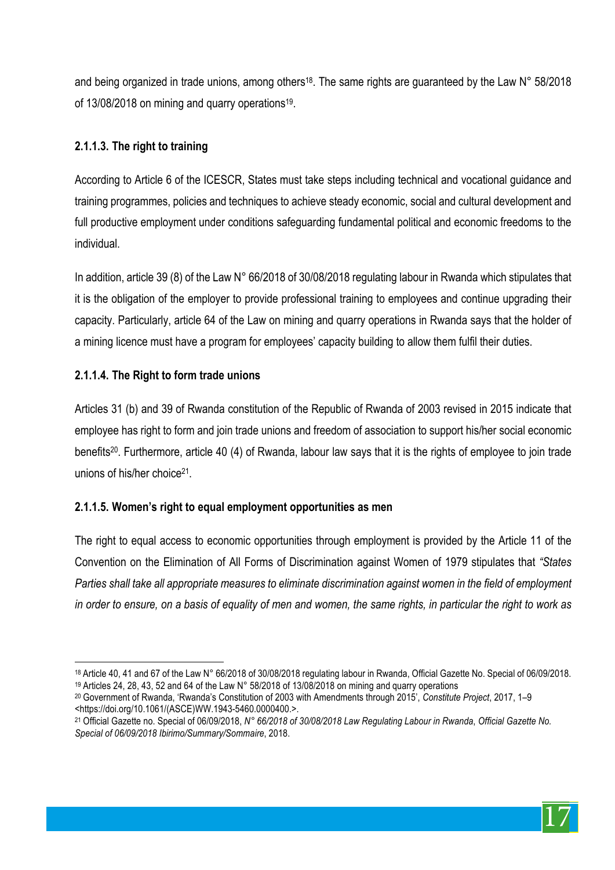and being organized in trade unions, among others<sup>18</sup>. The same rights are guaranteed by the Law  $N^{\circ}$  58/2018 of 13/08/2018 on mining and quarry operations19.

# **2.1.1.3. The right to training**

According to Article 6 of the ICESCR, States must take steps including technical and vocational guidance and training programmes, policies and techniques to achieve steady economic, social and cultural development and full productive employment under conditions safeguarding fundamental political and economic freedoms to the individual.

In addition, article 39 (8) of the Law N° 66/2018 of 30/08/2018 regulating labour in Rwanda which stipulates that it is the obligation of the employer to provide professional training to employees and continue upgrading their capacity. Particularly, article 64 of the Law on mining and quarry operations in Rwanda says that the holder of a mining licence must have a program for employees' capacity building to allow them fulfil their duties.

# **2.1.1.4. The Right to form trade unions**

Articles 31 (b) and 39 of Rwanda constitution of the Republic of Rwanda of 2003 revised in 2015 indicate that employee has right to form and join trade unions and freedom of association to support his/her social economic benefits20. Furthermore, article 40 (4) of Rwanda, labour law says that it is the rights of employee to join trade unions of his/her choice<sup>21</sup>

# **2.1.1.5. Women's right to equal employment opportunities as men**

The right to equal access to economic opportunities through employment is provided by the Article 11 of the Convention on the Elimination of All Forms of Discrimination against Women of 1979 stipulates that *"States Parties shall take all appropriate measures to eliminate discrimination against women in the field of employment in order to ensure, on a basis of equality of men and women, the same rights, in particular the right to work as* 

<sup>20</sup> Government of Rwanda, 'Rwanda's Constitution of 2003 with Amendments through 2015', *Constitute Project*, 2017, 1–9 <https://doi.org/10.1061/(ASCE)WW.1943-5460.0000400.>.



 $\overline{a}$ <sup>18</sup> Article 40, 41 and 67 of the Law N° 66/2018 of 30/08/2018 regulating labour in Rwanda, Official Gazette No. Special of 06/09/2018.

<sup>19</sup> Articles 24, 28, 43, 52 and 64 of the Law N° 58/2018 of 13/08/2018 on mining and quarry operations

<sup>21</sup> Official Gazette no. Special of 06/09/2018, *N° 66/2018 of 30/08/2018 Law Regulating Labour in Rwanda*, *Official Gazette No. Special of 06/09/2018 Ibirimo/Summary/Sommaire*, 2018.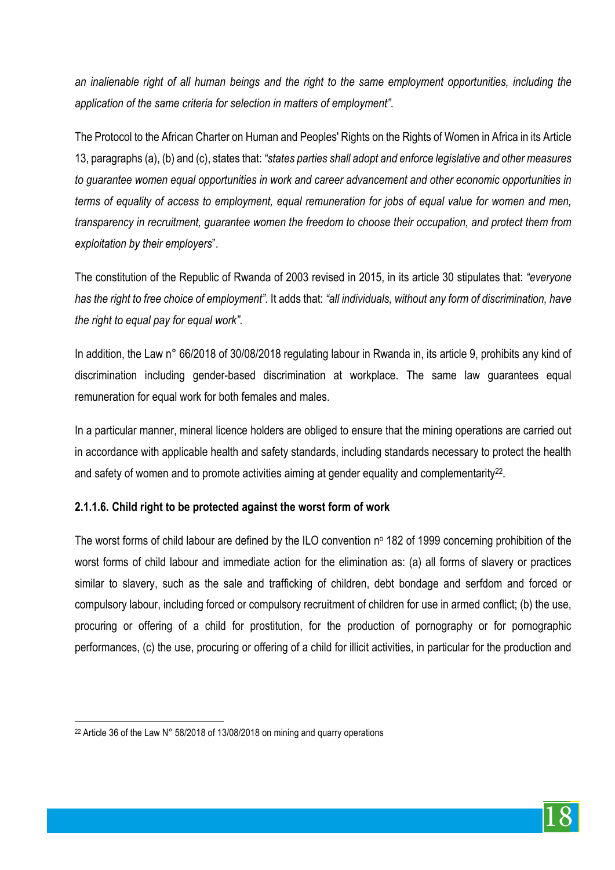*an inalienable right of all human beings and the right to the same employment opportunities, including the application of the same criteria for selection in matters of employment"*.

The Protocol to the African Charter on Human and Peoples' Rights on the Rights of Women in Africa in its Article 13, paragraphs (a), (b) and (c), states that: *"states parties shall adopt and enforce legislative and other measures to guarantee women equal opportunities in work and career advancement and other economic opportunities in terms of equality of access to employment, equal remuneration for jobs of equal value for women and men, transparency in recruitment, guarantee women the freedom to choose their occupation, and protect them from exploitation by their employers*".

The constitution of the Republic of Rwanda of 2003 revised in 2015, in its article 30 stipulates that: *"everyone has the right to free choice of employment".* It adds that: *"all individuals, without any form of discrimination, have the right to equal pay for equal work".*

In addition, the Law n° 66/2018 of 30/08/2018 regulating labour in Rwanda in, its article 9, prohibits any kind of discrimination including gender-based discrimination at workplace. The same law guarantees equal remuneration for equal work for both females and males.

In a particular manner, mineral licence holders are obliged to ensure that the mining operations are carried out in accordance with applicable health and safety standards, including standards necessary to protect the health and safety of women and to promote activities aiming at gender equality and complementarity<sup>22</sup>.

# **2.1.1.6. Child right to be protected against the worst form of work**

The worst forms of child labour are defined by the ILO convention  $n<sup>o</sup>$  182 of 1999 concerning prohibition of the worst forms of child labour and immediate action for the elimination as: (a) all forms of slavery or practices similar to slavery, such as the sale and trafficking of children, debt bondage and serfdom and forced or compulsory labour, including forced or compulsory recruitment of children for use in armed conflict; (b) the use, procuring or offering of a child for prostitution, for the production of pornography or for pornographic performances, (c) the use, procuring or offering of a child for illicit activities, in particular for the production and

 $\overline{a}$ 

<sup>&</sup>lt;sup>22</sup> Article 36 of the Law N° 58/2018 of 13/08/2018 on mining and quarry operations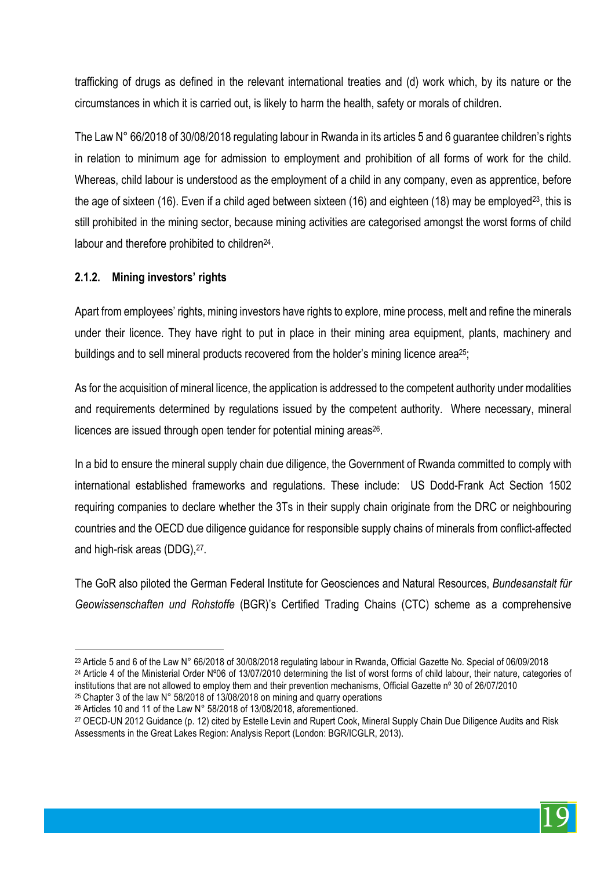trafficking of drugs as defined in the relevant international treaties and (d) work which, by its nature or the circumstances in which it is carried out, is likely to harm the health, safety or morals of children.

The Law N° 66/2018 of 30/08/2018 regulating labour in Rwanda in its articles 5 and 6 guarantee children's rights in relation to minimum age for admission to employment and prohibition of all forms of work for the child. Whereas, child labour is understood as the employment of a child in any company, even as apprentice, before the age of sixteen (16). Even if a child aged between sixteen (16) and eighteen (18) may be employed<sup>23</sup>, this is still prohibited in the mining sector, because mining activities are categorised amongst the worst forms of child labour and therefore prohibited to children<sup>24</sup>.

# **2.1.2. Mining investors' rights**

 $\overline{a}$ 

Apart from employees' rights, mining investors have rights to explore, mine process, melt and refine the minerals under their licence. They have right to put in place in their mining area equipment, plants, machinery and buildings and to sell mineral products recovered from the holder's mining licence area<sup>25</sup>;

As for the acquisition of mineral licence, the application is addressed to the competent authority under modalities and requirements determined by regulations issued by the competent authority. Where necessary, mineral licences are issued through open tender for potential mining areas<sup>26</sup>.

In a bid to ensure the mineral supply chain due diligence, the Government of Rwanda committed to comply with international established frameworks and regulations. These include: US Dodd-Frank Act Section 1502 requiring companies to declare whether the 3Ts in their supply chain originate from the DRC or neighbouring countries and the OECD due diligence guidance for responsible supply chains of minerals from conflict-affected and high-risk areas (DDG),27.

The GoR also piloted the German Federal Institute for Geosciences and Natural Resources, *Bundesanstalt für Geowissenschaften und Rohstoffe* (BGR)'s Certified Trading Chains (CTC) scheme as a comprehensive



<sup>23</sup> Article 5 and 6 of the Law N° 66/2018 of 30/08/2018 regulating labour in Rwanda, Official Gazette No. Special of 06/09/2018 <sup>24</sup> Article 4 of the Ministerial Order N°06 of 13/07/2010 determining the list of worst forms of child labour, their nature, categories of institutions that are not allowed to employ them and their prevention mechanisms, Official Gazette nº 30 of 26/07/2010

<sup>25</sup> Chapter 3 of the law N° 58/2018 of 13/08/2018 on mining and quarry operations <sup>26</sup> Articles 10 and 11 of the Law N° 58/2018 of 13/08/2018, aforementioned.

<sup>&</sup>lt;sup>27</sup> OECD-UN 2012 Guidance (p. 12) cited by Estelle Levin and Rupert Cook, Mineral Supply Chain Due Diligence Audits and Risk Assessments in the Great Lakes Region: Analysis Report (London: BGR/ICGLR, 2013).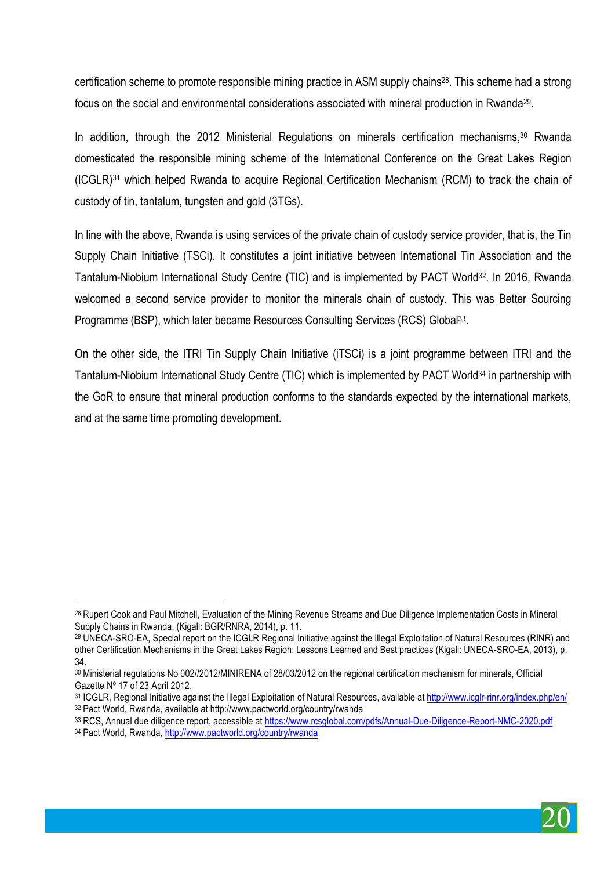certification scheme to promote responsible mining practice in ASM supply chains28. This scheme had a strong focus on the social and environmental considerations associated with mineral production in Rwanda29.

In addition, through the 2012 Ministerial Regulations on minerals certification mechanisms, <sup>30</sup> Rwanda domesticated the responsible mining scheme of the International Conference on the Great Lakes Region (ICGLR)31 which helped Rwanda to acquire Regional Certification Mechanism (RCM) to track the chain of custody of tin, tantalum, tungsten and gold (3TGs).

In line with the above, Rwanda is using services of the private chain of custody service provider, that is, the Tin Supply Chain Initiative (TSCi). It constitutes a joint initiative between International Tin Association and the Tantalum-Niobium International Study Centre (TIC) and is implemented by PACT World32. In 2016, Rwanda welcomed a second service provider to monitor the minerals chain of custody. This was Better Sourcing Programme (BSP), which later became Resources Consulting Services (RCS) Global33.

On the other side, the ITRI Tin Supply Chain Initiative (iTSCi) is a joint programme between ITRI and the Tantalum-Niobium International Study Centre (TIC) which is implemented by PACT World34 in partnership with the GoR to ensure that mineral production conforms to the standards expected by the international markets, and at the same time promoting development.



 $\overline{a}$ <sup>28</sup> Rupert Cook and Paul Mitchell, Evaluation of the Mining Revenue Streams and Due Diligence Implementation Costs in Mineral Supply Chains in Rwanda, (Kigali: BGR/RNRA, 2014), p. 11.

<sup>29</sup> UNECA-SRO-EA, Special report on the ICGLR Regional Initiative against the Illegal Exploitation of Natural Resources (RINR) and other Certification Mechanisms in the Great Lakes Region: Lessons Learned and Best practices (Kigali: UNECA-SRO-EA, 2013), p. 34.

<sup>30</sup> Ministerial regulations No 002//2012/MINIRENA of 28/03/2012 on the regional certification mechanism for minerals, Official Gazette Nº 17 of 23 April 2012.

<sup>&</sup>lt;sup>31</sup> ICGLR, Regional Initiative against the Illegal Exploitation of Natural Resources, available at http://www.icglr-rinr.org/index.php/en/<br><sup>32</sup> Pact World, Rwanda, available at http://www.pactworld.org/country/rwanda

<sup>33</sup> RCS, Annual due diligence report, accessible at https://www.rcsglobal.com/pdfs/Annual-Due-Diligence-Report-NMC-2020.pdf <sup>34</sup> Pact World, Rwanda, http://www.pactworld.org/country/rwanda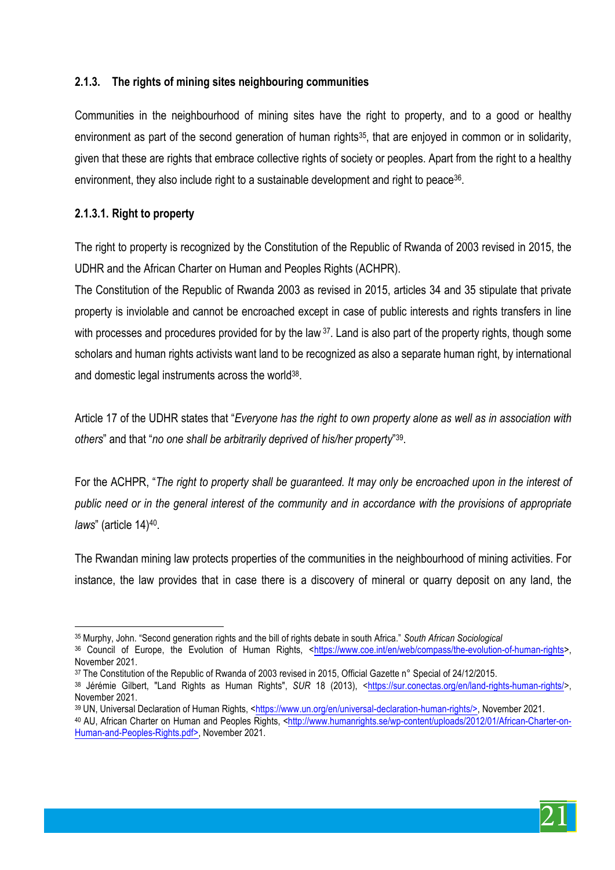# **2.1.3. The rights of mining sites neighbouring communities**

Communities in the neighbourhood of mining sites have the right to property, and to a good or healthy environment as part of the second generation of human rights<sup>35</sup>, that are enjoyed in common or in solidarity, given that these are rights that embrace collective rights of society or peoples. Apart from the right to a healthy environment, they also include right to a sustainable development and right to peace<sup>36</sup>.

#### **2.1.3.1. Right to property**

 $\overline{a}$ 

The right to property is recognized by the Constitution of the Republic of Rwanda of 2003 revised in 2015, the UDHR and the African Charter on Human and Peoples Rights (ACHPR).

The Constitution of the Republic of Rwanda 2003 as revised in 2015, articles 34 and 35 stipulate that private property is inviolable and cannot be encroached except in case of public interests and rights transfers in line with processes and procedures provided for by the law 37. Land is also part of the property rights, though some scholars and human rights activists want land to be recognized as also a separate human right, by international and domestic legal instruments across the world<sup>38</sup>.

Article 17 of the UDHR states that "*Everyone has the right to own property alone as well as in association with others*" and that "*no one shall be arbitrarily deprived of his/her property*"39.

For the ACHPR, "*The right to property shall be guaranteed. It may only be encroached upon in the interest of public need or in the general interest of the community and in accordance with the provisions of appropriate laws*" (article 14)40.

The Rwandan mining law protects properties of the communities in the neighbourhood of mining activities. For instance, the law provides that in case there is a discovery of mineral or quarry deposit on any land, the

<sup>37</sup> The Constitution of the Republic of Rwanda of 2003 revised in 2015. Official Gazette n° Special of 24/12/2015.



<sup>35</sup> Murphy, John. "Second generation rights and the bill of rights debate in south Africa." *South African Sociological*

<sup>36</sup> Council of Europe, the Evolution of Human Rights, <https://www.coe.int/en/web/compass/the-evolution-of-human-rights>, November 2021.

<sup>38</sup> Jérémie Gilbert, "Land Rights as Human Rights", *SUR* 18 (2013), <https://sur.conectas.org/en/land-rights-human-rights/>, November 2021.

<sup>39</sup> UN, Universal Declaration of Human Rights, <https://www.un.org/en/universal-declaration-human-rights/>, November 2021. <sup>40</sup> AU, African Charter on Human and Peoples Rights, <http://www.humanrights.se/wp-content/uploads/2012/01/African-Charter-on-Human-and-Peoples-Rights.pdf>, November 2021.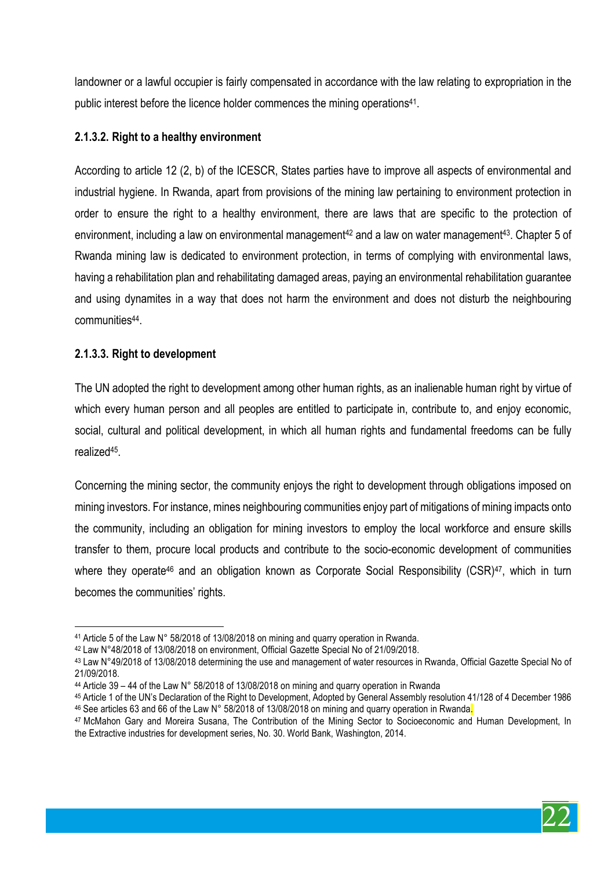landowner or a lawful occupier is fairly compensated in accordance with the law relating to expropriation in the public interest before the licence holder commences the mining operations41.

#### **2.1.3.2. Right to a healthy environment**

According to article 12 (2, b) of the ICESCR, States parties have to improve all aspects of environmental and industrial hygiene. In Rwanda, apart from provisions of the mining law pertaining to environment protection in order to ensure the right to a healthy environment, there are laws that are specific to the protection of environment, including a law on environmental management<sup>42</sup> and a law on water management<sup>43</sup>. Chapter 5 of Rwanda mining law is dedicated to environment protection, in terms of complying with environmental laws, having a rehabilitation plan and rehabilitating damaged areas, paying an environmental rehabilitation guarantee and using dynamites in a way that does not harm the environment and does not disturb the neighbouring communities44.

#### **2.1.3.3. Right to development**

The UN adopted the right to development among other human rights, as an inalienable human right by virtue of which every human person and all peoples are entitled to participate in, contribute to, and enjoy economic, social, cultural and political development, in which all human rights and fundamental freedoms can be fully realized45.

Concerning the mining sector, the community enjoys the right to development through obligations imposed on mining investors. For instance, mines neighbouring communities enjoy part of mitigations of mining impacts onto the community, including an obligation for mining investors to employ the local workforce and ensure skills transfer to them, procure local products and contribute to the socio-economic development of communities where they operate<sup>46</sup> and an obligation known as Corporate Social Responsibility (CSR)<sup>47</sup>, which in turn becomes the communities' rights.



 $\overline{a}$ <sup>41</sup> Article 5 of the Law N° 58/2018 of 13/08/2018 on mining and quarry operation in Rwanda.

<sup>42</sup> Law N°48/2018 of 13/08/2018 on environment, Official Gazette Special No of 21/09/2018.

<sup>43</sup> Law N°49/2018 of 13/08/2018 determining the use and management of water resources in Rwanda, Official Gazette Special No of 21/09/2018.

<sup>44</sup> Article 39 – 44 of the Law N° 58/2018 of 13/08/2018 on mining and quarry operation in Rwanda

<sup>45</sup> Article 1 of the UN's Declaration of the Right to Development, Adopted by General Assembly resolution 41/128 of 4 December 1986  $46$  See articles 63 and 66 of the Law N° 58/2018 of 13/08/2018 on mining and quarry operation in Rwanda.

<sup>47</sup> McMahon Gary and Moreira Susana, The Contribution of the Mining Sector to Socioeconomic and Human Development, In the Extractive industries for development series, No. 30. World Bank, Washington, 2014.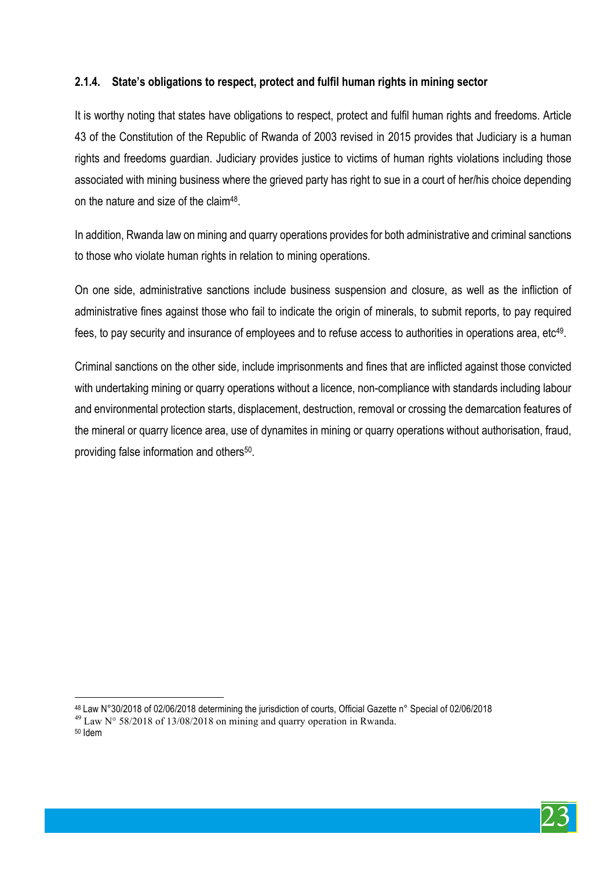# **2.1.4. State's obligations to respect, protect and fulfil human rights in mining sector**

It is worthy noting that states have obligations to respect, protect and fulfil human rights and freedoms. Article 43 of the Constitution of the Republic of Rwanda of 2003 revised in 2015 provides that Judiciary is a human rights and freedoms guardian. Judiciary provides justice to victims of human rights violations including those associated with mining business where the grieved party has right to sue in a court of her/his choice depending on the nature and size of the claim48.

In addition, Rwanda law on mining and quarry operations provides for both administrative and criminal sanctions to those who violate human rights in relation to mining operations.

On one side, administrative sanctions include business suspension and closure, as well as the infliction of administrative fines against those who fail to indicate the origin of minerals, to submit reports, to pay required fees, to pay security and insurance of employees and to refuse access to authorities in operations area, etc<sup>49</sup>.

Criminal sanctions on the other side, include imprisonments and fines that are inflicted against those convicted with undertaking mining or quarry operations without a licence, non-compliance with standards including labour and environmental protection starts, displacement, destruction, removal or crossing the demarcation features of the mineral or quarry licence area, use of dynamites in mining or quarry operations without authorisation, fraud, providing false information and others50.

<sup>50</sup> Idem



 $\overline{a}$ <sup>48</sup> Law N°30/2018 of 02/06/2018 determining the jurisdiction of courts, Official Gazette n° Special of 02/06/2018  $^{49}$  Law N° 58/2018 of 13/08/2018 on mining and quarry operation in Rwanda.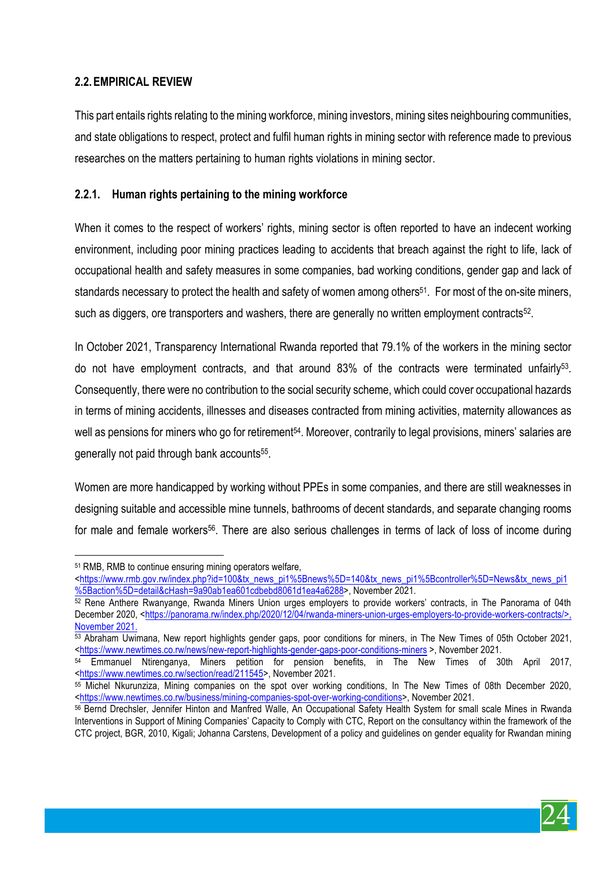# **2.2.EMPIRICAL REVIEW**

This part entails rights relating to the mining workforce, mining investors, mining sites neighbouring communities, and state obligations to respect, protect and fulfil human rights in mining sector with reference made to previous researches on the matters pertaining to human rights violations in mining sector.

## **2.2.1. Human rights pertaining to the mining workforce**

When it comes to the respect of workers' rights, mining sector is often reported to have an indecent working environment, including poor mining practices leading to accidents that breach against the right to life, lack of occupational health and safety measures in some companies, bad working conditions, gender gap and lack of standards necessary to protect the health and safety of women among others<sup>51</sup>. For most of the on-site miners, such as diggers, ore transporters and washers, there are generally no written employment contracts<sup>52</sup>.

In October 2021, Transparency International Rwanda reported that 79.1% of the workers in the mining sector do not have employment contracts, and that around 83% of the contracts were terminated unfairly<sup>53</sup>. Consequently, there were no contribution to the social security scheme, which could cover occupational hazards in terms of mining accidents, illnesses and diseases contracted from mining activities, maternity allowances as well as pensions for miners who go for retirement<sup>54</sup>. Moreover, contrarily to legal provisions, miners' salaries are generally not paid through bank accounts<sup>55</sup>.

Women are more handicapped by working without PPEs in some companies, and there are still weaknesses in designing suitable and accessible mine tunnels, bathrooms of decent standards, and separate changing rooms for male and female workers<sup>56</sup>. There are also serious challenges in terms of lack of loss of income during



 $\overline{a}$ <sup>51</sup> RMB, RMB to continue ensuring mining operators welfare,

<sup>&</sup>lt;https://www.rmb.gov.rw/index.php?id=100&tx\_news\_pi1%5Bnews%5D=140&tx\_news\_pi1%5Bcontroller%5D=News&tx\_news\_pi1 %5Baction%5D=detail&cHash=9a90ab1ea601cdbebd8061d1ea4a6288>, November 2021.

<sup>52</sup> Rene Anthere Rwanyange, Rwanda Miners Union urges employers to provide workers' contracts, in The Panorama of 04th December 2020, <https://panorama.rw/index.php/2020/12/04/rwanda-miners-union-urges-employers-to-provide-workers-contracts/>, November 2021.

<sup>53</sup> Abraham Uwimana, New report highlights gender gaps, poor conditions for miners, in The New Times of 05th October 2021, <https://www.newtimes.co.rw/news/new-report-highlights-gender-gaps-poor-conditions-miners >, November 2021.

<sup>&</sup>lt;sup>54</sup> Emmanuel Ntirenganya, Miners petition for pension benefits, in The New Times of 30th April 2017, <https://www.newtimes.co.rw/section/read/211545>, November 2021.

<sup>55</sup> Michel Nkurunziza, Mining companies on the spot over working conditions, In The New Times of 08th December 2020, <https://www.newtimes.co.rw/business/mining-companies-spot-over-working-conditions>, November 2021.

<sup>56</sup> Bernd Drechsler, Jennifer Hinton and Manfred Walle, An Occupational Safety Health System for small scale Mines in Rwanda Interventions in Support of Mining Companies' Capacity to Comply with CTC, Report on the consultancy within the framework of the CTC project, BGR, 2010, Kigali; Johanna Carstens, Development of a policy and guidelines on gender equality for Rwandan mining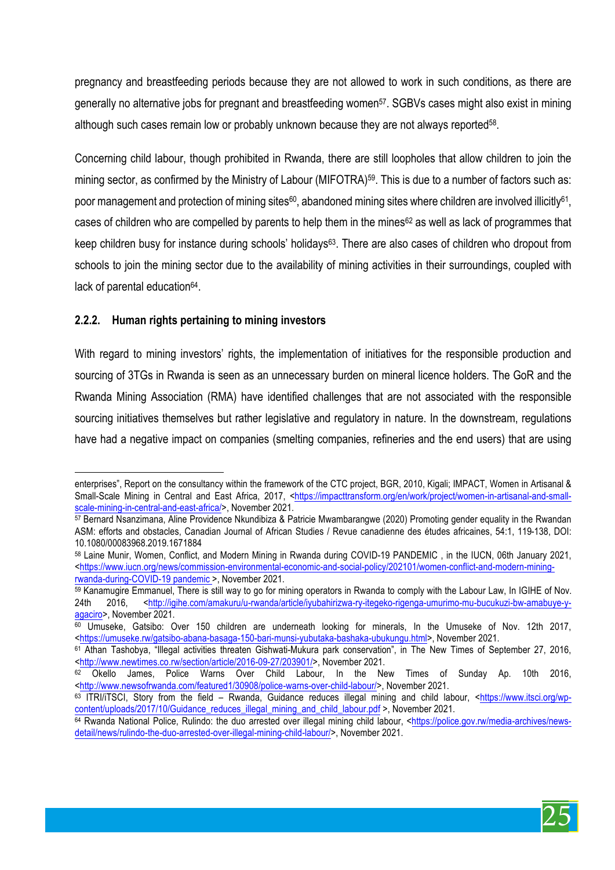pregnancy and breastfeeding periods because they are not allowed to work in such conditions, as there are generally no alternative jobs for pregnant and breastfeeding women<sup>57</sup>. SGBVs cases might also exist in mining although such cases remain low or probably unknown because they are not always reported<sup>58</sup>.

Concerning child labour, though prohibited in Rwanda, there are still loopholes that allow children to join the mining sector, as confirmed by the Ministry of Labour (MIFOTRA)<sup>59</sup>. This is due to a number of factors such as: poor management and protection of mining sites<sup>60</sup>, abandoned mining sites where children are involved illicitly<sup>61</sup>, cases of children who are compelled by parents to help them in the mines<sup>62</sup> as well as lack of programmes that keep children busy for instance during schools' holidays63. There are also cases of children who dropout from schools to join the mining sector due to the availability of mining activities in their surroundings, coupled with lack of parental education<sup>64</sup>.

#### **2.2.2. Human rights pertaining to mining investors**

With regard to mining investors' rights, the implementation of initiatives for the responsible production and sourcing of 3TGs in Rwanda is seen as an unnecessary burden on mineral licence holders. The GoR and the Rwanda Mining Association (RMA) have identified challenges that are not associated with the responsible sourcing initiatives themselves but rather legislative and regulatory in nature. In the downstream, regulations have had a negative impact on companies (smelting companies, refineries and the end users) that are using



 $\overline{a}$ enterprises", Report on the consultancy within the framework of the CTC project, BGR, 2010, Kigali; IMPACT, Women in Artisanal & Small-Scale Mining in Central and East Africa, 2017, <https://impacttransform.org/en/work/project/women-in-artisanal-and-smallscale-mining-in-central-and-east-africa/>, November 2021.

<sup>57</sup> Bernard Nsanzimana, Aline Providence Nkundibiza & Patricie Mwambarangwe (2020) Promoting gender equality in the Rwandan ASM: efforts and obstacles, Canadian Journal of African Studies / Revue canadienne des études africaines, 54:1, 119-138, DOI: 10.1080/00083968.2019.1671884

<sup>58</sup> Laine Munir, Women, Conflict, and Modern Mining in Rwanda during COVID-19 PANDEMIC , in the IUCN, 06th January 2021, <https://www.iucn.org/news/commission-environmental-economic-and-social-policy/202101/women-conflict-and-modern-miningrwanda-during-COVID-19 pandemic >, November 2021.

<sup>59</sup> Kanamugire Emmanuel, There is still way to go for mining operators in Rwanda to comply with the Labour Law, In IGIHE of Nov. 24th 2016, <http://igihe.com/amakuru/u-rwanda/article/iyubahirizwa-ry-itegeko-rigenga-umurimo-mu-bucukuzi-bw-amabuye-yagaciro>, November 2021.

<sup>60</sup> Umuseke, Gatsibo: Over 150 children are underneath looking for minerals, In the Umuseke of Nov. 12th 2017, <https://umuseke.rw/gatsibo-abana-basaga-150-bari-munsi-yubutaka-bashaka-ubukungu.html>, November 2021.

<sup>61</sup> Athan Tashobya, "Illegal activities threaten Gishwati-Mukura park conservation", in The New Times of September 27, 2016, <http://www.newtimes.co.rw/section/article/2016-09-27/203901/>, November 2021.

<sup>&</sup>lt;sup>62</sup> Okello James, Police Warns Over Child Labour, In the New Times of Sunday Ap. 10th 2016, <http://www.newsofrwanda.com/featured1/30908/police-warns-over-child-labour/>, November 2021.

<sup>63</sup> ITRI/iTSCI, Story from the field – Rwanda, Guidance reduces illegal mining and child labour, <https://www.itsci.org/wpcontent/uploads/2017/10/Guidance\_reduces\_illegal\_mining\_and\_child\_labour.pdf >, November 2021.

<sup>64</sup> Rwanda National Police, Rulindo: the duo arrested over illegal mining child labour, <https://police.gov.rw/media-archives/newsdetail/news/rulindo-the-duo-arrested-over-illegal-mining-child-labour/>, November 2021.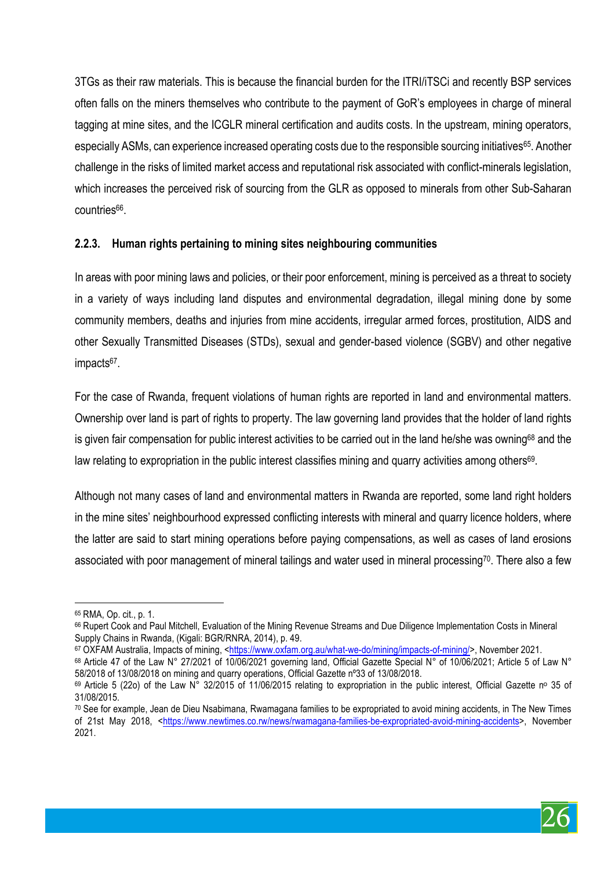3TGs as their raw materials. This is because the financial burden for the ITRI/iTSCi and recently BSP services often falls on the miners themselves who contribute to the payment of GoR's employees in charge of mineral tagging at mine sites, and the ICGLR mineral certification and audits costs. In the upstream, mining operators, especially ASMs, can experience increased operating costs due to the responsible sourcing initiatives<sup>65</sup>. Another challenge in the risks of limited market access and reputational risk associated with conflict-minerals legislation, which increases the perceived risk of sourcing from the GLR as opposed to minerals from other Sub-Saharan countries<sup>66</sup>.

#### **2.2.3. Human rights pertaining to mining sites neighbouring communities**

In areas with poor mining laws and policies, or their poor enforcement, mining is perceived as a threat to society in a variety of ways including land disputes and environmental degradation, illegal mining done by some community members, deaths and injuries from mine accidents, irregular armed forces, prostitution, AIDS and other Sexually Transmitted Diseases (STDs), sexual and gender-based violence (SGBV) and other negative impacts<sup>67</sup>.

For the case of Rwanda, frequent violations of human rights are reported in land and environmental matters. Ownership over land is part of rights to property. The law governing land provides that the holder of land rights is given fair compensation for public interest activities to be carried out in the land he/she was owning<sup>68</sup> and the law relating to expropriation in the public interest classifies mining and quarry activities among others<sup>69</sup>.

Although not many cases of land and environmental matters in Rwanda are reported, some land right holders in the mine sites' neighbourhood expressed conflicting interests with mineral and quarry licence holders, where the latter are said to start mining operations before paying compensations, as well as cases of land erosions associated with poor management of mineral tailings and water used in mineral processing70. There also a few

 $\overline{a}$ 



<sup>65</sup> RMA, Op. cit., p. 1.

<sup>66</sup> Rupert Cook and Paul Mitchell, Evaluation of the Mining Revenue Streams and Due Diligence Implementation Costs in Mineral Supply Chains in Rwanda, (Kigali: BGR/RNRA, 2014), p. 49.

<sup>67</sup> OXFAM Australia, Impacts of mining, <https://www.oxfam.org.au/what-we-do/mining/impacts-of-mining/>, November 2021.

<sup>68</sup> Article 47 of the Law N° 27/2021 of 10/06/2021 governing land, Official Gazette Special N° of 10/06/2021; Article 5 of Law N° 58/2018 of 13/08/2018 on mining and quarry operations, Official Gazette nº33 of 13/08/2018.

 $69$  Article 5 (22o) of the Law N° 32/2015 of 11/06/2015 relating to expropriation in the public interest. Official Gazette nº 35 of 31/08/2015.

<sup>70</sup> See for example, Jean de Dieu Nsabimana, Rwamagana families to be expropriated to avoid mining accidents, in The New Times of 21st May 2018, <https://www.newtimes.co.rw/news/rwamagana-families-be-expropriated-avoid-mining-accidents>, November 2021.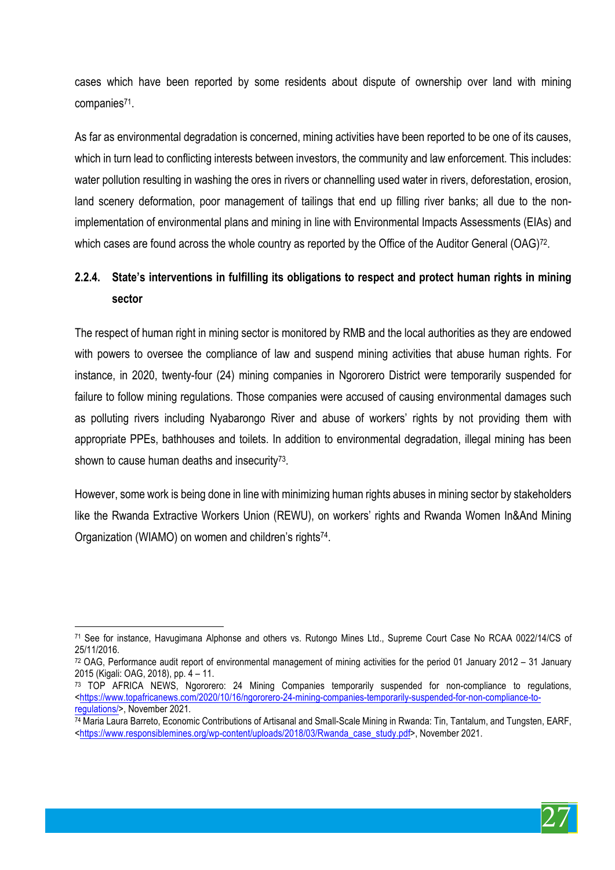cases which have been reported by some residents about dispute of ownership over land with mining companies71.

As far as environmental degradation is concerned, mining activities have been reported to be one of its causes, which in turn lead to conflicting interests between investors, the community and law enforcement. This includes: water pollution resulting in washing the ores in rivers or channelling used water in rivers, deforestation, erosion, land scenery deformation, poor management of tailings that end up filling river banks; all due to the nonimplementation of environmental plans and mining in line with Environmental Impacts Assessments (EIAs) and which cases are found across the whole country as reported by the Office of the Auditor General (OAG)<sup>72</sup>.

# **2.2.4. State's interventions in fulfilling its obligations to respect and protect human rights in mining sector**

The respect of human right in mining sector is monitored by RMB and the local authorities as they are endowed with powers to oversee the compliance of law and suspend mining activities that abuse human rights. For instance, in 2020, twenty-four (24) mining companies in Ngororero District were temporarily suspended for failure to follow mining regulations. Those companies were accused of causing environmental damages such as polluting rivers including Nyabarongo River and abuse of workers' rights by not providing them with appropriate PPEs, bathhouses and toilets. In addition to environmental degradation, illegal mining has been shown to cause human deaths and insecurity<sup>73</sup>.

However, some work is being done in line with minimizing human rights abuses in mining sector by stakeholders like the Rwanda Extractive Workers Union (REWU), on workers' rights and Rwanda Women In&And Mining Organization (WIAMO) on women and children's rights74.



 $\overline{a}$ <sup>71</sup> See for instance, Havugimana Alphonse and others vs. Rutongo Mines Ltd., Supreme Court Case No RCAA 0022/14/CS of 25/11/2016.

 $72$  OAG, Performance audit report of environmental management of mining activities for the period 01 January 2012 – 31 January 2015 (Kigali: OAG, 2018), pp. 4 – 11.

<sup>73</sup> TOP AFRICA NEWS, Ngororero: 24 Mining Companies temporarily suspended for non-compliance to regulations, <https://www.topafricanews.com/2020/10/16/ngororero-24-mining-companies-temporarily-suspended-for-non-compliance-toregulations/>, November 2021.

 $\frac{74}{74}$  Maria Laura Barreto, Economic Contributions of Artisanal and Small-Scale Mining in Rwanda: Tin, Tantalum, and Tungsten, EARF, <https://www.responsiblemines.org/wp-content/uploads/2018/03/Rwanda\_case\_study.pdf>, November 2021.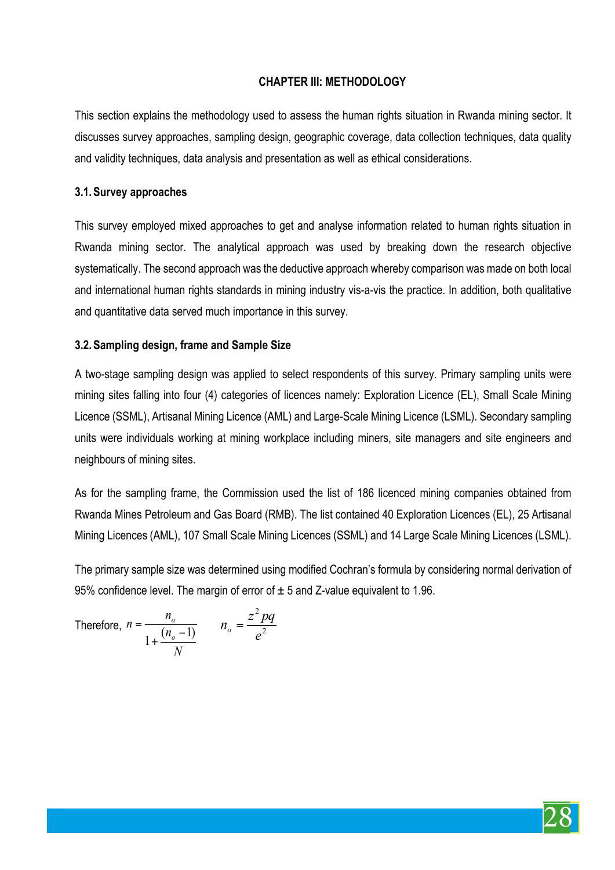# **CHAPTER III: METHODOLOGY**

This section explains the methodology used to assess the human rights situation in Rwanda mining sector. It discusses survey approaches, sampling design, geographic coverage, data collection techniques, data quality and validity techniques, data analysis and presentation as well as ethical considerations.

#### **3.1.Survey approaches**

This survey employed mixed approaches to get and analyse information related to human rights situation in Rwanda mining sector. The analytical approach was used by breaking down the research objective systematically. The second approach was the deductive approach whereby comparison was made on both local and international human rights standards in mining industry vis-a-vis the practice. In addition, both qualitative and quantitative data served much importance in this survey.

#### **3.2.Sampling design, frame and Sample Size**

A two-stage sampling design was applied to select respondents of this survey. Primary sampling units were mining sites falling into four (4) categories of licences namely: Exploration Licence (EL), Small Scale Mining Licence (SSML), Artisanal Mining Licence (AML) and Large-Scale Mining Licence (LSML). Secondary sampling units were individuals working at mining workplace including miners, site managers and site engineers and neighbours of mining sites.

As for the sampling frame, the Commission used the list of 186 licenced mining companies obtained from Rwanda Mines Petroleum and Gas Board (RMB). The list contained 40 Exploration Licences (EL), 25 Artisanal Mining Licences (AML), 107 Small Scale Mining Licences (SSML) and 14 Large Scale Mining Licences (LSML).

The primary sample size was determined using modified Cochran's formula by considering normal derivation of 95% confidence level. The margin of error of  $\pm$  5 and Z-value equivalent to 1.96.

Therefore, 
$$
n = \frac{n_o}{1 + \frac{(n_o - 1)}{N}}
$$
  $n_o = \frac{z^2 pq}{e^2}$ 

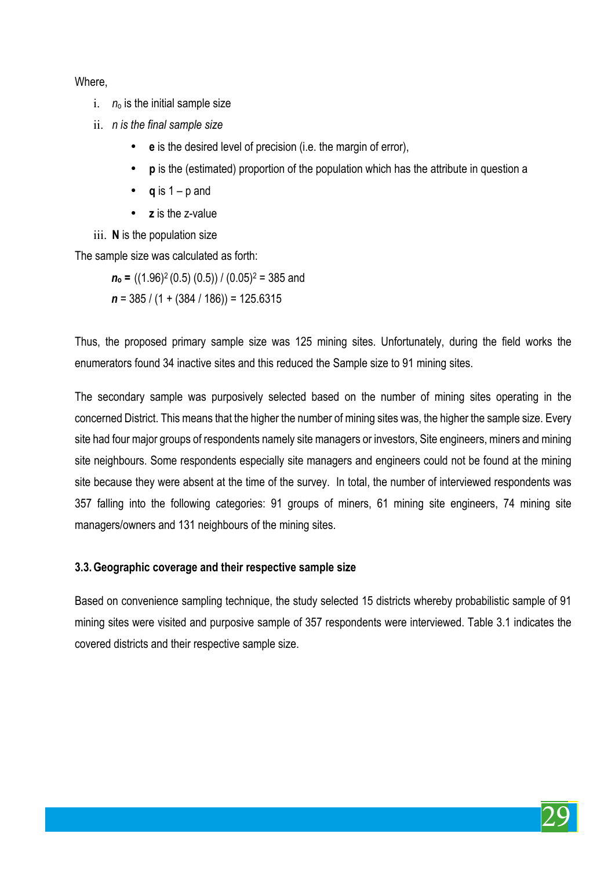Where,

- i. *n*<sup>o</sup> is the initial sample size
- ii. *n is the final sample size*
	- **e** is the desired level of precision (i.e. the margin of error),
	- **p** is the (estimated) proportion of the population which has the attribute in question a
	- $q$  is  $1 p$  and
	- **z** is the z-value

iii. **N** is the population size

The sample size was calculated as forth:

*n***<sup>o</sup> =** ((1.96)2 (0.5) (0.5)) / (0.05)2 = 385 and

*n* = 385 / (1 + (384 / 186)) = 125.6315

Thus, the proposed primary sample size was 125 mining sites. Unfortunately, during the field works the enumerators found 34 inactive sites and this reduced the Sample size to 91 mining sites.

The secondary sample was purposively selected based on the number of mining sites operating in the concerned District. This means that the higher the number of mining sites was, the higher the sample size. Every site had four major groups of respondents namely site managers or investors, Site engineers, miners and mining site neighbours. Some respondents especially site managers and engineers could not be found at the mining site because they were absent at the time of the survey. In total, the number of interviewed respondents was 357 falling into the following categories: 91 groups of miners, 61 mining site engineers, 74 mining site managers/owners and 131 neighbours of the mining sites.

# **3.3.Geographic coverage and their respective sample size**

Based on convenience sampling technique, the study selected 15 districts whereby probabilistic sample of 91 mining sites were visited and purposive sample of 357 respondents were interviewed. Table 3.1 indicates the covered districts and their respective sample size.

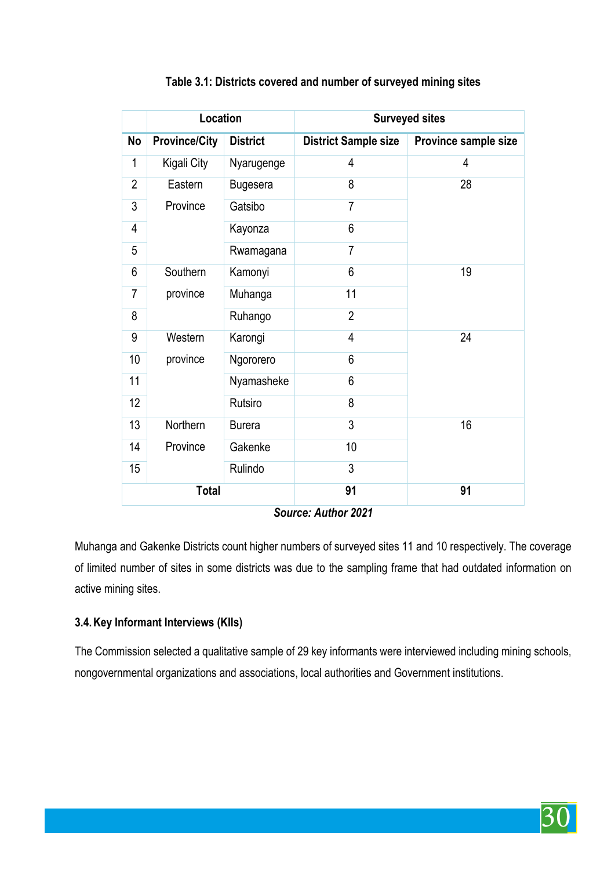| Location       |                      | <b>Surveyed sites</b> |                             |                      |
|----------------|----------------------|-----------------------|-----------------------------|----------------------|
| <b>No</b>      | <b>Province/City</b> | <b>District</b>       | <b>District Sample size</b> | Province sample size |
| 1              | Kigali City          | Nyarugenge            | 4                           | 4                    |
| $\overline{2}$ | Eastern              | <b>Bugesera</b>       | 8                           | 28                   |
| 3              | Province             | Gatsibo               | $\overline{7}$              |                      |
| $\overline{4}$ |                      | Kayonza               | 6                           |                      |
| 5              |                      | Rwamagana             | $\overline{7}$              |                      |
| 6              | Southern             | Kamonyi               | 6                           | 19                   |
| $\overline{7}$ | province             | Muhanga               | 11                          |                      |
| 8              |                      | Ruhango               | $\overline{2}$              |                      |
| 9              | Western              | Karongi               | 4                           | 24                   |
| 10             | province             | Ngororero             | 6                           |                      |
| 11             |                      | Nyamasheke            | 6                           |                      |
| 12             |                      | Rutsiro               | 8                           |                      |
| 13             | Northern             | <b>Burera</b>         | 3                           | 16                   |
| 14             | Province             | Gakenke               | 10                          |                      |
| 15             |                      | Rulindo               | 3                           |                      |
|                | <b>Total</b>         |                       | 91                          | 91                   |

#### **Table 3.1: Districts covered and number of surveyed mining sites**

*Source: Author 2021*

Muhanga and Gakenke Districts count higher numbers of surveyed sites 11 and 10 respectively. The coverage of limited number of sites in some districts was due to the sampling frame that had outdated information on active mining sites.

# **3.4.Key Informant Interviews (KIIs)**

The Commission selected a qualitative sample of 29 key informants were interviewed including mining schools, nongovernmental organizations and associations, local authorities and Government institutions.

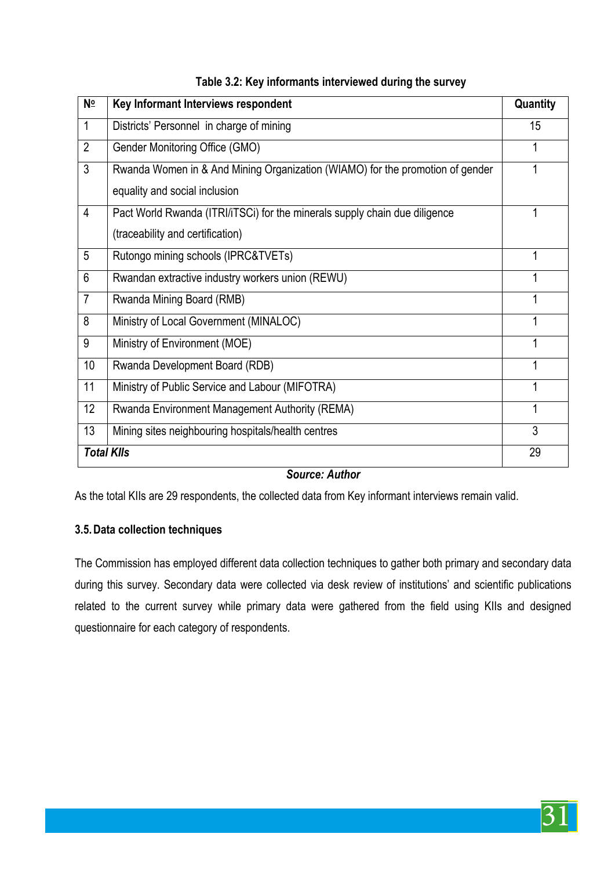| N <u>∘</u>     | Key Informant Interviews respondent                                           | Quantity |
|----------------|-------------------------------------------------------------------------------|----------|
| $\mathbf{1}$   | Districts' Personnel in charge of mining                                      | 15       |
| $\overline{2}$ | Gender Monitoring Office (GMO)                                                |          |
| 3              | Rwanda Women in & And Mining Organization (WIAMO) for the promotion of gender |          |
|                | equality and social inclusion                                                 |          |
| 4              | Pact World Rwanda (ITRI/iTSCi) for the minerals supply chain due diligence    |          |
|                | (traceability and certification)                                              |          |
| 5              | Rutongo mining schools (IPRC&TVETs)                                           |          |
| 6              | Rwandan extractive industry workers union (REWU)                              |          |
| $\overline{7}$ | Rwanda Mining Board (RMB)                                                     |          |
| 8              | Ministry of Local Government (MINALOC)                                        |          |
| 9              | Ministry of Environment (MOE)                                                 |          |
| 10             | Rwanda Development Board (RDB)                                                |          |
| 11             | Ministry of Public Service and Labour (MIFOTRA)                               |          |
| 12             | Rwanda Environment Management Authority (REMA)                                | 1        |
| 13             | Mining sites neighbouring hospitals/health centres                            | 3        |
|                | <b>Total Klls</b>                                                             | 29       |

#### **Table 3.2: Key informants interviewed during the survey**

#### *Source: Author*

As the total KIIs are 29 respondents, the collected data from Key informant interviews remain valid.

#### **3.5.Data collection techniques**

The Commission has employed different data collection techniques to gather both primary and secondary data during this survey. Secondary data were collected via desk review of institutions' and scientific publications related to the current survey while primary data were gathered from the field using KIIs and designed questionnaire for each category of respondents.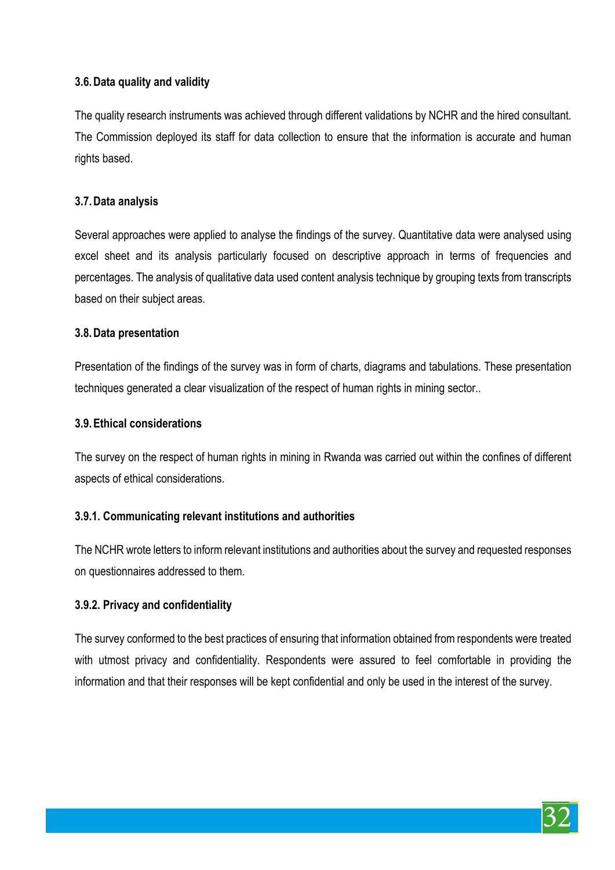# **3.6.Data quality and validity**

The quality research instruments was achieved through different validations by NCHR and the hired consultant. The Commission deployed its staff for data collection to ensure that the information is accurate and human rights based.

#### **3.7.Data analysis**

Several approaches were applied to analyse the findings of the survey. Quantitative data were analysed using excel sheet and its analysis particularly focused on descriptive approach in terms of frequencies and percentages. The analysis of qualitative data used content analysis technique by grouping texts from transcripts based on their subject areas.

#### **3.8.Data presentation**

Presentation of the findings of the survey was in form of charts, diagrams and tabulations. These presentation techniques generated a clear visualization of the respect of human rights in mining sector..

#### **3.9.Ethical considerations**

The survey on the respect of human rights in mining in Rwanda was carried out within the confines of different aspects of ethical considerations.

#### **3.9.1. Communicating relevant institutions and authorities**

The NCHR wrote letters to inform relevant institutions and authorities about the survey and requested responses on questionnaires addressed to them.

#### **3.9.2. Privacy and confidentiality**

The survey conformed to the best practices of ensuring that information obtained from respondents were treated with utmost privacy and confidentiality. Respondents were assured to feel comfortable in providing the information and that their responses will be kept confidential and only be used in the interest of the survey.

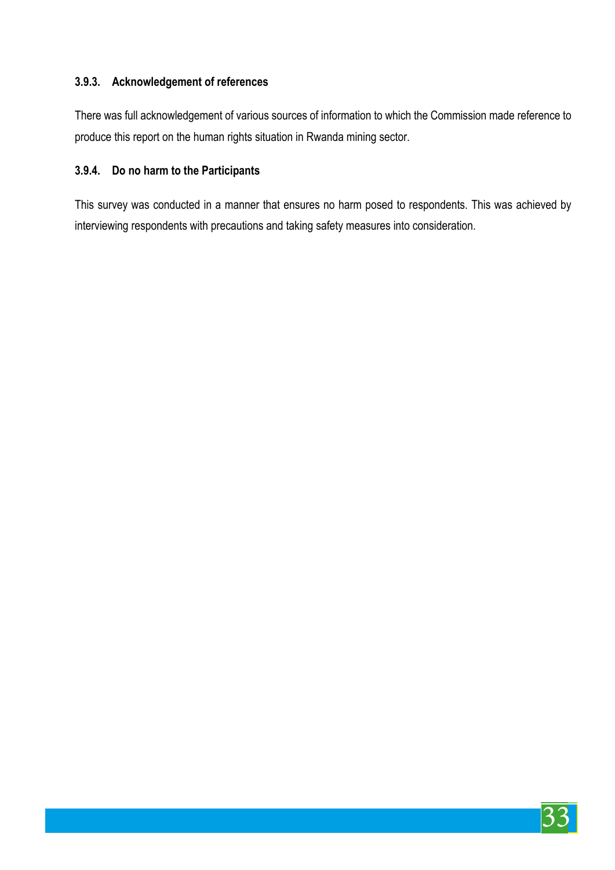# **3.9.3. Acknowledgement of references**

There was full acknowledgement of various sources of information to which the Commission made reference to produce this report on the human rights situation in Rwanda mining sector.

# **3.9.4. Do no harm to the Participants**

This survey was conducted in a manner that ensures no harm posed to respondents. This was achieved by interviewing respondents with precautions and taking safety measures into consideration.

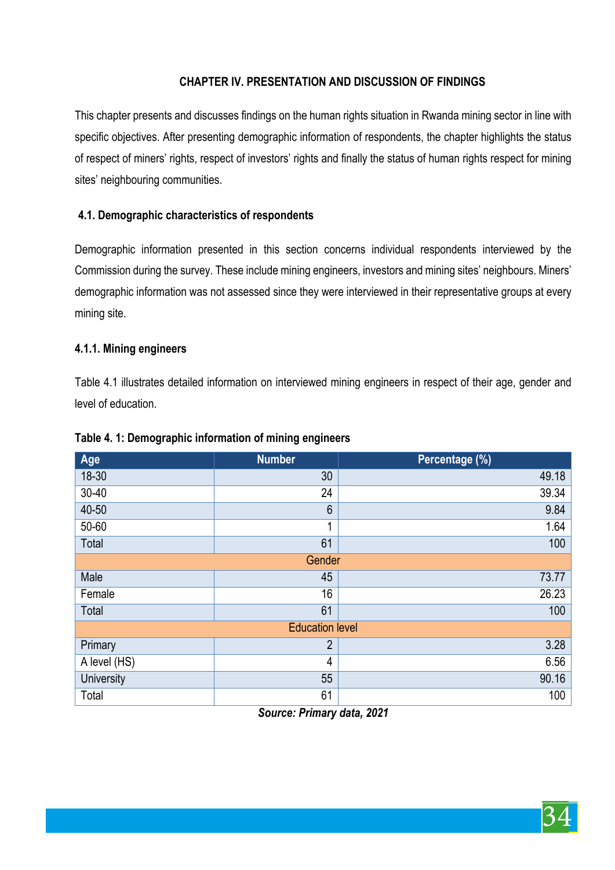# **CHAPTER IV. PRESENTATION AND DISCUSSION OF FINDINGS**

This chapter presents and discusses findings on the human rights situation in Rwanda mining sector in line with specific objectives. After presenting demographic information of respondents, the chapter highlights the status of respect of miners' rights, respect of investors' rights and finally the status of human rights respect for mining sites' neighbouring communities.

# **4.1. Demographic characteristics of respondents**

Demographic information presented in this section concerns individual respondents interviewed by the Commission during the survey. These include mining engineers, investors and mining sites' neighbours. Miners' demographic information was not assessed since they were interviewed in their representative groups at every mining site.

#### **4.1.1. Mining engineers**

Table 4.1 illustrates detailed information on interviewed mining engineers in respect of their age, gender and level of education.

| Age                    | <b>Number</b>   | Percentage (%) |  |  |
|------------------------|-----------------|----------------|--|--|
| 18-30                  | 30              | 49.18          |  |  |
| $30 - 40$              | 24              | 39.34          |  |  |
| 40-50                  | $6\phantom{1}6$ | 9.84           |  |  |
| 50-60                  | 1               | 1.64           |  |  |
| Total                  | 61              | 100            |  |  |
|                        | Gender          |                |  |  |
| Male                   | 45              | 73.77          |  |  |
| Female                 | 16              | 26.23          |  |  |
| Total                  | 61              | 100            |  |  |
| <b>Education level</b> |                 |                |  |  |
| Primary                | $\overline{2}$  | 3.28           |  |  |
| A level (HS)           | 4               | 6.56           |  |  |
| <b>University</b>      | 55              | 90.16          |  |  |
| Total                  | 61              | 100            |  |  |

#### **Table 4. 1: Demographic information of mining engineers**

*Source: Primary data, 2021*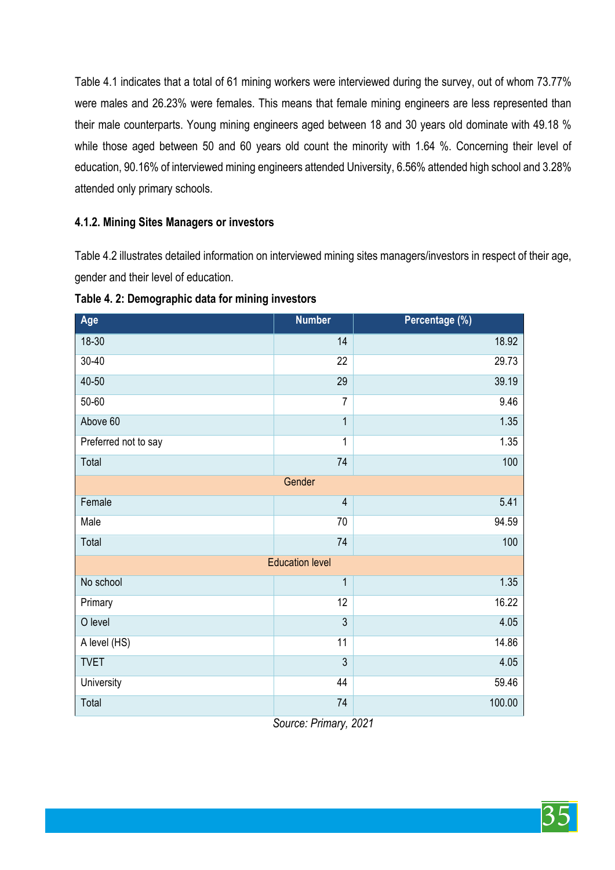Table 4.1 indicates that a total of 61 mining workers were interviewed during the survey, out of whom 73.77% were males and 26.23% were females. This means that female mining engineers are less represented than their male counterparts. Young mining engineers aged between 18 and 30 years old dominate with 49.18 % while those aged between 50 and 60 years old count the minority with 1.64 %. Concerning their level of education, 90.16% of interviewed mining engineers attended University, 6.56% attended high school and 3.28% attended only primary schools.

#### **4.1.2. Mining Sites Managers or investors**

Table 4.2 illustrates detailed information on interviewed mining sites managers/investors in respect of their age, gender and their level of education.

| Age                  | <b>Number</b>          | Percentage (%) |
|----------------------|------------------------|----------------|
| 18-30                | 14                     | 18.92          |
| $30 - 40$            | 22                     | 29.73          |
| 40-50                | 29                     | 39.19          |
| 50-60                | $\overline{7}$         | 9.46           |
| Above 60             | $\overline{1}$         | 1.35           |
| Preferred not to say | $\overline{1}$         | 1.35           |
| Total                | 74                     | 100            |
|                      | Gender                 |                |
| Female               | $\overline{4}$         | 5.41           |
| Male                 | 70                     | 94.59          |
| Total                | 74                     | 100            |
|                      | <b>Education level</b> |                |
| No school            | $\mathbf 1$            | 1.35           |
| Primary              | 12                     | 16.22          |
| O level              | $\overline{3}$         | 4.05           |
| A level (HS)         | 11                     | 14.86          |
| <b>TVET</b>          | 3                      | 4.05           |
| <b>University</b>    | 44                     | 59.46          |
| Total                | 74                     | 100.00         |

**Table 4. 2: Demographic data for mining investors**

*Source: Primary, 2021*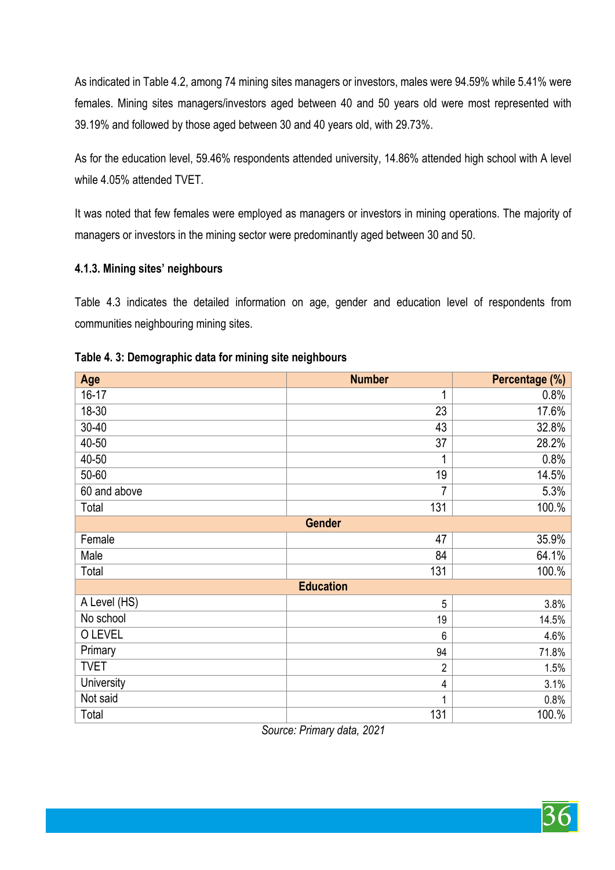As indicated in Table 4.2, among 74 mining sites managers or investors, males were 94.59% while 5.41% were females. Mining sites managers/investors aged between 40 and 50 years old were most represented with 39.19% and followed by those aged between 30 and 40 years old, with 29.73%.

As for the education level, 59.46% respondents attended university, 14.86% attended high school with A level while 4.05% attended TVET.

It was noted that few females were employed as managers or investors in mining operations. The majority of managers or investors in the mining sector were predominantly aged between 30 and 50.

#### **4.1.3. Mining sites' neighbours**

Table 4.3 indicates the detailed information on age, gender and education level of respondents from communities neighbouring mining sites.

| Age           | <b>Number</b>    | Percentage (%) |  |  |  |  |
|---------------|------------------|----------------|--|--|--|--|
| $16-17$       | 1                | 0.8%           |  |  |  |  |
| 18-30         | 23               | 17.6%          |  |  |  |  |
| $30 - 40$     | 43               | 32.8%          |  |  |  |  |
| 40-50         | 37               | 28.2%          |  |  |  |  |
| 40-50         | 1                | 0.8%           |  |  |  |  |
| 50-60         | 19               | 14.5%          |  |  |  |  |
| 60 and above  | 7                | 5.3%           |  |  |  |  |
| Total         | 131              | 100.%          |  |  |  |  |
| <b>Gender</b> |                  |                |  |  |  |  |
| Female        | 47               | 35.9%          |  |  |  |  |
| Male          | 84               | 64.1%          |  |  |  |  |
| Total         | 131              | 100.%          |  |  |  |  |
|               | <b>Education</b> |                |  |  |  |  |
| A Level (HS)  | 5                | 3.8%           |  |  |  |  |
| No school     | 19               | 14.5%          |  |  |  |  |
| O LEVEL       | 6                | 4.6%           |  |  |  |  |
| Primary       | 94               | 71.8%          |  |  |  |  |
| <b>TVET</b>   | $\overline{2}$   | 1.5%           |  |  |  |  |
| University    | 4                | 3.1%           |  |  |  |  |
| Not said      | 1                | 0.8%           |  |  |  |  |
| Total         | 131              | 100.%          |  |  |  |  |

**Table 4. 3: Demographic data for mining site neighbours**

*Source: Primary data, 2021*

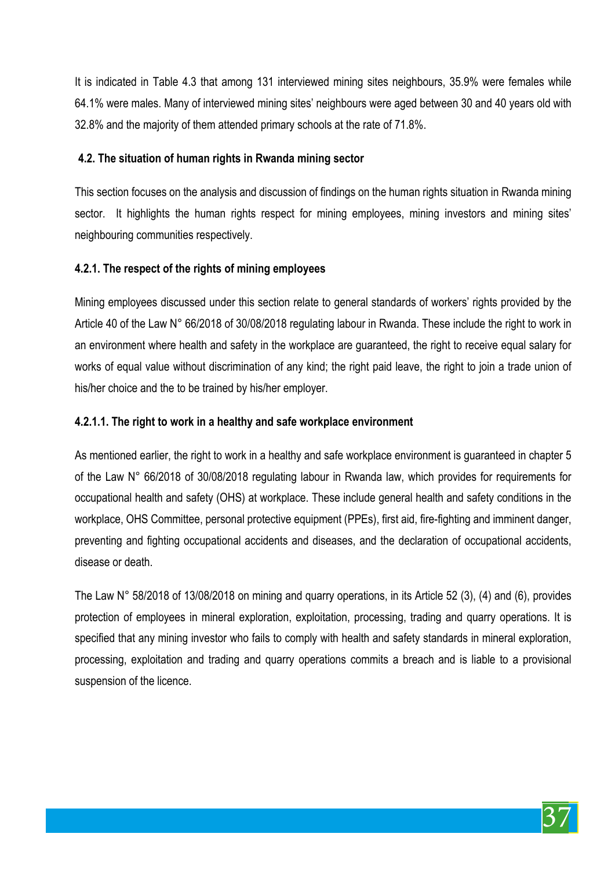It is indicated in Table 4.3 that among 131 interviewed mining sites neighbours, 35.9% were females while 64.1% were males. Many of interviewed mining sites' neighbours were aged between 30 and 40 years old with 32.8% and the majority of them attended primary schools at the rate of 71.8%.

# **4.2. The situation of human rights in Rwanda mining sector**

This section focuses on the analysis and discussion of findings on the human rights situation in Rwanda mining sector. It highlights the human rights respect for mining employees, mining investors and mining sites' neighbouring communities respectively.

# **4.2.1. The respect of the rights of mining employees**

Mining employees discussed under this section relate to general standards of workers' rights provided by the Article 40 of the Law N° 66/2018 of 30/08/2018 regulating labour in Rwanda. These include the right to work in an environment where health and safety in the workplace are guaranteed, the right to receive equal salary for works of equal value without discrimination of any kind; the right paid leave, the right to join a trade union of his/her choice and the to be trained by his/her employer.

## **4.2.1.1. The right to work in a healthy and safe workplace environment**

As mentioned earlier, the right to work in a healthy and safe workplace environment is guaranteed in chapter 5 of the Law N° 66/2018 of 30/08/2018 regulating labour in Rwanda law, which provides for requirements for occupational health and safety (OHS) at workplace. These include general health and safety conditions in the workplace, OHS Committee, personal protective equipment (PPEs), first aid, fire-fighting and imminent danger, preventing and fighting occupational accidents and diseases, and the declaration of occupational accidents, disease or death.

The Law N° 58/2018 of 13/08/2018 on mining and quarry operations, in its Article 52 (3), (4) and (6), provides protection of employees in mineral exploration, exploitation, processing, trading and quarry operations. It is specified that any mining investor who fails to comply with health and safety standards in mineral exploration, processing, exploitation and trading and quarry operations commits a breach and is liable to a provisional suspension of the licence.

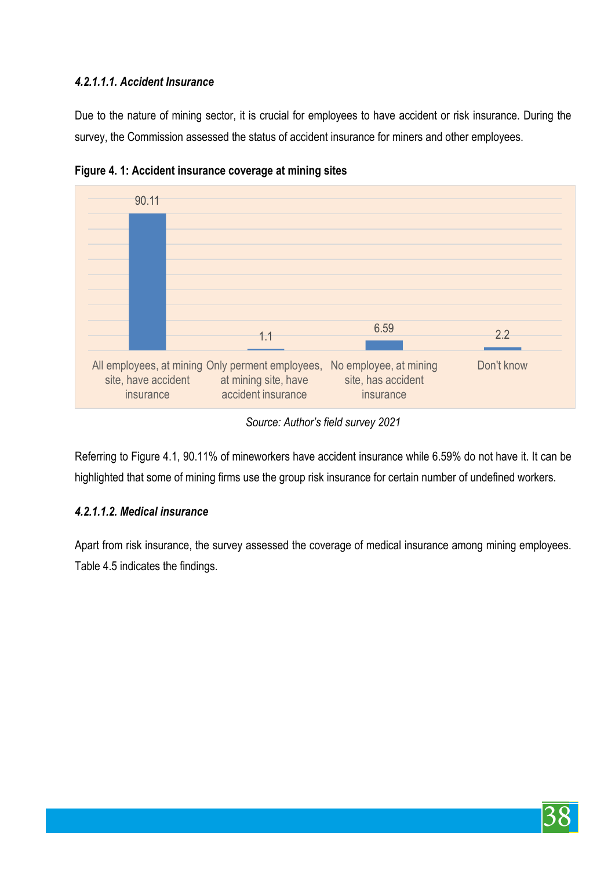# *4.2.1.1.1. Accident Insurance*

Due to the nature of mining sector, it is crucial for employees to have accident or risk insurance. During the survey, the Commission assessed the status of accident insurance for miners and other employees.



**Figure 4. 1: Accident insurance coverage at mining sites**

Referring to Figure 4.1, 90.11% of mineworkers have accident insurance while 6.59% do not have it. It can be highlighted that some of mining firms use the group risk insurance for certain number of undefined workers.

# *4.2.1.1.2. Medical insurance*

Apart from risk insurance, the survey assessed the coverage of medical insurance among mining employees. Table 4.5 indicates the findings.



*Source: Author's field survey 2021*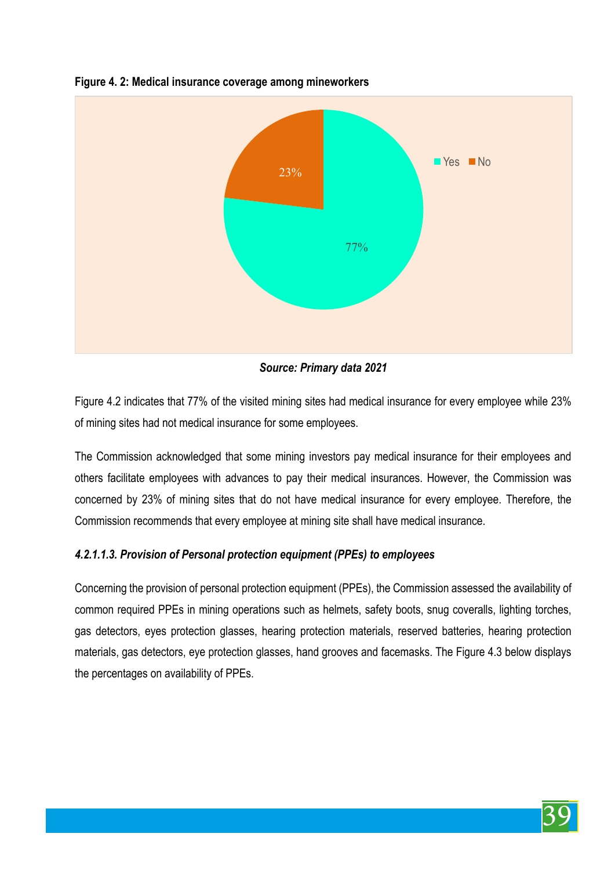

**Figure 4. 2: Medical insurance coverage among mineworkers**

*Source: Primary data 2021* 

Figure 4.2 indicates that 77% of the visited mining sites had medical insurance for every employee while 23% of mining sites had not medical insurance for some employees.

The Commission acknowledged that some mining investors pay medical insurance for their employees and others facilitate employees with advances to pay their medical insurances. However, the Commission was concerned by 23% of mining sites that do not have medical insurance for every employee. Therefore, the Commission recommends that every employee at mining site shall have medical insurance.

#### *4.2.1.1.3. Provision of Personal protection equipment (PPEs) to employees*

Concerning the provision of personal protection equipment (PPEs), the Commission assessed the availability of common required PPEs in mining operations such as helmets, safety boots, snug coveralls, lighting torches, gas detectors, eyes protection glasses, hearing protection materials, reserved batteries, hearing protection materials, gas detectors, eye protection glasses, hand grooves and facemasks. The Figure 4.3 below displays the percentages on availability of PPEs.

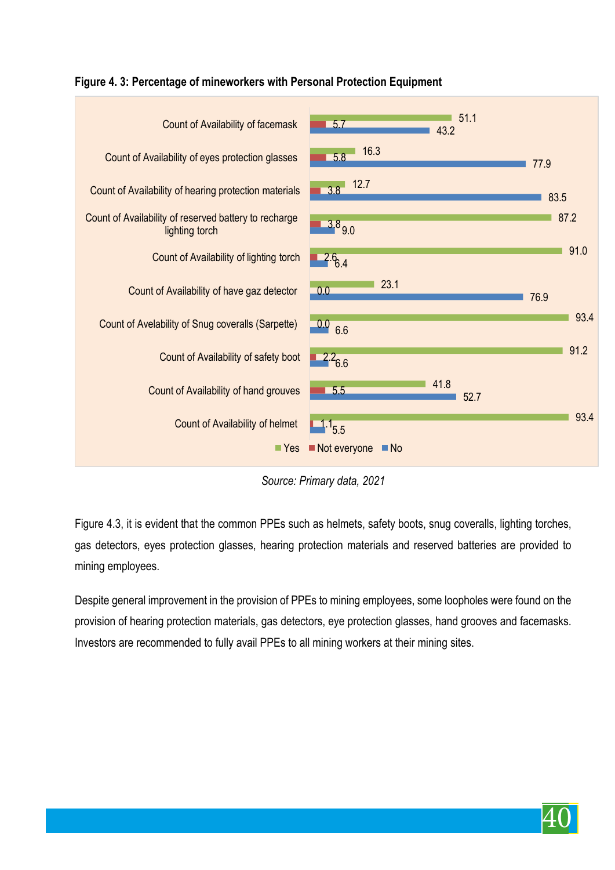

**Figure 4. 3: Percentage of mineworkers with Personal Protection Equipment** 

*Source: Primary data, 2021* 

Figure 4.3, it is evident that the common PPEs such as helmets, safety boots, snug coveralls, lighting torches, gas detectors, eyes protection glasses, hearing protection materials and reserved batteries are provided to mining employees.

Despite general improvement in the provision of PPEs to mining employees, some loopholes were found on the provision of hearing protection materials, gas detectors, eye protection glasses, hand grooves and facemasks. Investors are recommended to fully avail PPEs to all mining workers at their mining sites.

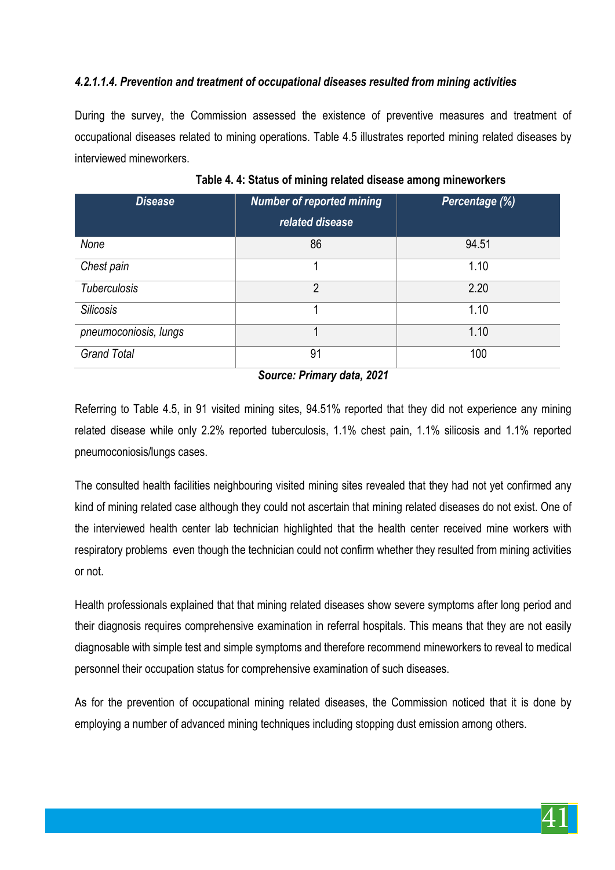### *4.2.1.1.4. Prevention and treatment of occupational diseases resulted from mining activities*

During the survey, the Commission assessed the existence of preventive measures and treatment of occupational diseases related to mining operations. Table 4.5 illustrates reported mining related diseases by interviewed mineworkers.

| <b>Disease</b>        | <b>Number of reported mining</b><br>related disease | Percentage (%) |
|-----------------------|-----------------------------------------------------|----------------|
| None                  | 86                                                  | 94.51          |
| Chest pain            |                                                     | 1.10           |
| <b>Tuberculosis</b>   | $\overline{2}$                                      | 2.20           |
| <b>Silicosis</b>      |                                                     | 1.10           |
| pneumoconiosis, lungs |                                                     | 1.10           |
| <b>Grand Total</b>    | 91                                                  | 100            |

**Table 4. 4: Status of mining related disease among mineworkers**

*Source: Primary data, 2021* 

Referring to Table 4.5, in 91 visited mining sites, 94.51% reported that they did not experience any mining related disease while only 2.2% reported tuberculosis, 1.1% chest pain, 1.1% silicosis and 1.1% reported pneumoconiosis/lungs cases.

The consulted health facilities neighbouring visited mining sites revealed that they had not yet confirmed any kind of mining related case although they could not ascertain that mining related diseases do not exist. One of the interviewed health center lab technician highlighted that the health center received mine workers with respiratory problems even though the technician could not confirm whether they resulted from mining activities or not.

Health professionals explained that that mining related diseases show severe symptoms after long period and their diagnosis requires comprehensive examination in referral hospitals. This means that they are not easily diagnosable with simple test and simple symptoms and therefore recommend mineworkers to reveal to medical personnel their occupation status for comprehensive examination of such diseases.

As for the prevention of occupational mining related diseases, the Commission noticed that it is done by employing a number of advanced mining techniques including stopping dust emission among others.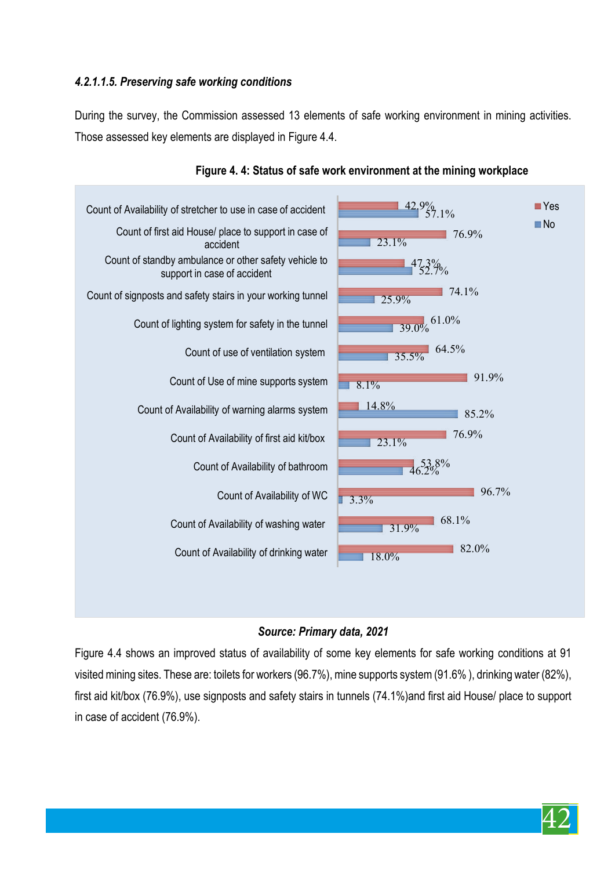# *4.2.1.1.5. Preserving safe working conditions*

During the survey, the Commission assessed 13 elements of safe working environment in mining activities. Those assessed key elements are displayed in Figure 4.4.



## **Figure 4. 4: Status of safe work environment at the mining workplace**

#### *Source: Primary data, 2021*

Figure 4.4 shows an improved status of availability of some key elements for safe working conditions at 91 visited mining sites. These are: toilets for workers (96.7%), mine supports system (91.6% ), drinking water (82%), first aid kit/box (76.9%), use signposts and safety stairs in tunnels (74.1%)and first aid House/ place to support in case of accident (76.9%).

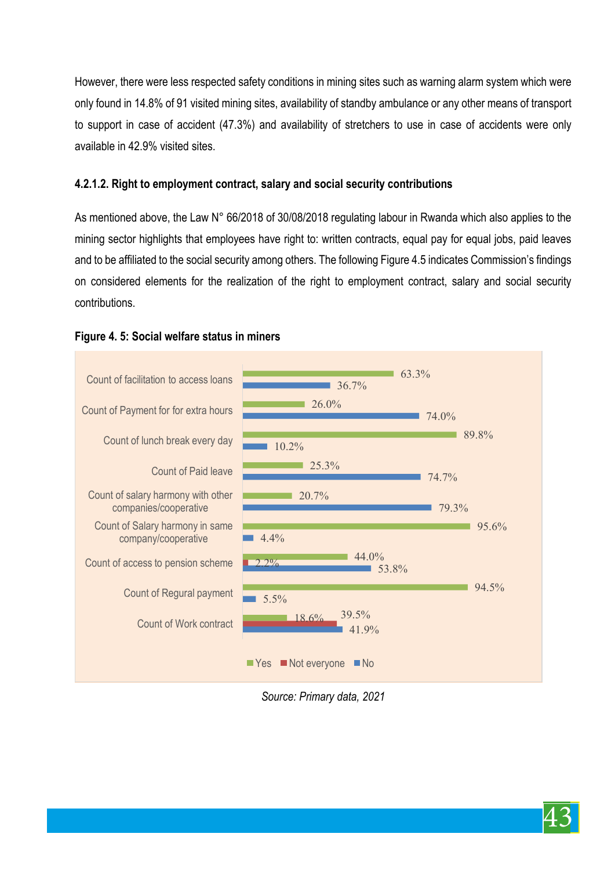However, there were less respected safety conditions in mining sites such as warning alarm system which were only found in 14.8% of 91 visited mining sites, availability of standby ambulance or any other means of transport to support in case of accident (47.3%) and availability of stretchers to use in case of accidents were only available in 42.9% visited sites.

#### **4.2.1.2. Right to employment contract, salary and social security contributions**

As mentioned above, the Law N° 66/2018 of 30/08/2018 regulating labour in Rwanda which also applies to the mining sector highlights that employees have right to: written contracts, equal pay for equal jobs, paid leaves and to be affiliated to the social security among others. The following Figure 4.5 indicates Commission's findings on considered elements for the realization of the right to employment contract, salary and social security contributions.



#### **Figure 4. 5: Social welfare status in miners**

*Source: Primary data, 2021* 

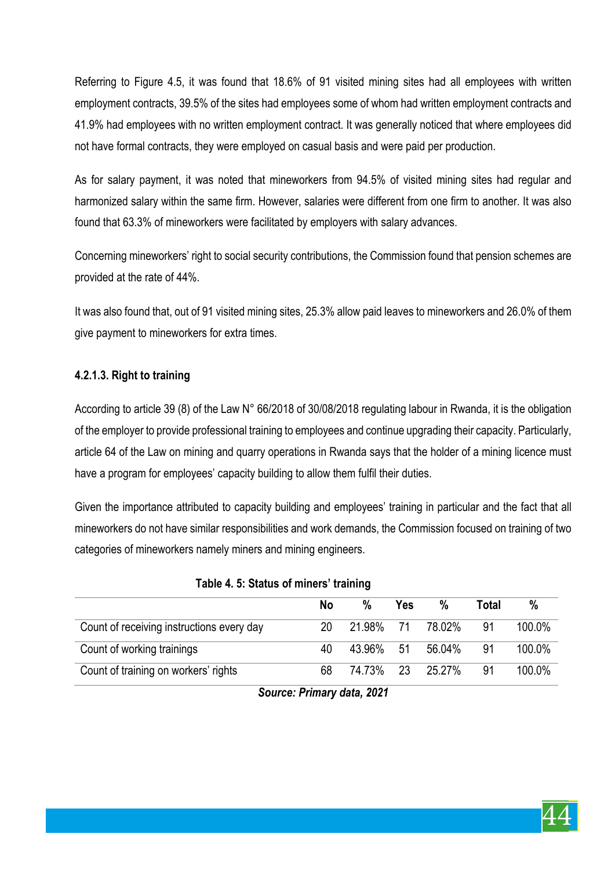Referring to Figure 4.5, it was found that 18.6% of 91 visited mining sites had all employees with written employment contracts, 39.5% of the sites had employees some of whom had written employment contracts and 41.9% had employees with no written employment contract. It was generally noticed that where employees did not have formal contracts, they were employed on casual basis and were paid per production.

As for salary payment, it was noted that mineworkers from 94.5% of visited mining sites had regular and harmonized salary within the same firm. However, salaries were different from one firm to another. It was also found that 63.3% of mineworkers were facilitated by employers with salary advances.

Concerning mineworkers' right to social security contributions, the Commission found that pension schemes are provided at the rate of 44%.

It was also found that, out of 91 visited mining sites, 25.3% allow paid leaves to mineworkers and 26.0% of them give payment to mineworkers for extra times.

#### **4.2.1.3. Right to training**

According to article 39 (8) of the Law N° 66/2018 of 30/08/2018 regulating labour in Rwanda, it is the obligation of the employer to provide professional training to employees and continue upgrading their capacity. Particularly, article 64 of the Law on mining and quarry operations in Rwanda says that the holder of a mining licence must have a program for employees' capacity building to allow them fulfil their duties.

Given the importance attributed to capacity building and employees' training in particular and the fact that all mineworkers do not have similar responsibilities and work demands, the Commission focused on training of two categories of mineworkers namely miners and mining engineers.

|                                           | <b>No</b> | %         | Yes | %      | Total | %      |
|-------------------------------------------|-----------|-----------|-----|--------|-------|--------|
| Count of receiving instructions every day | 20        | 21.98% 71 |     | 78.02% | .91   | 100.0% |
| Count of working trainings                | 40        | 43.96% 51 |     | 56.04% | -91   | 100.0% |
| Count of training on workers' rights      | 68        | 74.73% 23 |     | 25.27% | 91    | 100.0% |

#### **Table 4. 5: Status of miners' training**

*Source: Primary data, 2021* 

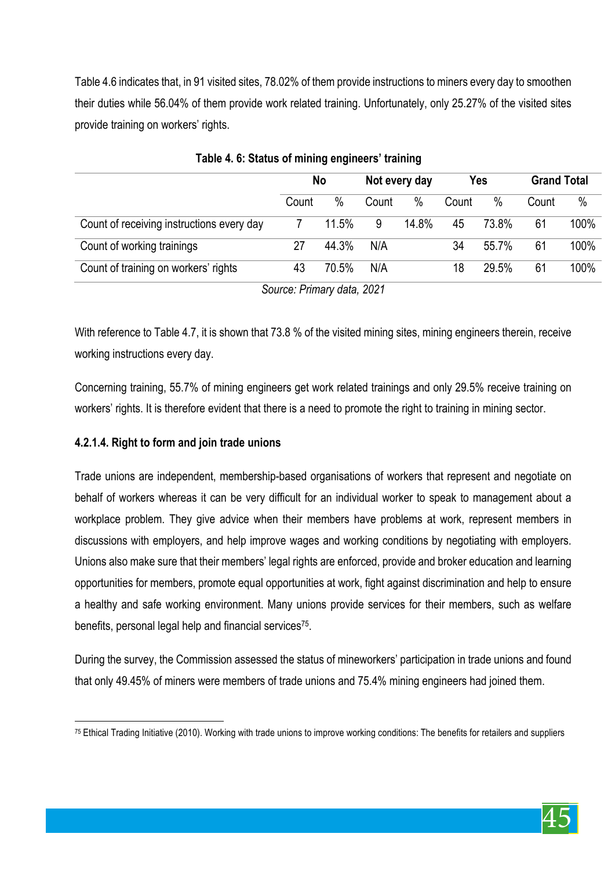Table 4.6 indicates that, in 91 visited sites, 78.02% of them provide instructions to miners every day to smoothen their duties while 56.04% of them provide work related training. Unfortunately, only 25.27% of the visited sites provide training on workers' rights.

|       |       |       |       |               |       | <b>Grand Total</b> |      |
|-------|-------|-------|-------|---------------|-------|--------------------|------|
| Count | $\%$  | Count | $\%$  | Count         | $\%$  | Count              | $\%$ |
|       | 11.5% | 9     | 14.8% | 45            | 73.8% | 61                 | 100% |
| 27    | 44.3% | N/A   |       | 34            | 55.7% | 61                 | 100% |
| 43    | 70.5% | N/A   |       | 18            | 29.5% | 61                 | 100% |
|       |       | No    |       | Not every day |       | Yes                |      |

**Table 4. 6: Status of mining engineers' training** 

*Source: Primary data, 2021* 

With reference to Table 4.7, it is shown that 73.8 % of the visited mining sites, mining engineers therein, receive working instructions every day.

Concerning training, 55.7% of mining engineers get work related trainings and only 29.5% receive training on workers' rights. It is therefore evident that there is a need to promote the right to training in mining sector.

# **4.2.1.4. Right to form and join trade unions**

Trade unions are independent, membership-based organisations of workers that represent and negotiate on behalf of workers whereas it can be very difficult for an individual worker to speak to management about a workplace problem. They give advice when their members have problems at work, represent members in discussions with employers, and help improve wages and working conditions by negotiating with employers. Unions also make sure that their members' legal rights are enforced, provide and broker education and learning opportunities for members, promote equal opportunities at work, fight against discrimination and help to ensure a healthy and safe working environment. Many unions provide services for their members, such as welfare benefits, personal legal help and financial services75.

During the survey, the Commission assessed the status of mineworkers' participation in trade unions and found that only 49.45% of miners were members of trade unions and 75.4% mining engineers had joined them.



 $\overline{a}$  $75$  Ethical Trading Initiative (2010). Working with trade unions to improve working conditions: The benefits for retailers and suppliers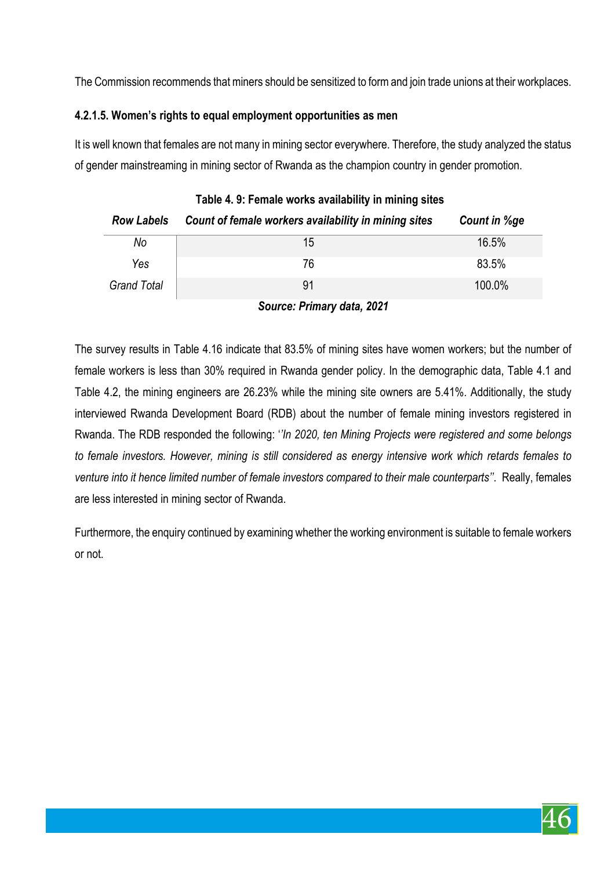The Commission recommends that miners should be sensitized to form and join trade unions at their workplaces.

## **4.2.1.5. Women's rights to equal employment opportunities as men**

It is well known that females are not many in mining sector everywhere. Therefore, the study analyzed the status of gender mainstreaming in mining sector of Rwanda as the champion country in gender promotion.

| Table 4.9: Female works availability in mining sites |                                                      |              |  |  |  |
|------------------------------------------------------|------------------------------------------------------|--------------|--|--|--|
| <b>Row Labels</b>                                    | Count of female workers availability in mining sites | Count in %ge |  |  |  |
| No                                                   | 15                                                   | 16.5%        |  |  |  |
| Yes                                                  | 76                                                   | 83.5%        |  |  |  |
| <b>Grand Total</b>                                   | 91                                                   | 100.0%       |  |  |  |

*Source: Primary data, 2021* 

The survey results in Table 4.16 indicate that 83.5% of mining sites have women workers; but the number of female workers is less than 30% required in Rwanda gender policy. In the demographic data, Table 4.1 and Table 4.2, the mining engineers are 26.23% while the mining site owners are 5.41%. Additionally, the study interviewed Rwanda Development Board (RDB) about the number of female mining investors registered in Rwanda. The RDB responded the following: '*'In 2020, ten Mining Projects were registered and some belongs to female investors. However, mining is still considered as energy intensive work which retards females to venture into it hence limited number of female investors compared to their male counterparts''*. Really, females are less interested in mining sector of Rwanda.

Furthermore, the enquiry continued by examining whether the working environment is suitable to female workers or not.

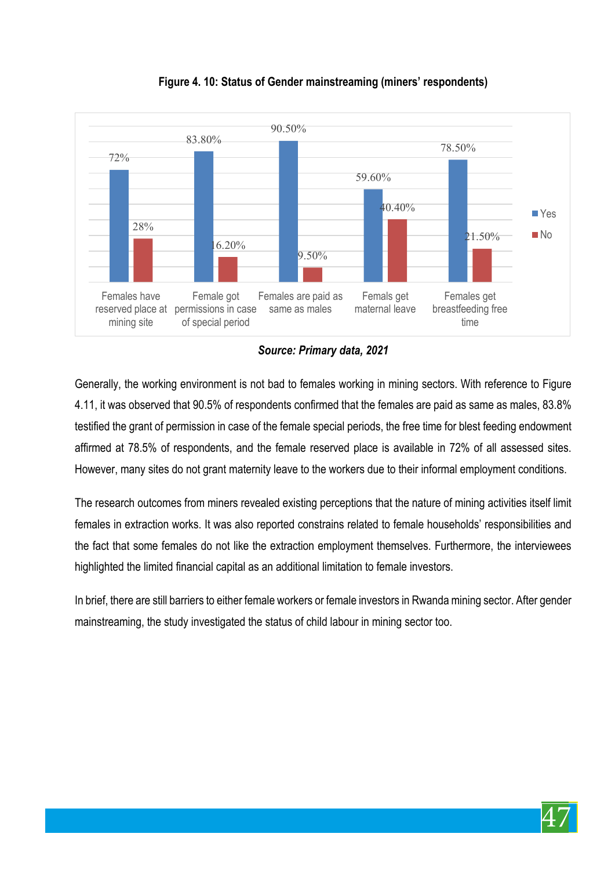

**Figure 4. 10: Status of Gender mainstreaming (miners' respondents)**

*Source: Primary data, 2021* 

Generally, the working environment is not bad to females working in mining sectors. With reference to Figure 4.11, it was observed that 90.5% of respondents confirmed that the females are paid as same as males, 83.8% testified the grant of permission in case of the female special periods, the free time for blest feeding endowment affirmed at 78.5% of respondents, and the female reserved place is available in 72% of all assessed sites. However, many sites do not grant maternity leave to the workers due to their informal employment conditions.

The research outcomes from miners revealed existing perceptions that the nature of mining activities itself limit females in extraction works. It was also reported constrains related to female households' responsibilities and the fact that some females do not like the extraction employment themselves. Furthermore, the interviewees highlighted the limited financial capital as an additional limitation to female investors.

In brief, there are still barriers to either female workers or female investors in Rwanda mining sector. After gender mainstreaming, the study investigated the status of child labour in mining sector too.

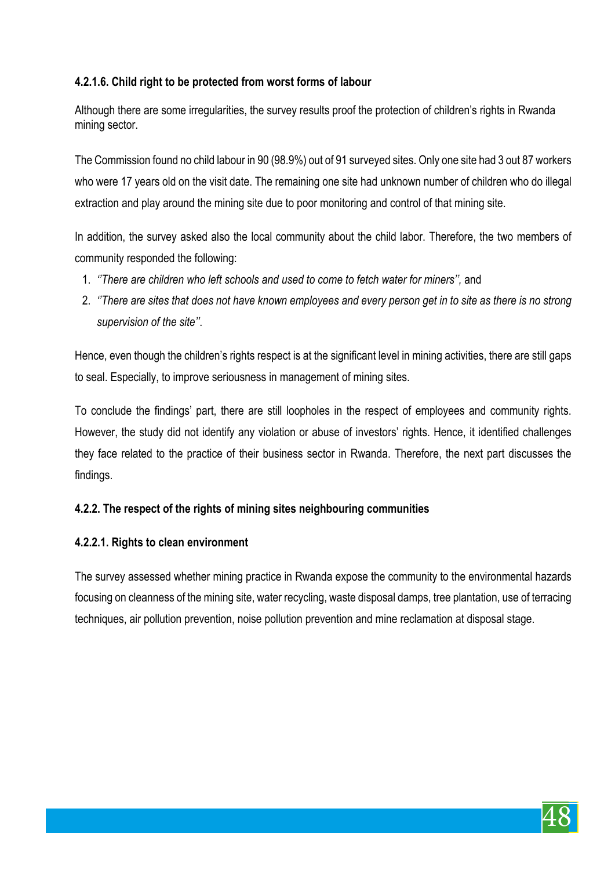# **4.2.1.6. Child right to be protected from worst forms of labour**

Although there are some irregularities, the survey results proof the protection of children's rights in Rwanda mining sector.

The Commission found no child labour in 90 (98.9%) out of 91 surveyed sites. Only one site had 3 out 87 workers who were 17 years old on the visit date. The remaining one site had unknown number of children who do illegal extraction and play around the mining site due to poor monitoring and control of that mining site.

In addition, the survey asked also the local community about the child labor. Therefore, the two members of community responded the following:

- 1. *''There are children who left schools and used to come to fetch water for miners'',* and
- 2. *''There are sites that does not have known employees and every person get in to site as there is no strong supervision of the site''*.

Hence, even though the children's rights respect is at the significant level in mining activities, there are still gaps to seal. Especially, to improve seriousness in management of mining sites.

To conclude the findings' part, there are still loopholes in the respect of employees and community rights. However, the study did not identify any violation or abuse of investors' rights. Hence, it identified challenges they face related to the practice of their business sector in Rwanda. Therefore, the next part discusses the findings.

# **4.2.2. The respect of the rights of mining sites neighbouring communities**

#### **4.2.2.1. Rights to clean environment**

The survey assessed whether mining practice in Rwanda expose the community to the environmental hazards focusing on cleanness of the mining site, water recycling, waste disposal damps, tree plantation, use of terracing techniques, air pollution prevention, noise pollution prevention and mine reclamation at disposal stage.

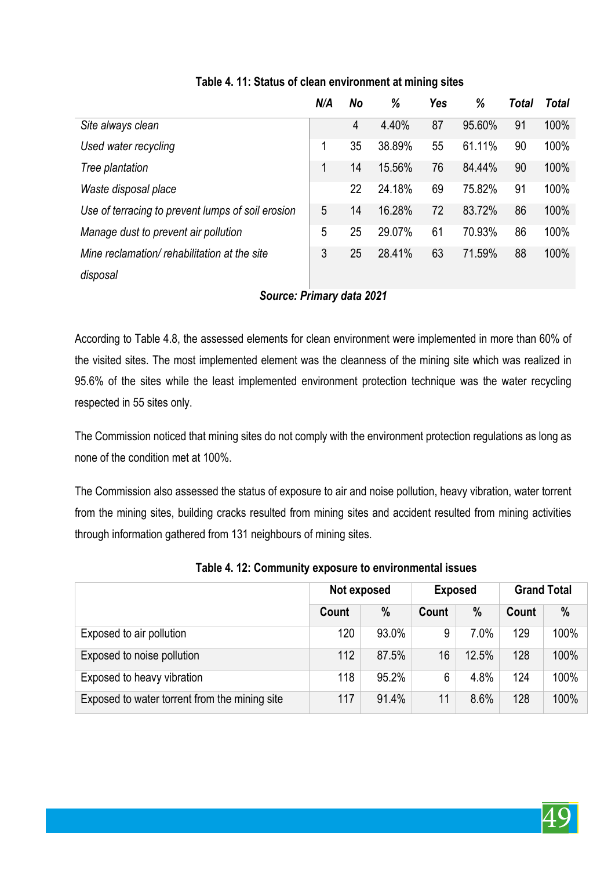|                                                   | N/A | No | %      | <b>Yes</b> | %      | Total | Total |
|---------------------------------------------------|-----|----|--------|------------|--------|-------|-------|
| Site always clean                                 |     | 4  | 4.40%  | 87         | 95.60% | 91    | 100%  |
| Used water recycling                              | 1   | 35 | 38.89% | 55         | 61.11% | 90    | 100%  |
| Tree plantation                                   |     | 14 | 15.56% | 76         | 84.44% | 90    | 100%  |
| Waste disposal place                              |     | 22 | 24.18% | 69         | 75.82% | 91    | 100%  |
| Use of terracing to prevent lumps of soil erosion | 5   | 14 | 16.28% | 72         | 83.72% | 86    | 100%  |
| Manage dust to prevent air pollution              | 5   | 25 | 29.07% | 61         | 70.93% | 86    | 100%  |
| Mine reclamation/rehabilitation at the site       | 3   | 25 | 28.41% | 63         | 71.59% | 88    | 100%  |
| disposal                                          |     |    |        |            |        |       |       |

# **Table 4. 11: Status of clean environment at mining sites**

# *Source: Primary data 2021*

According to Table 4.8, the assessed elements for clean environment were implemented in more than 60% of the visited sites. The most implemented element was the cleanness of the mining site which was realized in 95.6% of the sites while the least implemented environment protection technique was the water recycling respected in 55 sites only.

The Commission noticed that mining sites do not comply with the environment protection regulations as long as none of the condition met at 100%.

The Commission also assessed the status of exposure to air and noise pollution, heavy vibration, water torrent from the mining sites, building cracks resulted from mining sites and accident resulted from mining activities through information gathered from 131 neighbours of mining sites.

|                                               | Not exposed |               | <b>Exposed</b> |         | <b>Grand Total</b> |      |
|-----------------------------------------------|-------------|---------------|----------------|---------|--------------------|------|
|                                               | Count       | $\frac{0}{0}$ | Count          | $\%$    | Count              | %    |
| Exposed to air pollution                      | 120         | 93.0%         | 9              | $7.0\%$ | 129                | 100% |
| Exposed to noise pollution                    | 112         | 87.5%         | 16             | 12.5%   | 128                | 100% |
| Exposed to heavy vibration                    | 118         | 95.2%         | 6              | 4.8%    | 124                | 100% |
| Exposed to water torrent from the mining site | 117         | 91.4%         | 11             | 8.6%    | 128                | 100% |

**Table 4. 12: Community exposure to environmental issues**

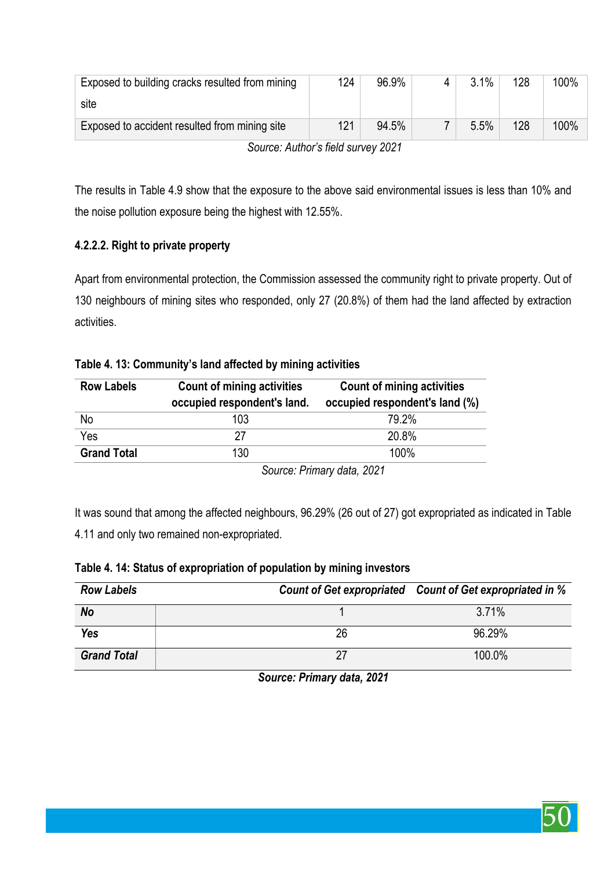| Exposed to building cracks resulted from mining | 124 | 96.9% |  | 3.1% | 128 | 100% |
|-------------------------------------------------|-----|-------|--|------|-----|------|
| site                                            |     |       |  |      |     |      |
| Exposed to accident resulted from mining site   | 121 | 94.5% |  | 5.5% | 128 | 100% |
| Source: Author's field survey 2021              |     |       |  |      |     |      |

The results in Table 4.9 show that the exposure to the above said environmental issues is less than 10% and the noise pollution exposure being the highest with 12.55%.

# **4.2.2.2. Right to private property**

Apart from environmental protection, the Commission assessed the community right to private property. Out of 130 neighbours of mining sites who responded, only 27 (20.8%) of them had the land affected by extraction activities.

# **Table 4. 13: Community's land affected by mining activities**

| <b>Row Labels</b>  | <b>Count of mining activities</b><br>occupied respondent's land. | <b>Count of mining activities</b><br>occupied respondent's land (%) |
|--------------------|------------------------------------------------------------------|---------------------------------------------------------------------|
| No                 | 103                                                              | 79.2%                                                               |
| Yes                | 27                                                               | 20.8%                                                               |
| <b>Grand Total</b> | 130                                                              | 100%                                                                |

*Source: Primary data, 2021* 

It was sound that among the affected neighbours, 96.29% (26 out of 27) got expropriated as indicated in Table 4.11 and only two remained non-expropriated.

|  |  |  | Table 4. 14: Status of expropriation of population by mining investors |
|--|--|--|------------------------------------------------------------------------|
|--|--|--|------------------------------------------------------------------------|

| <b>Row Labels</b>  |    | Count of Get expropriated Count of Get expropriated in % |
|--------------------|----|----------------------------------------------------------|
| No                 |    | 3.71%                                                    |
| <b>Yes</b>         | 26 | 96.29%                                                   |
| <b>Grand Total</b> | 27 | 100.0%                                                   |

*Source: Primary data, 2021* 

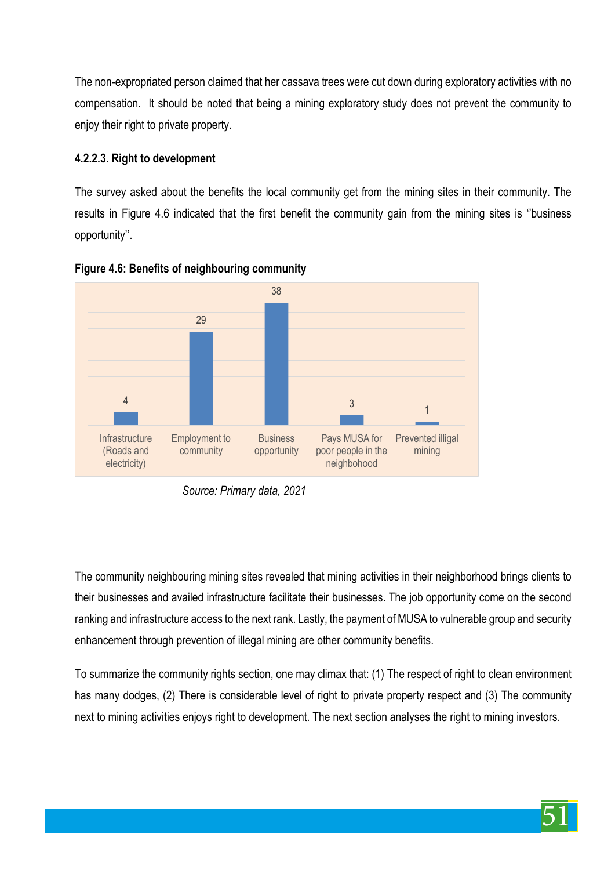The non-expropriated person claimed that her cassava trees were cut down during exploratory activities with no compensation. It should be noted that being a mining exploratory study does not prevent the community to enjoy their right to private property.

#### **4.2.2.3. Right to development**

The survey asked about the benefits the local community get from the mining sites in their community. The results in Figure 4.6 indicated that the first benefit the community gain from the mining sites is ''business opportunity''.





The community neighbouring mining sites revealed that mining activities in their neighborhood brings clients to their businesses and availed infrastructure facilitate their businesses. The job opportunity come on the second ranking and infrastructure access to the next rank. Lastly, the payment of MUSA to vulnerable group and security enhancement through prevention of illegal mining are other community benefits.

To summarize the community rights section, one may climax that: (1) The respect of right to clean environment has many dodges, (2) There is considerable level of right to private property respect and (3) The community next to mining activities enjoys right to development. The next section analyses the right to mining investors.

*Source: Primary data, 2021*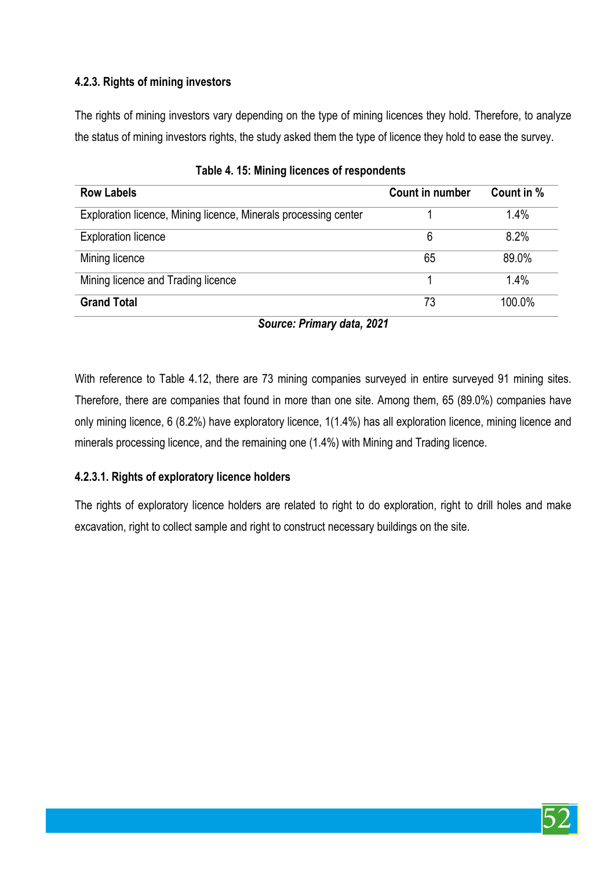# **4.2.3. Rights of mining investors**

The rights of mining investors vary depending on the type of mining licences they hold. Therefore, to analyze the status of mining investors rights, the study asked them the type of licence they hold to ease the survey.

| <b>Row Labels</b>                                               | Count in number | Count in % |
|-----------------------------------------------------------------|-----------------|------------|
| Exploration licence, Mining licence, Minerals processing center |                 | 1.4%       |
| <b>Exploration licence</b>                                      | 6               | 8.2%       |
| Mining licence                                                  | 65              | 89.0%      |
| Mining licence and Trading licence                              |                 | 1.4%       |
| <b>Grand Total</b>                                              | 73              | 100.0%     |

|  |  |  | Table 4. 15: Mining licences of respondents |
|--|--|--|---------------------------------------------|
|--|--|--|---------------------------------------------|

*Source: Primary data, 2021*

With reference to Table 4.12, there are 73 mining companies surveyed in entire surveyed 91 mining sites. Therefore, there are companies that found in more than one site. Among them, 65 (89.0%) companies have only mining licence, 6 (8.2%) have exploratory licence, 1(1.4%) has all exploration licence, mining licence and minerals processing licence, and the remaining one (1.4%) with Mining and Trading licence.

# **4.2.3.1. Rights of exploratory licence holders**

The rights of exploratory licence holders are related to right to do exploration, right to drill holes and make excavation, right to collect sample and right to construct necessary buildings on the site.

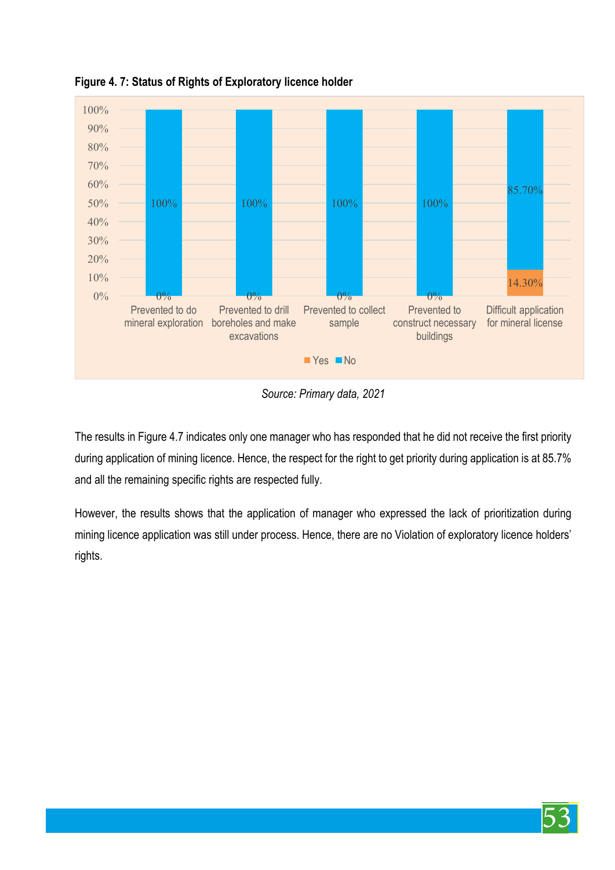

**Figure 4. 7: Status of Rights of Exploratory licence holder**

*Source: Primary data, 2021*

The results in Figure 4.7 indicates only one manager who has responded that he did not receive the first priority during application of mining licence. Hence, the respect for the right to get priority during application is at 85.7% and all the remaining specific rights are respected fully.

However, the results shows that the application of manager who expressed the lack of prioritization during mining licence application was still under process. Hence, there are no Violation of exploratory licence holders' rights.

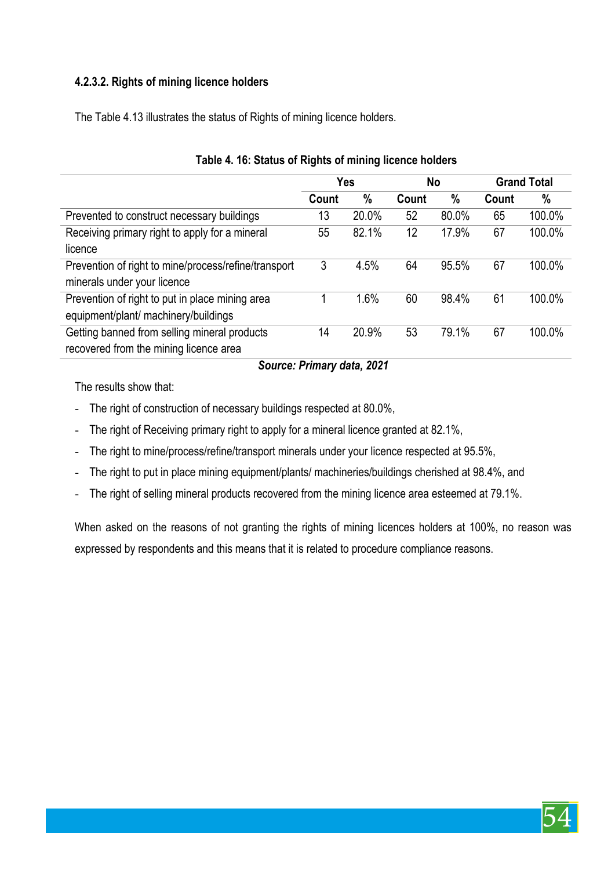# **4.2.3.2. Rights of mining licence holders**

The Table 4.13 illustrates the status of Rights of mining licence holders.

|                                                      | <b>Yes</b> |       | No    |       | <b>Grand Total</b> |        |
|------------------------------------------------------|------------|-------|-------|-------|--------------------|--------|
|                                                      | Count      | $\%$  | Count | $\%$  | Count              | $\%$   |
| Prevented to construct necessary buildings           | 13         | 20.0% | 52    | 80.0% | 65                 | 100.0% |
| Receiving primary right to apply for a mineral       | 55         | 82.1% | 12    | 17.9% | 67                 | 100.0% |
| licence                                              |            |       |       |       |                    |        |
| Prevention of right to mine/process/refine/transport | 3          | 4.5%  | 64    | 95.5% | 67                 | 100.0% |
| minerals under your licence                          |            |       |       |       |                    |        |
| Prevention of right to put in place mining area      |            | 1.6%  | 60    | 98.4% | 61                 | 100.0% |
| equipment/plant/ machinery/buildings                 |            |       |       |       |                    |        |
| Getting banned from selling mineral products         | 14         | 20.9% | 53    | 79.1% | 67                 | 100.0% |
| recovered from the mining licence area               |            |       |       |       |                    |        |

## **Table 4. 16: Status of Rights of mining licence holders**

## *Source: Primary data, 2021*

The results show that:

- The right of construction of necessary buildings respected at 80.0%,
- The right of Receiving primary right to apply for a mineral licence granted at 82.1%,
- The right to mine/process/refine/transport minerals under your licence respected at 95.5%,
- The right to put in place mining equipment/plants/ machineries/buildings cherished at 98.4%, and
- The right of selling mineral products recovered from the mining licence area esteemed at 79.1%.

When asked on the reasons of not granting the rights of mining licences holders at 100%, no reason was expressed by respondents and this means that it is related to procedure compliance reasons.

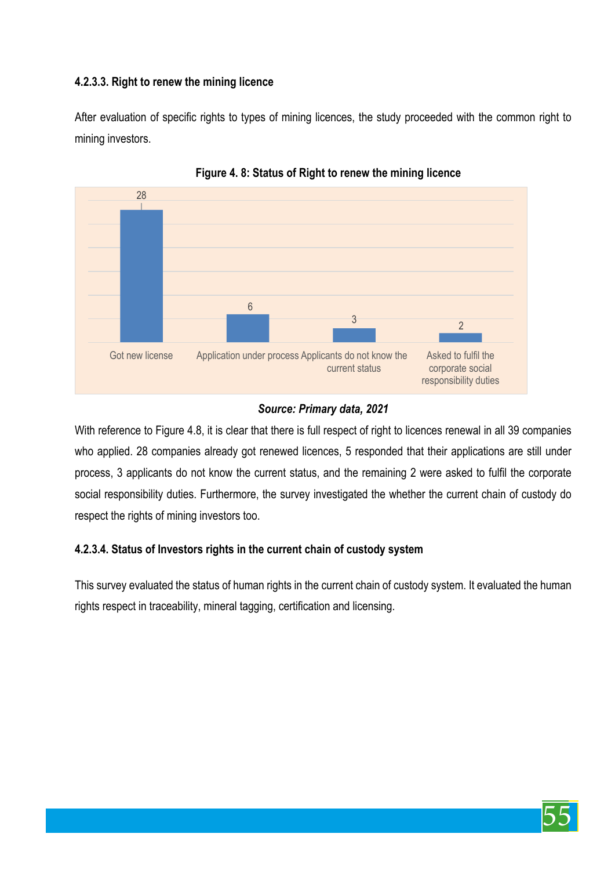# **4.2.3.3. Right to renew the mining licence**

After evaluation of specific rights to types of mining licences, the study proceeded with the common right to mining investors.





## *Source: Primary data, 2021*

With reference to Figure 4.8, it is clear that there is full respect of right to licences renewal in all 39 companies who applied. 28 companies already got renewed licences, 5 responded that their applications are still under process, 3 applicants do not know the current status, and the remaining 2 were asked to fulfil the corporate social responsibility duties. Furthermore, the survey investigated the whether the current chain of custody do respect the rights of mining investors too.

# **4.2.3.4. Status of Investors rights in the current chain of custody system**

This survey evaluated the status of human rights in the current chain of custody system. It evaluated the human rights respect in traceability, mineral tagging, certification and licensing.

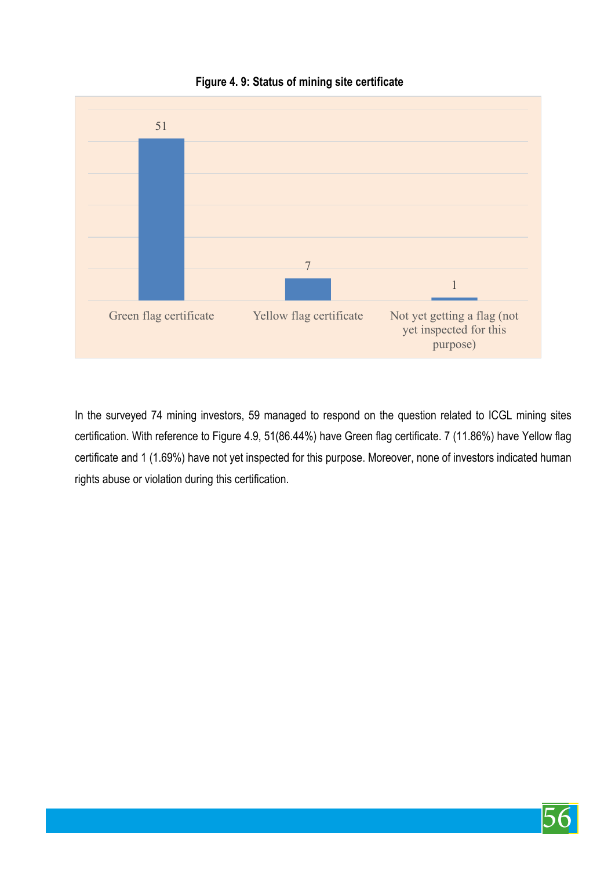

## **Figure 4. 9: Status of mining site certificate**

In the surveyed 74 mining investors, 59 managed to respond on the question related to ICGL mining sites certification. With reference to Figure 4.9, 51(86.44%) have Green flag certificate. 7 (11.86%) have Yellow flag certificate and 1 (1.69%) have not yet inspected for this purpose. Moreover, none of investors indicated human rights abuse or violation during this certification.

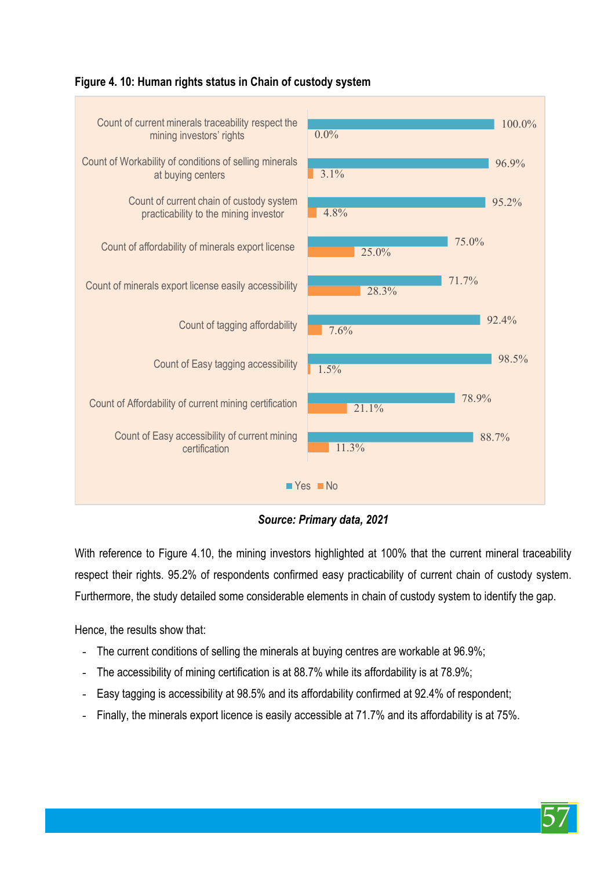

#### **Figure 4. 10: Human rights status in Chain of custody system**

*Source: Primary data, 2021*

With reference to Figure 4.10, the mining investors highlighted at 100% that the current mineral traceability respect their rights. 95.2% of respondents confirmed easy practicability of current chain of custody system. Furthermore, the study detailed some considerable elements in chain of custody system to identify the gap.

Hence, the results show that:

- The current conditions of selling the minerals at buying centres are workable at 96.9%;
- The accessibility of mining certification is at 88.7% while its affordability is at 78.9%;
- Easy tagging is accessibility at 98.5% and its affordability confirmed at 92.4% of respondent;
- Finally, the minerals export licence is easily accessible at 71.7% and its affordability is at 75%.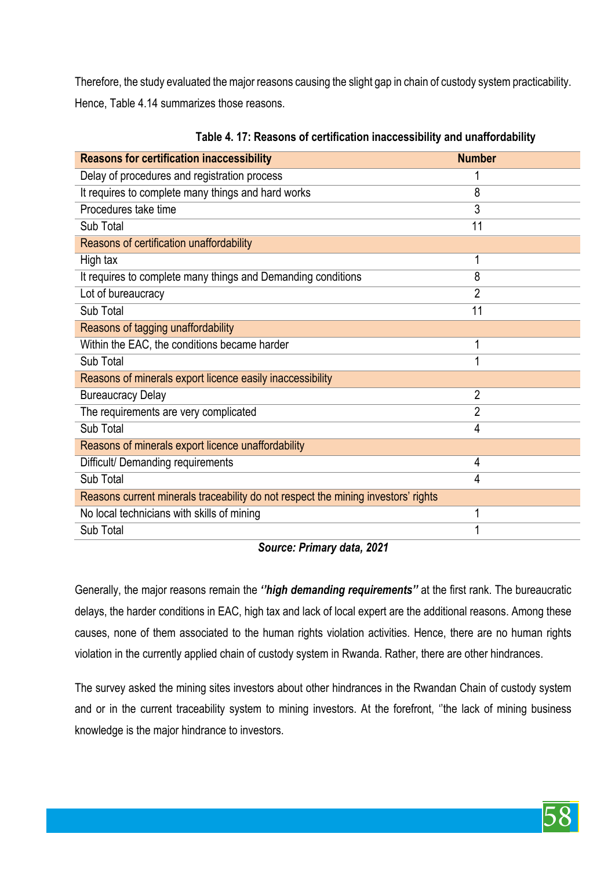Therefore, the study evaluated the major reasons causing the slight gap in chain of custody system practicability. Hence, Table 4.14 summarizes those reasons.

| <b>Reasons for certification inaccessibility</b>                                  | <b>Number</b>  |
|-----------------------------------------------------------------------------------|----------------|
| Delay of procedures and registration process                                      |                |
| It requires to complete many things and hard works                                | 8              |
| Procedures take time                                                              | 3              |
| Sub Total                                                                         | 11             |
| Reasons of certification unaffordability                                          |                |
| High tax                                                                          |                |
| It requires to complete many things and Demanding conditions                      | 8              |
| Lot of bureaucracy                                                                | $\overline{2}$ |
| Sub Total                                                                         | 11             |
| Reasons of tagging unaffordability                                                |                |
| Within the EAC, the conditions became harder                                      |                |
| Sub Total                                                                         |                |
| Reasons of minerals export licence easily inaccessibility                         |                |
| <b>Bureaucracy Delay</b>                                                          | $\overline{2}$ |
| The requirements are very complicated                                             | $\overline{2}$ |
| Sub Total                                                                         | 4              |
| Reasons of minerals export licence unaffordability                                |                |
| Difficult/ Demanding requirements                                                 | 4              |
| Sub Total                                                                         | 4              |
| Reasons current minerals traceability do not respect the mining investors' rights |                |
| No local technicians with skills of mining                                        |                |
| Sub Total                                                                         |                |

**Table 4. 17: Reasons of certification inaccessibility and unaffordability**

#### *Source: Primary data, 2021*

Generally, the major reasons remain the *''high demanding requirements''* at the first rank. The bureaucratic delays, the harder conditions in EAC, high tax and lack of local expert are the additional reasons. Among these causes, none of them associated to the human rights violation activities. Hence, there are no human rights violation in the currently applied chain of custody system in Rwanda. Rather, there are other hindrances.

The survey asked the mining sites investors about other hindrances in the Rwandan Chain of custody system and or in the current traceability system to mining investors. At the forefront, ''the lack of mining business knowledge is the major hindrance to investors.

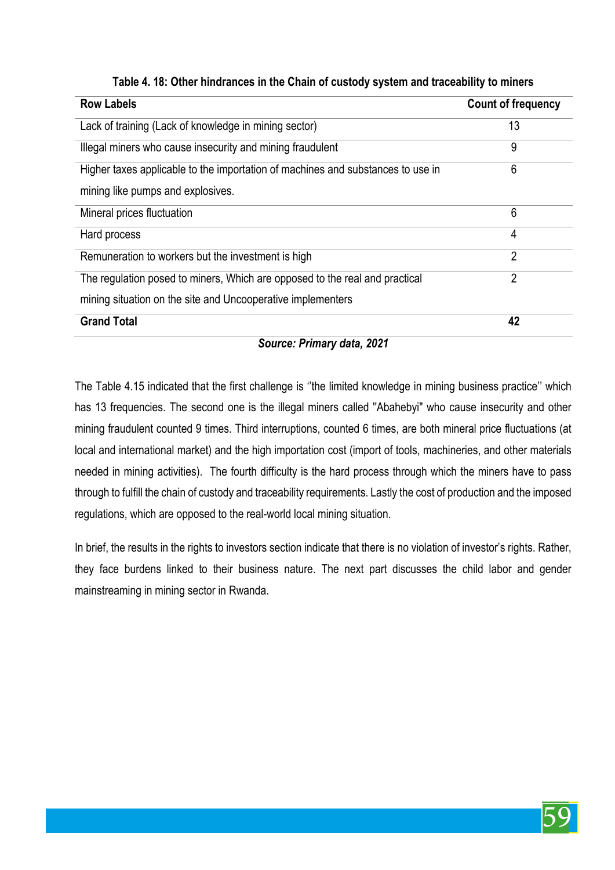| <b>Row Labels</b>                                                               | <b>Count of frequency</b> |
|---------------------------------------------------------------------------------|---------------------------|
| Lack of training (Lack of knowledge in mining sector)                           | 13                        |
| Illegal miners who cause insecurity and mining fraudulent                       | 9                         |
| Higher taxes applicable to the importation of machines and substances to use in | 6                         |
| mining like pumps and explosives.                                               |                           |
| Mineral prices fluctuation                                                      | 6                         |
| Hard process                                                                    | 4                         |
| Remuneration to workers but the investment is high                              | $\overline{2}$            |
| The regulation posed to miners, Which are opposed to the real and practical     | $\overline{2}$            |
| mining situation on the site and Uncooperative implementers                     |                           |
| <b>Grand Total</b>                                                              | 42                        |

# **Table 4. 18: Other hindrances in the Chain of custody system and traceability to miners**

## *Source: Primary data, 2021*

The Table 4.15 indicated that the first challenge is ''the limited knowledge in mining business practice'' which has 13 frequencies. The second one is the illegal miners called ''Abahebyi" who cause insecurity and other mining fraudulent counted 9 times. Third interruptions, counted 6 times, are both mineral price fluctuations (at local and international market) and the high importation cost (import of tools, machineries, and other materials needed in mining activities). The fourth difficulty is the hard process through which the miners have to pass through to fulfill the chain of custody and traceability requirements. Lastly the cost of production and the imposed regulations, which are opposed to the real-world local mining situation.

In brief, the results in the rights to investors section indicate that there is no violation of investor's rights. Rather, they face burdens linked to their business nature. The next part discusses the child labor and gender mainstreaming in mining sector in Rwanda.

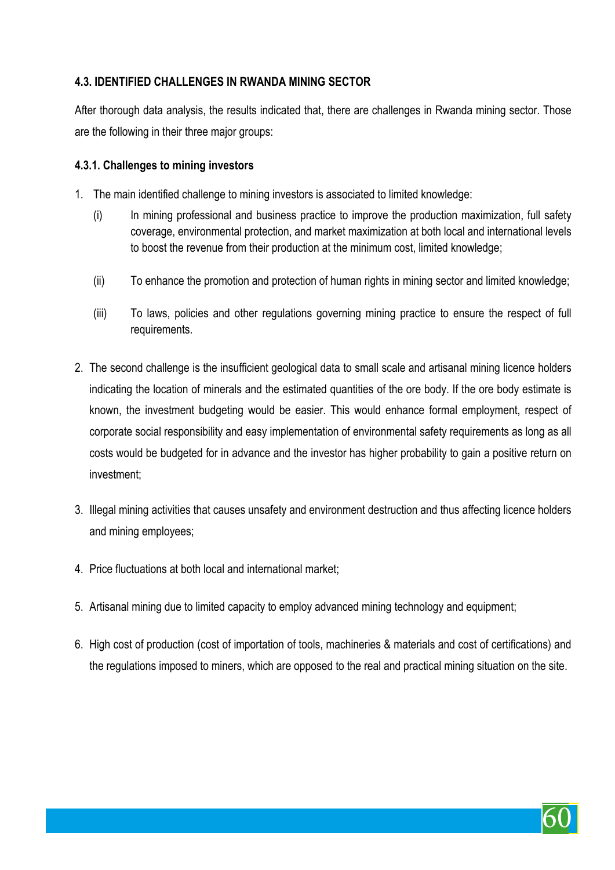# **4.3. IDENTIFIED CHALLENGES IN RWANDA MINING SECTOR**

After thorough data analysis, the results indicated that, there are challenges in Rwanda mining sector. Those are the following in their three major groups:

#### **4.3.1. Challenges to mining investors**

- 1. The main identified challenge to mining investors is associated to limited knowledge:
	- (i) In mining professional and business practice to improve the production maximization, full safety coverage, environmental protection, and market maximization at both local and international levels to boost the revenue from their production at the minimum cost, limited knowledge;
	- (ii) To enhance the promotion and protection of human rights in mining sector and limited knowledge;
	- (iii) To laws, policies and other regulations governing mining practice to ensure the respect of full requirements.
- 2. The second challenge is the insufficient geological data to small scale and artisanal mining licence holders indicating the location of minerals and the estimated quantities of the ore body. If the ore body estimate is known, the investment budgeting would be easier. This would enhance formal employment, respect of corporate social responsibility and easy implementation of environmental safety requirements as long as all costs would be budgeted for in advance and the investor has higher probability to gain a positive return on investment;
- 3. Illegal mining activities that causes unsafety and environment destruction and thus affecting licence holders and mining employees;
- 4. Price fluctuations at both local and international market;
- 5. Artisanal mining due to limited capacity to employ advanced mining technology and equipment;
- 6. High cost of production (cost of importation of tools, machineries & materials and cost of certifications) and the regulations imposed to miners, which are opposed to the real and practical mining situation on the site.

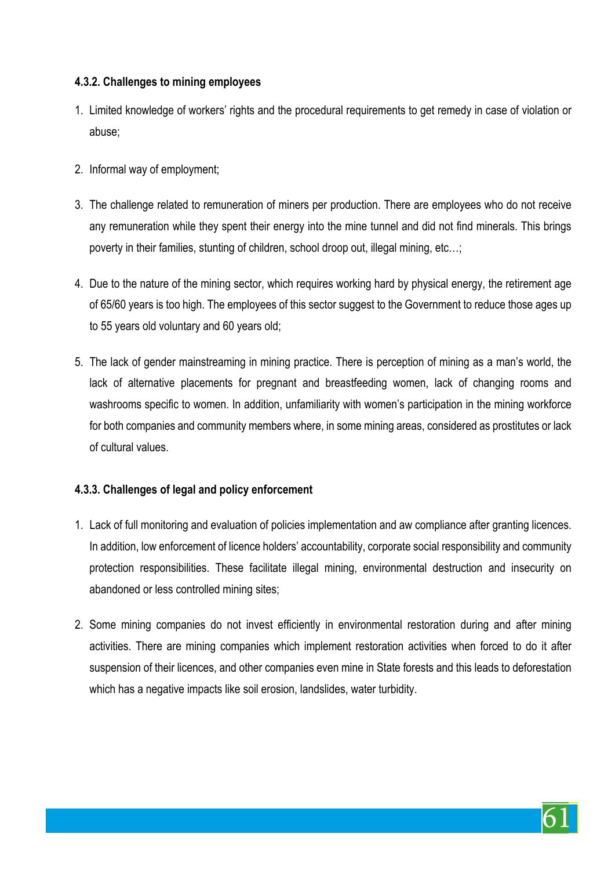## **4.3.2. Challenges to mining employees**

- 1. Limited knowledge of workers' rights and the procedural requirements to get remedy in case of violation or abuse;
- 2. Informal way of employment;
- 3. The challenge related to remuneration of miners per production. There are employees who do not receive any remuneration while they spent their energy into the mine tunnel and did not find minerals. This brings poverty in their families, stunting of children, school droop out, illegal mining, etc…;
- 4. Due to the nature of the mining sector, which requires working hard by physical energy, the retirement age of 65/60 years is too high. The employees of this sector suggest to the Government to reduce those ages up to 55 years old voluntary and 60 years old;
- 5. The lack of gender mainstreaming in mining practice. There is perception of mining as a man's world, the lack of alternative placements for pregnant and breastfeeding women, lack of changing rooms and washrooms specific to women. In addition, unfamiliarity with women's participation in the mining workforce for both companies and community members where, in some mining areas, considered as prostitutes or lack of cultural values.

# **4.3.3. Challenges of legal and policy enforcement**

- 1. Lack of full monitoring and evaluation of policies implementation and aw compliance after granting licences. In addition, low enforcement of licence holders' accountability, corporate social responsibility and community protection responsibilities. These facilitate illegal mining, environmental destruction and insecurity on abandoned or less controlled mining sites;
- 2. Some mining companies do not invest efficiently in environmental restoration during and after mining activities. There are mining companies which implement restoration activities when forced to do it after suspension of their licences, and other companies even mine in State forests and this leads to deforestation which has a negative impacts like soil erosion, landslides, water turbidity.

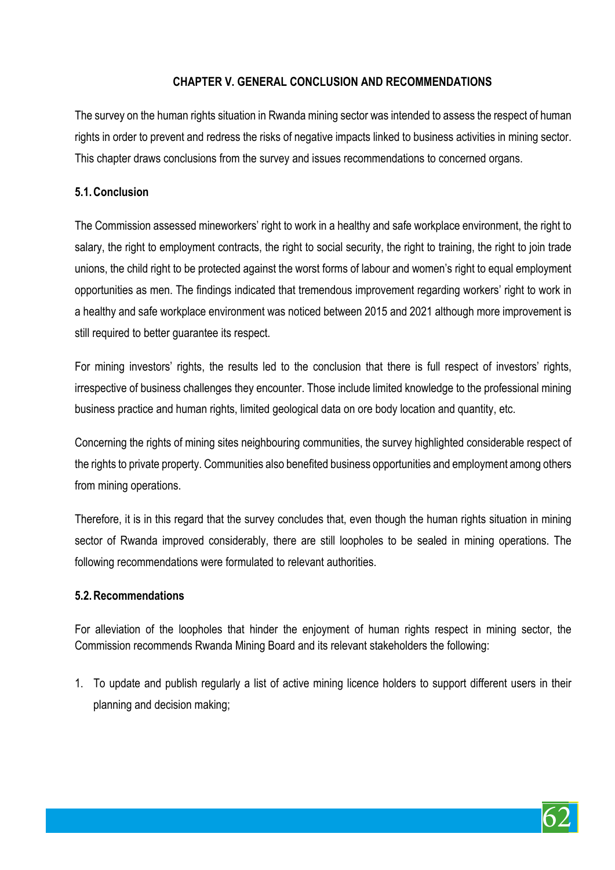# **CHAPTER V. GENERAL CONCLUSION AND RECOMMENDATIONS**

The survey on the human rights situation in Rwanda mining sector was intended to assess the respect of human rights in order to prevent and redress the risks of negative impacts linked to business activities in mining sector. This chapter draws conclusions from the survey and issues recommendations to concerned organs.

# **5.1.Conclusion**

The Commission assessed mineworkers' right to work in a healthy and safe workplace environment, the right to salary, the right to employment contracts, the right to social security, the right to training, the right to join trade unions, the child right to be protected against the worst forms of labour and women's right to equal employment opportunities as men. The findings indicated that tremendous improvement regarding workers' right to work in a healthy and safe workplace environment was noticed between 2015 and 2021 although more improvement is still required to better guarantee its respect.

For mining investors' rights, the results led to the conclusion that there is full respect of investors' rights, irrespective of business challenges they encounter. Those include limited knowledge to the professional mining business practice and human rights, limited geological data on ore body location and quantity, etc.

Concerning the rights of mining sites neighbouring communities, the survey highlighted considerable respect of the rights to private property. Communities also benefited business opportunities and employment among others from mining operations.

Therefore, it is in this regard that the survey concludes that, even though the human rights situation in mining sector of Rwanda improved considerably, there are still loopholes to be sealed in mining operations. The following recommendations were formulated to relevant authorities.

# **5.2.Recommendations**

For alleviation of the loopholes that hinder the enjoyment of human rights respect in mining sector, the Commission recommends Rwanda Mining Board and its relevant stakeholders the following:

1. To update and publish regularly a list of active mining licence holders to support different users in their planning and decision making;

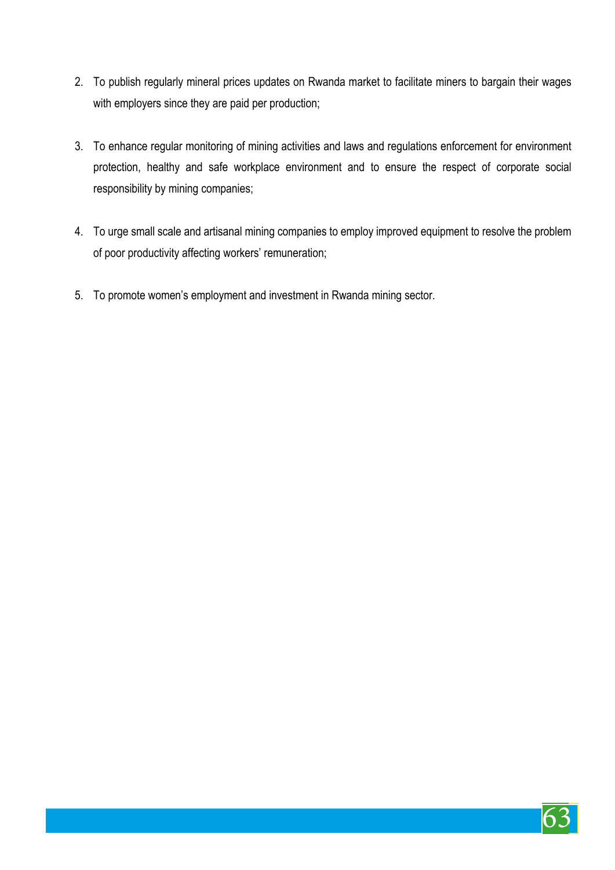- 2. To publish regularly mineral prices updates on Rwanda market to facilitate miners to bargain their wages with employers since they are paid per production;
- 3. To enhance regular monitoring of mining activities and laws and regulations enforcement for environment protection, healthy and safe workplace environment and to ensure the respect of corporate social responsibility by mining companies;
- 4. To urge small scale and artisanal mining companies to employ improved equipment to resolve the problem of poor productivity affecting workers' remuneration;
- 5. To promote women's employment and investment in Rwanda mining sector.

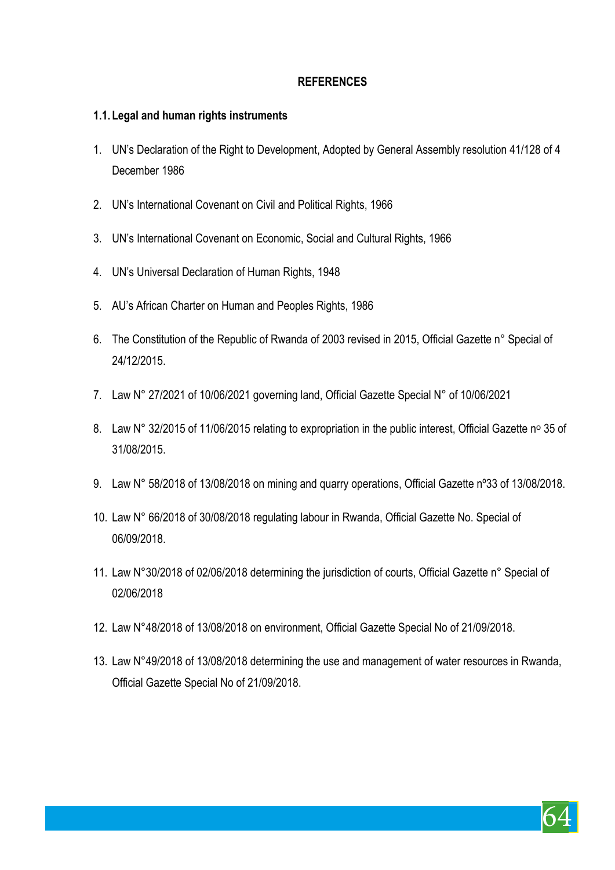# **REFERENCES**

#### **1.1. Legal and human rights instruments**

- 1. UN's Declaration of the Right to Development, Adopted by General Assembly resolution 41/128 of 4 December 1986
- 2. UN's International Covenant on Civil and Political Rights, 1966
- 3. UN's International Covenant on Economic, Social and Cultural Rights, 1966
- 4. UN's Universal Declaration of Human Rights, 1948
- 5. AU's African Charter on Human and Peoples Rights, 1986
- 6. The Constitution of the Republic of Rwanda of 2003 revised in 2015, Official Gazette n° Special of 24/12/2015.
- 7. Law N° 27/2021 of 10/06/2021 governing land, Official Gazette Special N° of 10/06/2021
- 8. Law N° 32/2015 of 11/06/2015 relating to expropriation in the public interest, Official Gazette nº 35 of 31/08/2015.
- 9. Law N° 58/2018 of 13/08/2018 on mining and quarry operations, Official Gazette nº33 of 13/08/2018.
- 10. Law N° 66/2018 of 30/08/2018 regulating labour in Rwanda, Official Gazette No. Special of 06/09/2018.
- 11. Law N°30/2018 of 02/06/2018 determining the jurisdiction of courts, Official Gazette n° Special of 02/06/2018
- 12. Law N°48/2018 of 13/08/2018 on environment, Official Gazette Special No of 21/09/2018.
- 13. Law N°49/2018 of 13/08/2018 determining the use and management of water resources in Rwanda, Official Gazette Special No of 21/09/2018.

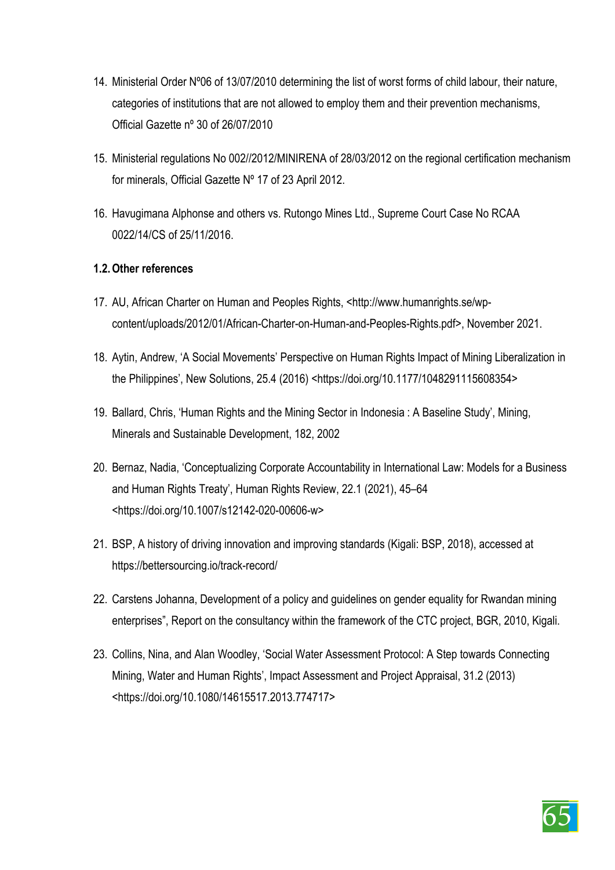- 14. Ministerial Order Nº06 of 13/07/2010 determining the list of worst forms of child labour, their nature, categories of institutions that are not allowed to employ them and their prevention mechanisms, Official Gazette nº 30 of 26/07/2010
- 15. Ministerial regulations No 002//2012/MINIRENA of 28/03/2012 on the regional certification mechanism for minerals, Official Gazette Nº 17 of 23 April 2012.
- 16. Havugimana Alphonse and others vs. Rutongo Mines Ltd., Supreme Court Case No RCAA 0022/14/CS of 25/11/2016.

## **1.2.Other references**

- 17. AU, African Charter on Human and Peoples Rights, <http://www.humanrights.se/wpcontent/uploads/2012/01/African-Charter-on-Human-and-Peoples-Rights.pdf>, November 2021.
- 18. Aytin, Andrew, 'A Social Movements' Perspective on Human Rights Impact of Mining Liberalization in the Philippines', New Solutions, 25.4 (2016) <https://doi.org/10.1177/1048291115608354>
- 19. Ballard, Chris, 'Human Rights and the Mining Sector in Indonesia : A Baseline Study', Mining, Minerals and Sustainable Development, 182, 2002
- 20. Bernaz, Nadia, 'Conceptualizing Corporate Accountability in International Law: Models for a Business and Human Rights Treaty', Human Rights Review, 22.1 (2021), 45–64 <https://doi.org/10.1007/s12142-020-00606-w>
- 21. BSP, A history of driving innovation and improving standards (Kigali: BSP, 2018), accessed at https://bettersourcing.io/track-record/
- 22. Carstens Johanna, Development of a policy and guidelines on gender equality for Rwandan mining enterprises", Report on the consultancy within the framework of the CTC project, BGR, 2010, Kigali.
- 23. Collins, Nina, and Alan Woodley, 'Social Water Assessment Protocol: A Step towards Connecting Mining, Water and Human Rights', Impact Assessment and Project Appraisal, 31.2 (2013) <https://doi.org/10.1080/14615517.2013.774717>

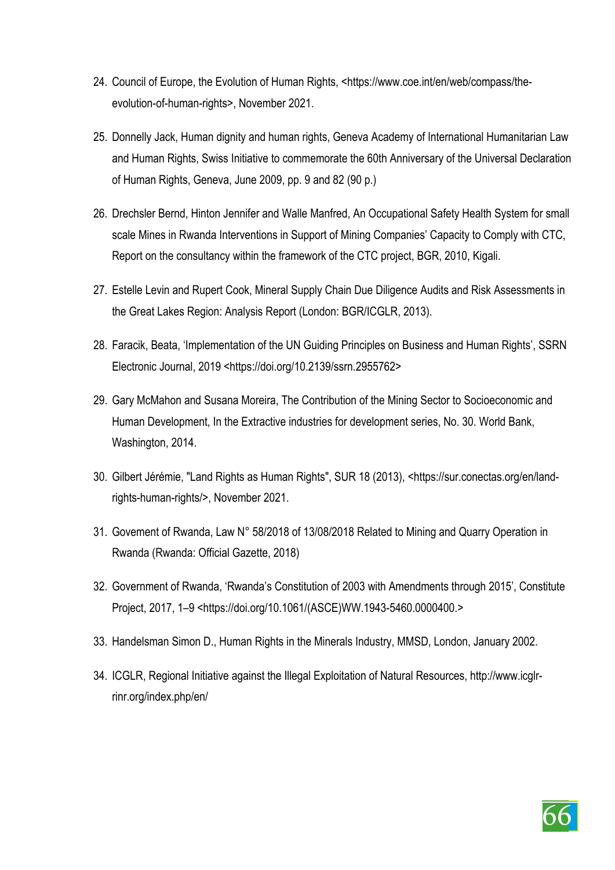- 24. Council of Europe, the Evolution of Human Rights, <https://www.coe.int/en/web/compass/theevolution-of-human-rights>, November 2021.
- 25. Donnelly Jack, Human dignity and human rights, Geneva Academy of International Humanitarian Law and Human Rights, Swiss Initiative to commemorate the 60th Anniversary of the Universal Declaration of Human Rights, Geneva, June 2009, pp. 9 and 82 (90 p.)
- 26. Drechsler Bernd, Hinton Jennifer and Walle Manfred, An Occupational Safety Health System for small scale Mines in Rwanda Interventions in Support of Mining Companies' Capacity to Comply with CTC, Report on the consultancy within the framework of the CTC project, BGR, 2010, Kigali.
- 27. Estelle Levin and Rupert Cook, Mineral Supply Chain Due Diligence Audits and Risk Assessments in the Great Lakes Region: Analysis Report (London: BGR/ICGLR, 2013).
- 28. Faracik, Beata, 'Implementation of the UN Guiding Principles on Business and Human Rights', SSRN Electronic Journal, 2019 <https://doi.org/10.2139/ssrn.2955762>
- 29. Gary McMahon and Susana Moreira, The Contribution of the Mining Sector to Socioeconomic and Human Development, In the Extractive industries for development series, No. 30. World Bank, Washington, 2014.
- 30. Gilbert Jérémie, "Land Rights as Human Rights", SUR 18 (2013), <https://sur.conectas.org/en/landrights-human-rights/>, November 2021.
- 31. Govement of Rwanda, Law N° 58/2018 of 13/08/2018 Related to Mining and Quarry Operation in Rwanda (Rwanda: Official Gazette, 2018)
- 32. Government of Rwanda, 'Rwanda's Constitution of 2003 with Amendments through 2015', Constitute Project, 2017, 1–9 <https://doi.org/10.1061/(ASCE)WW.1943-5460.0000400.>
- 33. Handelsman Simon D., Human Rights in the Minerals Industry, MMSD, London, January 2002.
- 34. ICGLR, Regional Initiative against the Illegal Exploitation of Natural Resources, http://www.icglrrinr.org/index.php/en/

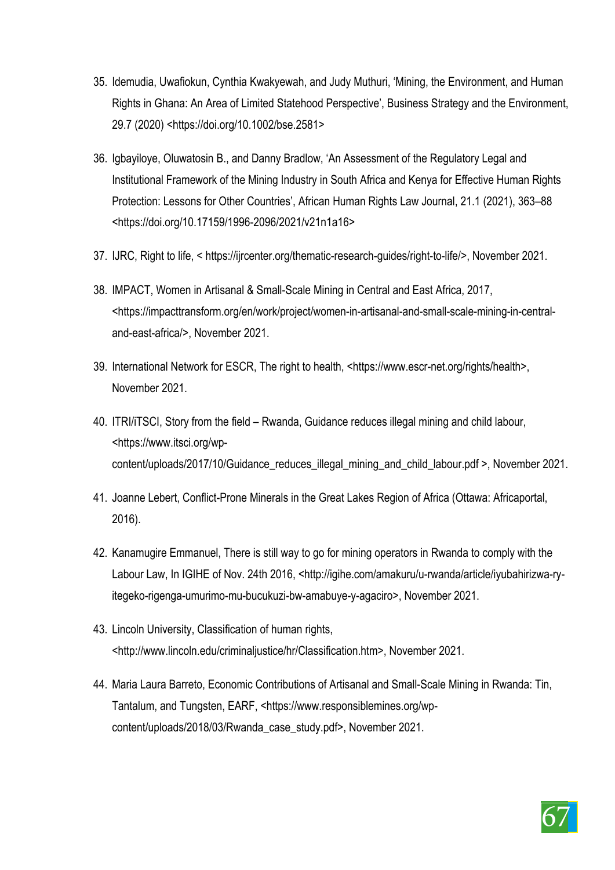- 35. Idemudia, Uwafiokun, Cynthia Kwakyewah, and Judy Muthuri, 'Mining, the Environment, and Human Rights in Ghana: An Area of Limited Statehood Perspective', Business Strategy and the Environment, 29.7 (2020) <https://doi.org/10.1002/bse.2581>
- 36. Igbayiloye, Oluwatosin B., and Danny Bradlow, 'An Assessment of the Regulatory Legal and Institutional Framework of the Mining Industry in South Africa and Kenya for Effective Human Rights Protection: Lessons for Other Countries', African Human Rights Law Journal, 21.1 (2021), 363–88 <https://doi.org/10.17159/1996-2096/2021/v21n1a16>
- 37. IJRC, Right to life, < https://ijrcenter.org/thematic-research-guides/right-to-life/>, November 2021.
- 38. IMPACT, Women in Artisanal & Small-Scale Mining in Central and East Africa, 2017, <https://impacttransform.org/en/work/project/women-in-artisanal-and-small-scale-mining-in-centraland-east-africa/>, November 2021.
- 39. International Network for ESCR, The right to health, <https://www.escr-net.org/rights/health>, November 2021.
- 40. ITRI/iTSCI, Story from the field Rwanda, Guidance reduces illegal mining and child labour, <https://www.itsci.org/wpcontent/uploads/2017/10/Guidance\_reduces\_illegal\_mining\_and\_child\_labour.pdf >, November 2021.
- 41. Joanne Lebert, Conflict-Prone Minerals in the Great Lakes Region of Africa (Ottawa: Africaportal, 2016).
- 42. Kanamugire Emmanuel, There is still way to go for mining operators in Rwanda to comply with the Labour Law, In IGIHE of Nov. 24th 2016, <http://igihe.com/amakuru/u-rwanda/article/iyubahirizwa-ryitegeko-rigenga-umurimo-mu-bucukuzi-bw-amabuye-y-agaciro>, November 2021.
- 43. Lincoln University, Classification of human rights, <http://www.lincoln.edu/criminaljustice/hr/Classification.htm>, November 2021.
- 44. Maria Laura Barreto, Economic Contributions of Artisanal and Small-Scale Mining in Rwanda: Tin, Tantalum, and Tungsten, EARF, <https://www.responsiblemines.org/wpcontent/uploads/2018/03/Rwanda\_case\_study.pdf>, November 2021.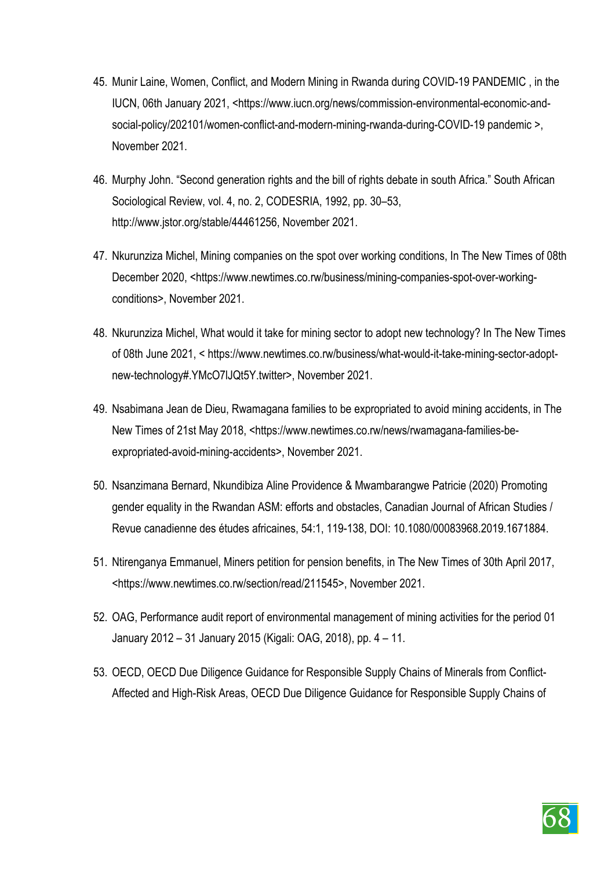- 45. Munir Laine, Women, Conflict, and Modern Mining in Rwanda during COVID-19 PANDEMIC , in the IUCN, 06th January 2021, <https://www.iucn.org/news/commission-environmental-economic-andsocial-policy/202101/women-conflict-and-modern-mining-rwanda-during-COVID-19 pandemic >, November 2021.
- 46. Murphy John. "Second generation rights and the bill of rights debate in south Africa." South African Sociological Review, vol. 4, no. 2, CODESRIA, 1992, pp. 30–53, http://www.jstor.org/stable/44461256, November 2021.
- 47. Nkurunziza Michel, Mining companies on the spot over working conditions, In The New Times of 08th December 2020, <https://www.newtimes.co.rw/business/mining-companies-spot-over-workingconditions>, November 2021.
- 48. Nkurunziza Michel, What would it take for mining sector to adopt new technology? In The New Times of 08th June 2021, < https://www.newtimes.co.rw/business/what-would-it-take-mining-sector-adoptnew-technology#.YMcO7lJQt5Y.twitter>, November 2021.
- 49. Nsabimana Jean de Dieu, Rwamagana families to be expropriated to avoid mining accidents, in The New Times of 21st May 2018, <https://www.newtimes.co.rw/news/rwamagana-families-beexpropriated-avoid-mining-accidents>, November 2021.
- 50. Nsanzimana Bernard, Nkundibiza Aline Providence & Mwambarangwe Patricie (2020) Promoting gender equality in the Rwandan ASM: efforts and obstacles, Canadian Journal of African Studies / Revue canadienne des études africaines, 54:1, 119-138, DOI: 10.1080/00083968.2019.1671884.
- 51. Ntirenganya Emmanuel, Miners petition for pension benefits, in The New Times of 30th April 2017, <https://www.newtimes.co.rw/section/read/211545>, November 2021.
- 52. OAG, Performance audit report of environmental management of mining activities for the period 01 January 2012 – 31 January 2015 (Kigali: OAG, 2018), pp. 4 – 11.
- 53. OECD, OECD Due Diligence Guidance for Responsible Supply Chains of Minerals from Conflict-Affected and High-Risk Areas, OECD Due Diligence Guidance for Responsible Supply Chains of

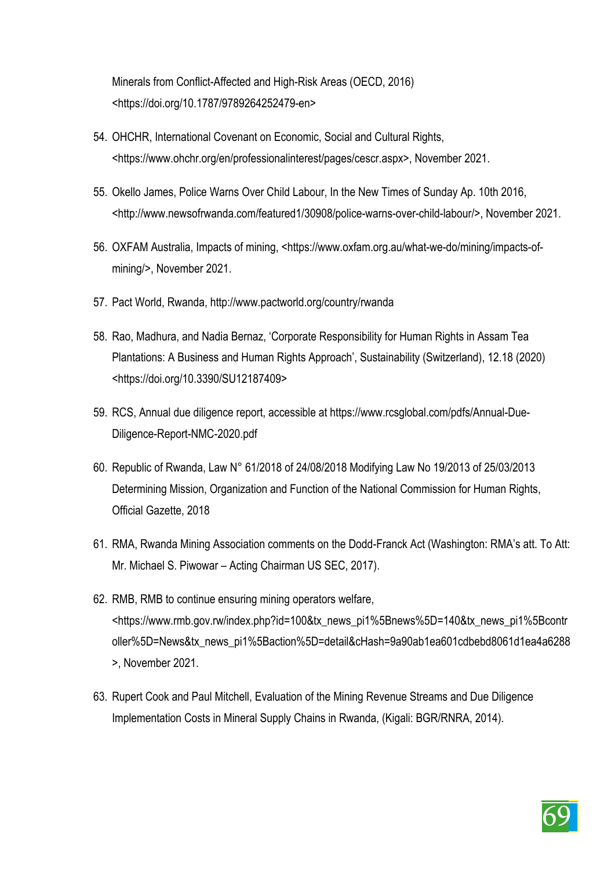Minerals from Conflict-Affected and High-Risk Areas (OECD, 2016) <https://doi.org/10.1787/9789264252479-en>

- 54. OHCHR, International Covenant on Economic, Social and Cultural Rights, <https://www.ohchr.org/en/professionalinterest/pages/cescr.aspx>, November 2021.
- 55. Okello James, Police Warns Over Child Labour, In the New Times of Sunday Ap. 10th 2016, <http://www.newsofrwanda.com/featured1/30908/police-warns-over-child-labour/>, November 2021.
- 56. OXFAM Australia, Impacts of mining, <https://www.oxfam.org.au/what-we-do/mining/impacts-ofmining/>, November 2021.
- 57. Pact World, Rwanda, http://www.pactworld.org/country/rwanda
- 58. Rao, Madhura, and Nadia Bernaz, 'Corporate Responsibility for Human Rights in Assam Tea Plantations: A Business and Human Rights Approach', Sustainability (Switzerland), 12.18 (2020) <https://doi.org/10.3390/SU12187409>
- 59. RCS, Annual due diligence report, accessible at https://www.rcsglobal.com/pdfs/Annual-Due-Diligence-Report-NMC-2020.pdf
- 60. Republic of Rwanda, Law N° 61/2018 of 24/08/2018 Modifying Law No 19/2013 of 25/03/2013 Determining Mission, Organization and Function of the National Commission for Human Rights, Official Gazette, 2018
- 61. RMA, Rwanda Mining Association comments on the Dodd-Franck Act (Washington: RMA's att. To Att: Mr. Michael S. Piwowar – Acting Chairman US SEC, 2017).
- 62. RMB, RMB to continue ensuring mining operators welfare, <https://www.rmb.gov.rw/index.php?id=100&tx\_news\_pi1%5Bnews%5D=140&tx\_news\_pi1%5Bcontr oller%5D=News&tx\_news\_pi1%5Baction%5D=detail&cHash=9a90ab1ea601cdbebd8061d1ea4a6288 >, November 2021.
- 63. Rupert Cook and Paul Mitchell, Evaluation of the Mining Revenue Streams and Due Diligence Implementation Costs in Mineral Supply Chains in Rwanda, (Kigali: BGR/RNRA, 2014).

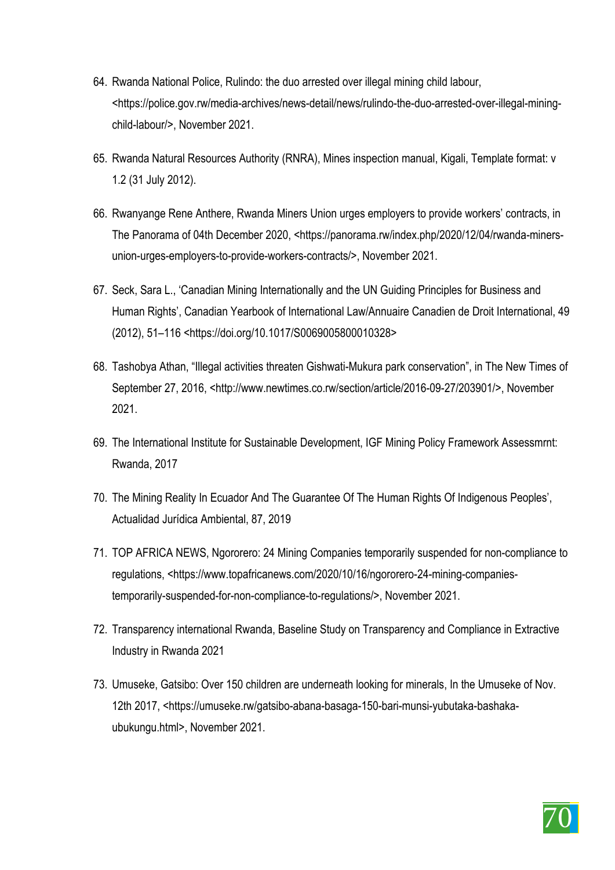- 64. Rwanda National Police, Rulindo: the duo arrested over illegal mining child labour, <https://police.gov.rw/media-archives/news-detail/news/rulindo-the-duo-arrested-over-illegal-miningchild-labour/>, November 2021.
- 65. Rwanda Natural Resources Authority (RNRA), Mines inspection manual, Kigali, Template format: v 1.2 (31 July 2012).
- 66. Rwanyange Rene Anthere, Rwanda Miners Union urges employers to provide workers' contracts, in The Panorama of 04th December 2020, <https://panorama.rw/index.php/2020/12/04/rwanda-minersunion-urges-employers-to-provide-workers-contracts/>, November 2021.
- 67. Seck, Sara L., 'Canadian Mining Internationally and the UN Guiding Principles for Business and Human Rights', Canadian Yearbook of International Law/Annuaire Canadien de Droit International, 49 (2012), 51–116 <https://doi.org/10.1017/S0069005800010328>
- 68. Tashobya Athan, "Illegal activities threaten Gishwati-Mukura park conservation", in The New Times of September 27, 2016, <http://www.newtimes.co.rw/section/article/2016-09-27/203901/>, November 2021.
- 69. The International Institute for Sustainable Development, IGF Mining Policy Framework Assessmrnt: Rwanda, 2017
- 70. The Mining Reality In Ecuador And The Guarantee Of The Human Rights Of Indigenous Peoples', Actualidad Jurídica Ambiental, 87, 2019
- 71. TOP AFRICA NEWS, Ngororero: 24 Mining Companies temporarily suspended for non-compliance to regulations, <https://www.topafricanews.com/2020/10/16/ngororero-24-mining-companiestemporarily-suspended-for-non-compliance-to-regulations/>, November 2021.
- 72. Transparency international Rwanda, Baseline Study on Transparency and Compliance in Extractive Industry in Rwanda 2021
- 73. Umuseke, Gatsibo: Over 150 children are underneath looking for minerals, In the Umuseke of Nov. 12th 2017, <https://umuseke.rw/gatsibo-abana-basaga-150-bari-munsi-yubutaka-bashakaubukungu.html>, November 2021.